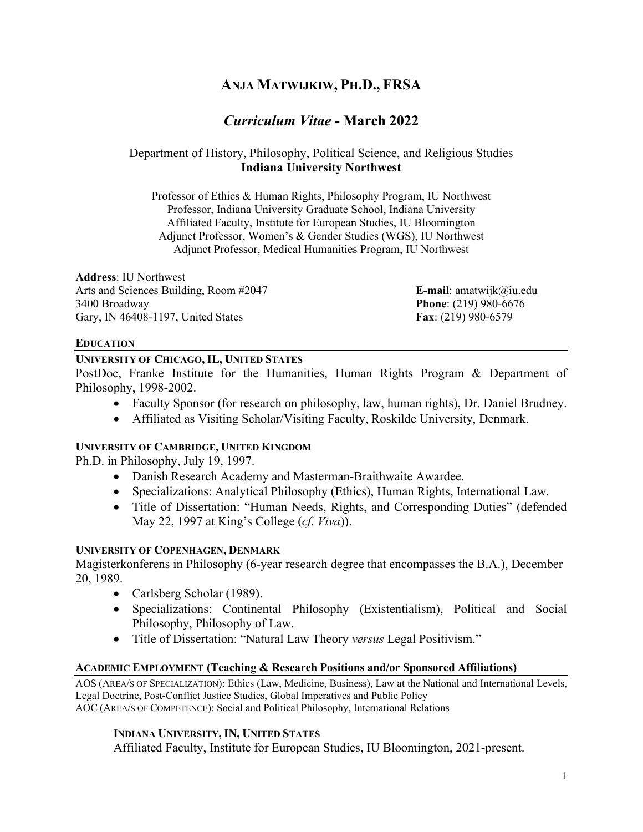# **ANJA MATWIJKIW, PH.D., FRSA**

# *Curriculum Vitae* **- March 2022**

## Department of History, Philosophy, Political Science, and Religious Studies **Indiana University Northwest**

Professor of Ethics & Human Rights, Philosophy Program, IU Northwest Professor, Indiana University Graduate School, Indiana University Affiliated Faculty, Institute for European Studies, IU Bloomington Adjunct Professor, Women's & Gender Studies (WGS), IU Northwest Adjunct Professor, Medical Humanities Program, IU Northwest

**Address**: IU Northwest Arts and Sciences Building, Room #2047 **E-mail**: amatwijk@iu.edu 3400 Broadway **Phone**: (219) 980-6676 Gary, IN 46408-1197, United States **Fax**: (219) 980-6579

#### **EDUCATION**

#### **UNIVERSITY OF CHICAGO, IL, UNITED STATES**

PostDoc, Franke Institute for the Humanities, Human Rights Program & Department of Philosophy, 1998-2002.

- Faculty Sponsor (for research on philosophy, law, human rights), Dr. Daniel Brudney.
- Affiliated as Visiting Scholar/Visiting Faculty, Roskilde University, Denmark.

## **UNIVERSITY OF CAMBRIDGE, UNITED KINGDOM**

Ph.D. in Philosophy, July 19, 1997.

- Danish Research Academy and Masterman-Braithwaite Awardee.
- Specializations: Analytical Philosophy (Ethics), Human Rights, International Law.
- Title of Dissertation: "Human Needs, Rights, and Corresponding Duties" (defended May 22, 1997 at King's College (*cf*. *Viva*)).

## **UNIVERSITY OF COPENHAGEN, DENMARK**

Magisterkonferens in Philosophy (6-year research degree that encompasses the B.A.), December 20, 1989.

- Carlsberg Scholar (1989).
- Specializations: Continental Philosophy (Existentialism), Political and Social Philosophy, Philosophy of Law.
- Title of Dissertation: "Natural Law Theory *versus* Legal Positivism."

## **ACADEMIC EMPLOYMENT (Teaching & Research Positions and/or Sponsored Affiliations)**

AOS (AREA/S OF SPECIALIZATION): Ethics (Law, Medicine, Business), Law at the National and International Levels, Legal Doctrine, Post-Conflict Justice Studies, Global Imperatives and Public Policy AOC (AREA/S OF COMPETENCE): Social and Political Philosophy, International Relations

## **INDIANA UNIVERSITY, IN, UNITED STATES**

Affiliated Faculty, Institute for European Studies, IU Bloomington, 2021-present.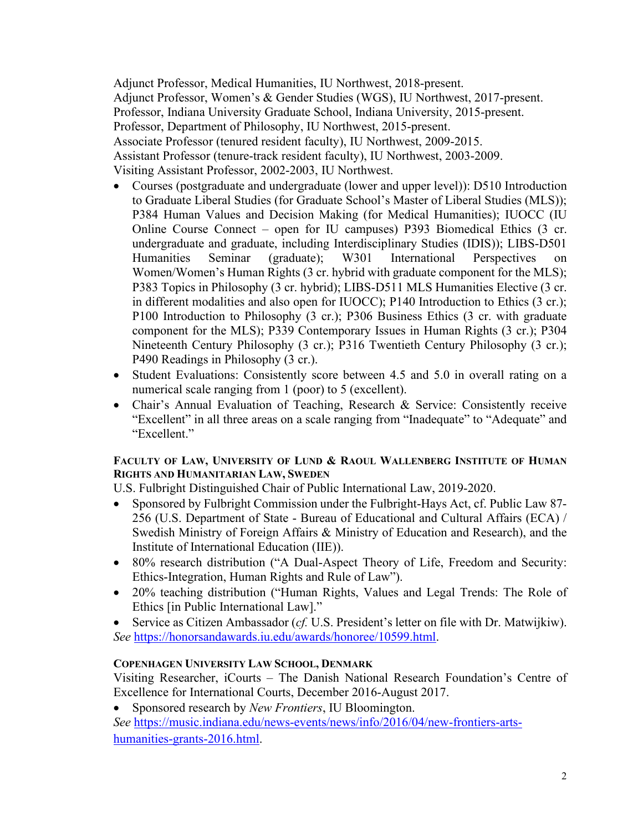Adjunct Professor, Medical Humanities, IU Northwest, 2018-present. Adjunct Professor, Women's & Gender Studies (WGS), IU Northwest, 2017-present. Professor, Indiana University Graduate School, Indiana University, 2015-present. Professor, Department of Philosophy, IU Northwest, 2015-present. Associate Professor (tenured resident faculty), IU Northwest, 2009-2015. Assistant Professor (tenure-track resident faculty), IU Northwest, 2003-2009. Visiting Assistant Professor, 2002-2003, IU Northwest.

- Courses (postgraduate and undergraduate (lower and upper level)): D510 Introduction to Graduate Liberal Studies (for Graduate School's Master of Liberal Studies (MLS)); P384 Human Values and Decision Making (for Medical Humanities); IUOCC (IU Online Course Connect – open for IU campuses) P393 Biomedical Ethics (3 cr. undergraduate and graduate, including Interdisciplinary Studies (IDIS)); LIBS-D501 Humanities Seminar (graduate); W301 International Perspectives on Women/Women's Human Rights (3 cr. hybrid with graduate component for the MLS); P383 Topics in Philosophy (3 cr. hybrid); LIBS-D511 MLS Humanities Elective (3 cr. in different modalities and also open for IUOCC); P140 Introduction to Ethics (3 cr.); P100 Introduction to Philosophy (3 cr.); P306 Business Ethics (3 cr. with graduate component for the MLS); P339 Contemporary Issues in Human Rights (3 cr.); P304 Nineteenth Century Philosophy (3 cr.); P316 Twentieth Century Philosophy (3 cr.); P490 Readings in Philosophy (3 cr.).
- Student Evaluations: Consistently score between 4.5 and 5.0 in overall rating on a numerical scale ranging from 1 (poor) to 5 (excellent).
- Chair's Annual Evaluation of Teaching, Research & Service: Consistently receive "Excellent" in all three areas on a scale ranging from "Inadequate" to "Adequate" and "Excellent."

## **FACULTY OF LAW, UNIVERSITY OF LUND & RAOUL WALLENBERG INSTITUTE OF HUMAN RIGHTS AND HUMANITARIAN LAW, SWEDEN**

U.S. Fulbright Distinguished Chair of Public International Law, 2019-2020.

- Sponsored by Fulbright Commission under the Fulbright-Hays Act, cf. Public Law 87- 256 (U.S. Department of State - Bureau of Educational and Cultural Affairs (ECA) / Swedish Ministry of Foreign Affairs & Ministry of Education and Research), and the Institute of International Education (IIE)).
- 80% research distribution ("A Dual-Aspect Theory of Life, Freedom and Security: Ethics-Integration, Human Rights and Rule of Law").
- 20% teaching distribution ("Human Rights, Values and Legal Trends: The Role of Ethics [in Public International Law]."
- Service as Citizen Ambassador (*cf.* U.S. President's letter on file with Dr. Matwijkiw). *See* [https://honorsandawards.iu.edu/awards/honoree/10599.html.](https://honorsandawards.iu.edu/awards/honoree/10599.html)

## **COPENHAGEN UNIVERSITY LAW SCHOOL, DENMARK**

Visiting Researcher, iCourts – The Danish National Research Foundation's Centre of Excellence for International Courts, December 2016-August 2017.

• Sponsored research by *New Frontiers*, IU Bloomington.

*See* [https://music.indiana.edu/news-events/news/info/2016/04/new-frontiers-arts](https://music.indiana.edu/news-events/news/info/2016/04/new-frontiers-arts-humanities-grants-2016.html)[humanities-grants-2016.html.](https://music.indiana.edu/news-events/news/info/2016/04/new-frontiers-arts-humanities-grants-2016.html)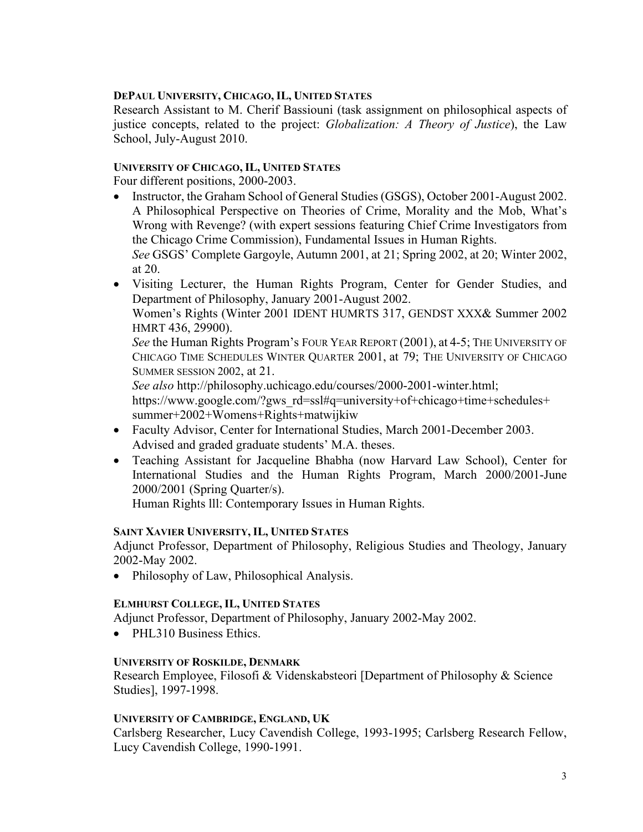## **DEPAUL UNIVERSITY, CHICAGO, IL, UNITED STATES**

Research Assistant to M. Cherif Bassiouni (task assignment on philosophical aspects of justice concepts, related to the project: *Globalization: A Theory of Justice*), the Law School, July-August 2010.

## **UNIVERSITY OF CHICAGO, IL, UNITED STATES**

Four different positions, 2000-2003.

• Instructor, the Graham School of General Studies (GSGS), October 2001-August 2002. A Philosophical Perspective on Theories of Crime, Morality and the Mob, What's Wrong with Revenge? (with expert sessions featuring Chief Crime Investigators from the Chicago Crime Commission), Fundamental Issues in Human Rights. *See* GSGS' Complete Gargoyle, Autumn 2001, at 21; Spring 2002, at 20; Winter 2002,

at 20.

• Visiting Lecturer, the Human Rights Program, Center for Gender Studies, and Department of Philosophy, January 2001-August 2002.

Women's Rights (Winter 2001 IDENT HUMRTS 317, GENDST XXX& Summer 2002 HMRT 436, 29900).

*See* the Human Rights Program's FOUR YEAR REPORT (2001), at 4-5; THE UNIVERSITY OF CHICAGO TIME SCHEDULES WINTER QUARTER 2001, at 79; THE UNIVERSITY OF CHICAGO SUMMER SESSION 2002, at 21.

*See also* http://philosophy.uchicago.edu/courses/2000-2001-winter.html; https://www.google.com/?gws\_rd=ssl#q=university+of+chicago+time+schedules+ summer+2002+Womens+Rights+matwijkiw

- Faculty Advisor, Center for International Studies, March 2001-December 2003. Advised and graded graduate students' M.A. theses.
- Teaching Assistant for Jacqueline Bhabha (now Harvard Law School), Center for International Studies and the Human Rights Program, March 2000/2001-June 2000/2001 (Spring Quarter/s).

Human Rights lll: Contemporary Issues in Human Rights.

## **SAINT XAVIER UNIVERSITY, IL, UNITED STATES**

Adjunct Professor, Department of Philosophy, Religious Studies and Theology, January 2002-May 2002.

• Philosophy of Law, Philosophical Analysis.

## **ELMHURST COLLEGE, IL, UNITED STATES**

Adjunct Professor, Department of Philosophy, January 2002-May 2002.

• PHL310 Business Ethics.

## **UNIVERSITY OF ROSKILDE, DENMARK**

Research Employee, Filosofi & Videnskabsteori [Department of Philosophy & Science Studies], 1997-1998.

## **UNIVERSITY OF CAMBRIDGE, ENGLAND, UK**

Carlsberg Researcher, Lucy Cavendish College, 1993-1995; Carlsberg Research Fellow, Lucy Cavendish College, 1990-1991.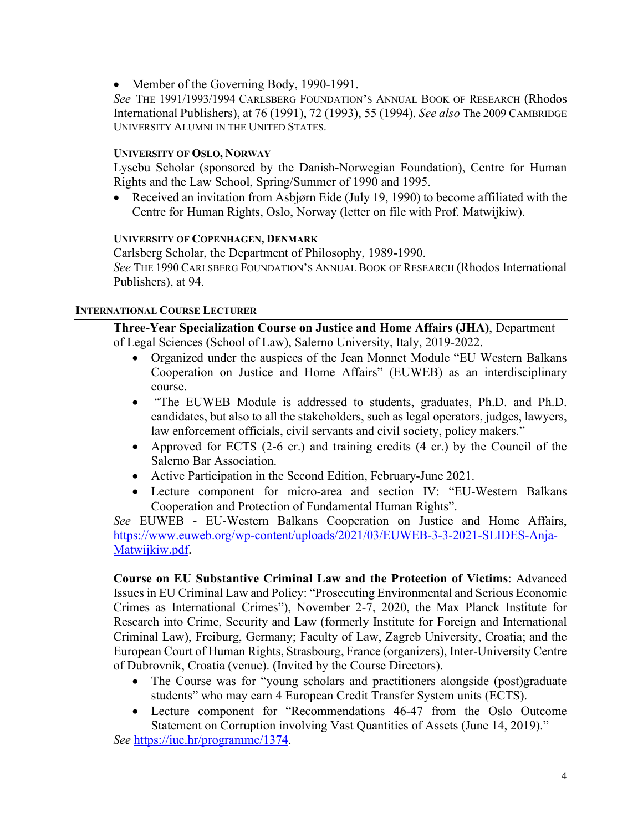• Member of the Governing Body, 1990-1991.

*See* THE 1991/1993/1994 CARLSBERG FOUNDATION'S ANNUAL BOOK OF RESEARCH (Rhodos International Publishers), at 76 (1991), 72 (1993), 55 (1994). *See also* The 2009 CAMBRIDGE UNIVERSITY ALUMNI IN THE UNITED STATES.

## **UNIVERSITY OF OSLO, NORWAY**

Lysebu Scholar (sponsored by the Danish-Norwegian Foundation), Centre for Human Rights and the Law School, Spring/Summer of 1990 and 1995.

• Received an invitation from Asbjørn Eide (July 19, 1990) to become affiliated with the Centre for Human Rights, Oslo, Norway (letter on file with Prof. Matwijkiw).

## **UNIVERSITY OF COPENHAGEN, DENMARK**

Carlsberg Scholar, the Department of Philosophy, 1989-1990. *See* THE 1990 CARLSBERG FOUNDATION'S ANNUAL BOOK OF RESEARCH (Rhodos International Publishers), at 94.

## **INTERNATIONAL COURSE LECTURER**

**Three-Year Specialization Course on Justice and Home Affairs (JHA)**, Department of Legal Sciences (School of Law), Salerno University, Italy, 2019-2022.

- Organized under the auspices of the Jean Monnet Module "EU Western Balkans Cooperation on Justice and Home Affairs" (EUWEB) as an interdisciplinary course.
- "The EUWEB Module is addressed to students, graduates, Ph.D. and Ph.D. candidates, but also to all the stakeholders, such as legal operators, judges, lawyers, law enforcement officials, civil servants and civil society, policy makers."
- Approved for ECTS (2-6 cr.) and training credits (4 cr.) by the Council of the Salerno Bar Association.
- Active Participation in the Second Edition, February-June 2021.
- Lecture component for micro-area and section IV: "EU-Western Balkans Cooperation and Protection of Fundamental Human Rights".

*See* EUWEB - EU-Western Balkans Cooperation on Justice and Home Affairs, [https://www.euweb.org/wp-content/uploads/2021/03/EUWEB-3-3-2021-SLIDES-Anja-](https://www.euweb.org/wp-content/uploads/2021/03/EUWEB-3-3-2021-SLIDES-Anja-Matwijkiw.pdf)[Matwijkiw.pdf.](https://www.euweb.org/wp-content/uploads/2021/03/EUWEB-3-3-2021-SLIDES-Anja-Matwijkiw.pdf)

**Course on EU Substantive Criminal Law and the Protection of Victims**: Advanced Issues in EU Criminal Law and Policy: "Prosecuting Environmental and Serious Economic Crimes as International Crimes"), November 2-7, 2020, the Max Planck Institute for Research into Crime, Security and Law (formerly Institute for Foreign and International Criminal Law), Freiburg, Germany; Faculty of Law, Zagreb University, Croatia; and the European Court of Human Rights, Strasbourg, France (organizers), Inter-University Centre of Dubrovnik, Croatia (venue). (Invited by the Course Directors).

- The Course was for "young scholars and practitioners alongside (post)graduate students" who may earn 4 European Credit Transfer System units (ECTS).
- Lecture component for "Recommendations 46-47 from the Oslo Outcome Statement on Corruption involving Vast Quantities of Assets (June 14, 2019)."

*See* [https://iuc.hr/programme/1374.](https://iuc.hr/programme/1374)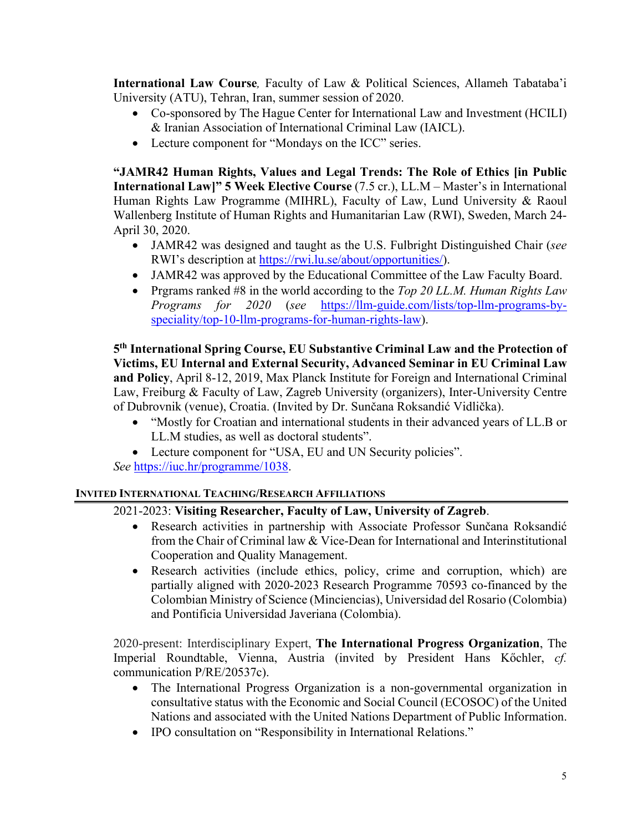**International Law Course***,* Faculty of Law & Political Sciences, Allameh Tabataba'i University (ATU), Tehran, Iran, summer session of 2020.

- Co-sponsored by The Hague Center for International Law and Investment (HCILI) & Iranian Association of International Criminal Law (IAICL).
- Lecture component for "Mondays on the ICC" series.

**"JAMR42 Human Rights, Values and Legal Trends: The Role of Ethics [in Public International Law]" 5 Week Elective Course** (7.5 cr.), LL.M – Master's in International Human Rights Law Programme (MIHRL), Faculty of Law, Lund University & Raoul Wallenberg Institute of Human Rights and Humanitarian Law (RWI), Sweden, March 24- April 30, 2020.

- JAMR42 was designed and taught as the U.S. Fulbright Distinguished Chair (*see* RWI's description at [https://rwi.lu.se/about/opportunities/\)](https://rwi.lu.se/about/opportunities/).
- JAMR42 was approved by the Educational Committee of the Law Faculty Board.
- Prgrams ranked #8 in the world according to the *Top 20 LL.M. Human Rights Law Programs for 2020* (*see* [https://llm-guide.com/lists/top-llm-programs-by](https://llm-guide.com/lists/top-llm-programs-by-speciality/top-10-llm-programs-for-human-rights-law)[speciality/top-10-llm-programs-for-human-rights-law\)](https://llm-guide.com/lists/top-llm-programs-by-speciality/top-10-llm-programs-for-human-rights-law).

**5th International Spring Course, EU Substantive Criminal Law and the Protection of Victims, EU Internal and External Security, Advanced Seminar in EU Criminal Law and Policy**, April 8-12, 2019, Max Planck Institute for Foreign and International Criminal Law, Freiburg & Faculty of Law, Zagreb University (organizers), Inter-University Centre of Dubrovnik (venue), Croatia. (Invited by Dr. Sunčana Roksandić Vidlička).

- "Mostly for Croatian and international students in their advanced years of LL.B or LL.M studies, as well as doctoral students".
- Lecture component for "USA, EU and UN Security policies".

*See* [https://iuc.hr/programme/1038.](https://iuc.hr/programme/1038)

## **INVITED INTERNATIONAL TEACHING/RESEARCH AFFILIATIONS**

## 2021-2023: **Visiting Researcher, Faculty of Law, University of Zagreb**.

- Research activities in partnership with Associate Professor Sunčana Roksandić from the Chair of Criminal law & Vice-Dean for International and Interinstitutional Cooperation and Quality Management.
- Research activities (include ethics, policy, crime and corruption, which) are partially aligned with 2020-2023 Research Programme 70593 co-financed by the Colombian Ministry of Science (Minciencias), Universidad del Rosario (Colombia) and Pontificia Universidad Javeriana (Colombia).

2020-present: Interdisciplinary Expert, **The International Progress Organization**, The Imperial Roundtable, Vienna, Austria (invited by President Hans Kőchler, *cf.* communication P/RE/20537c).

- The International Progress Organization is a non-governmental organization in consultative status with the Economic and Social Council (ECOSOC) of the United Nations and associated with the United Nations Department of Public Information.
- IPO consultation on "Responsibility in International Relations."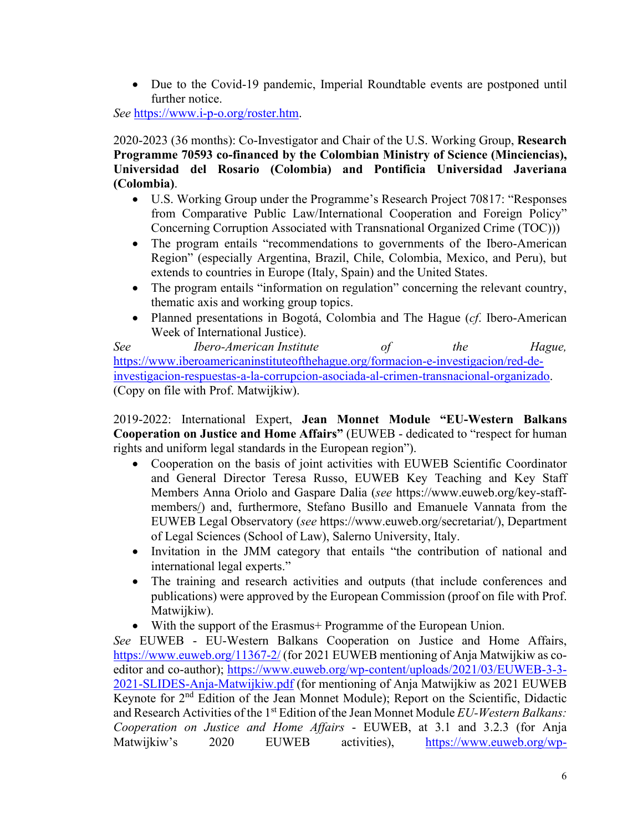• Due to the Covid-19 pandemic, Imperial Roundtable events are postponed until further notice.

*See* [https://www.i-p-o.org/roster.htm.](https://www.i-p-o.org/roster.htm)

2020-2023 (36 months): Co-Investigator and Chair of the U.S. Working Group, **Research Programme 70593 co-financed by the Colombian Ministry of Science (Minciencias), Universidad del Rosario (Colombia) and Pontificia Universidad Javeriana (Colombia)**.

- U.S. Working Group under the Programme's Research Project 70817: "Responses from Comparative Public Law/International Cooperation and Foreign Policy" Concerning Corruption Associated with Transnational Organized Crime (TOC)))
- The program entails "recommendations to governments of the Ibero-American Region" (especially Argentina, Brazil, Chile, Colombia, Mexico, and Peru), but extends to countries in Europe (Italy, Spain) and the United States.
- The program entails "information on regulation" concerning the relevant country, thematic axis and working group topics.
- Planned presentations in Bogotá, Colombia and The Hague (*cf*. Ibero-American Week of International Justice).

*See Ibero-American Institute of the Hague,*  [https://www.iberoamericaninstituteofthehague.org/formacion-e-investigacion/red-de](https://www.iberoamericaninstituteofthehague.org/formacion-e-investigacion/red-de-investigacion-respuestas-a-la-corrupcion-asociada-al-crimen-transnacional-organizado)[investigacion-respuestas-a-la-corrupcion-asociada-al-crimen-transnacional-organizado.](https://www.iberoamericaninstituteofthehague.org/formacion-e-investigacion/red-de-investigacion-respuestas-a-la-corrupcion-asociada-al-crimen-transnacional-organizado) (Copy on file with Prof. Matwijkiw).

2019-2022: International Expert, **Jean Monnet Module "EU-Western Balkans Cooperation on Justice and Home Affairs"** (EUWEB - dedicated to "respect for human rights and uniform legal standards in the European region").

- Cooperation on the basis of joint activities with EUWEB Scientific Coordinator and General Director Teresa Russo, EUWEB Key Teaching and Key Staff Members Anna Oriolo and Gaspare Dalia (*see* [https://www.euweb.org/key-staff](https://www.euweb.org/key-staff-members/)[members/\)](https://www.euweb.org/key-staff-members/) and, furthermore, Stefano Busillo and Emanuele Vannata from the EUWEB Legal Observatory (*see* [https://www.euweb.org/secretariat/\)](https://www.euweb.org/secretariat/), Department of Legal Sciences (School of Law), Salerno University, Italy.
- Invitation in the JMM category that entails "the contribution of national and international legal experts."
- The training and research activities and outputs (that include conferences and publications) were approved by the European Commission (proof on file with Prof. Matwijkiw).
- With the support of the Erasmus + Programme of the European Union.

*See* EUWEB - EU-Western Balkans Cooperation on Justice and Home Affairs, <https://www.euweb.org/11367-2/> (for 2021 EUWEB mentioning of Anja Matwijkiw as coeditor and co-author); [https://www.euweb.org/wp-content/uploads/2021/03/EUWEB-3-3-](https://www.euweb.org/wp-content/uploads/2021/03/EUWEB-3-3-2021-SLIDES-Anja-Matwijkiw.pdf) [2021-SLIDES-Anja-Matwijkiw.pdf](https://www.euweb.org/wp-content/uploads/2021/03/EUWEB-3-3-2021-SLIDES-Anja-Matwijkiw.pdf) (for mentioning of Anja Matwijkiw as 2021 EUWEB Keynote for 2nd Edition of the Jean Monnet Module); Report on the Scientific, Didactic and Research Activities of the 1st Edition of the Jean Monnet Module *EU-Western Balkans: Cooperation on Justice and Home Affairs* - EUWEB, at 3.1 and 3.2.3 (for Anja Matwijkiw's 2020 EUWEB activities), [https://www.euweb.org/wp-](https://www.euweb.org/wp-content/uploads/2020/08/ReportEUWEB-Activities-convertito.pdf)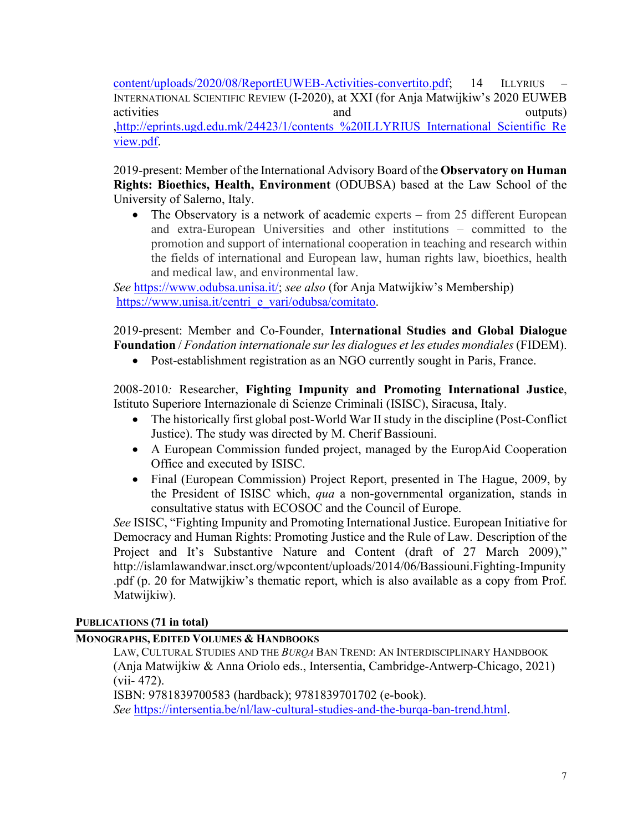[content/uploads/2020/08/ReportEUWEB-Activities-convertito.pdf;](https://www.euweb.org/wp-content/uploads/2020/08/ReportEUWEB-Activities-convertito.pdf) 14 ILLYRIUS – INTERNATIONAL SCIENTIFIC REVIEW (I-2020), at XXI (for Anja Matwijkiw's 2020 EUWEB activities and and outputs) [,http://eprints.ugd.edu.mk/24423/1/contents\\_%20ILLYRIUS\\_International\\_Scientific\\_Re](http://eprints.ugd.edu.mk/24423/1/contents_%20ILLYRIUS_International_Scientific_Review.pdf) [view.pdf.](http://eprints.ugd.edu.mk/24423/1/contents_%20ILLYRIUS_International_Scientific_Review.pdf)

2019-present: Member of the International Advisory Board of the **Observatory on Human Rights: Bioethics, Health, Environment** (ODUBSA) based at the Law School of the University of Salerno, Italy.

• The Observatory is a network of academic experts – from 25 different European and extra-European Universities and other institutions – committed to the promotion and support of international cooperation in teaching and research within the fields of international and European law, human rights law, bioethics, health and medical law, and environmental law.

*See* [https://www.odubsa.unisa.it/;](https://www.odubsa.unisa.it/) *see also* (for Anja Matwijkiw's Membership) [https://www.unisa.it/centri\\_e\\_vari/odubsa/comitato.](https://www.unisa.it/centri_e_vari/odubsa/comitato)

2019-present: Member and Co-Founder, **International Studies and Global Dialogue Foundation** / *Fondation internationale sur les dialogues et les etudes mondiales*(FIDEM).

• Post-establishment registration as an NGO currently sought in Paris, France.

2008-2010*:* Researcher, **Fighting Impunity and Promoting International Justice**, Istituto Superiore Internazionale di Scienze Criminali (ISISC), Siracusa, Italy.

- The historically first global post-World War II study in the discipline (Post-Conflict Justice). The study was directed by M. Cherif Bassiouni.
- A European Commission funded project, managed by the EuropAid Cooperation Office and executed by ISISC.
- Final (European Commission) Project Report, presented in The Hague, 2009, by the President of ISISC which, *qua* a non-governmental organization, stands in consultative status with ECOSOC and the Council of Europe.

*See* ISISC, "Fighting Impunity and Promoting International Justice. European Initiative for Democracy and Human Rights: Promoting Justice and the Rule of Law. Description of the Project and It's Substantive Nature and Content (draft of 27 March 2009)," <http://islamlawandwar.insct.org/wpcontent/uploads/2014/06/Bassiouni.Fighting-Impunity> .pdf (p. 20 for Matwijkiw's thematic report, which is also available as a copy from Prof. Matwijkiw).

## **PUBLICATIONS (71 in total)**

## **MONOGRAPHS, EDITED VOLUMES & HANDBOOKS**

LAW, CULTURAL STUDIES AND THE *BURQA* BAN TREND: AN INTERDISCIPLINARY HANDBOOK (Anja Matwijkiw & Anna Oriolo eds., Intersentia, Cambridge-Antwerp-Chicago, 2021) (vii- 472).

ISBN: 9781839700583 (hardback); 9781839701702 (e-book). *See* [https://intersentia.be/nl/law-cultural-studies-and-the-burqa-ban-trend.html.](https://intersentia.be/nl/law-cultural-studies-and-the-burqa-ban-trend.html)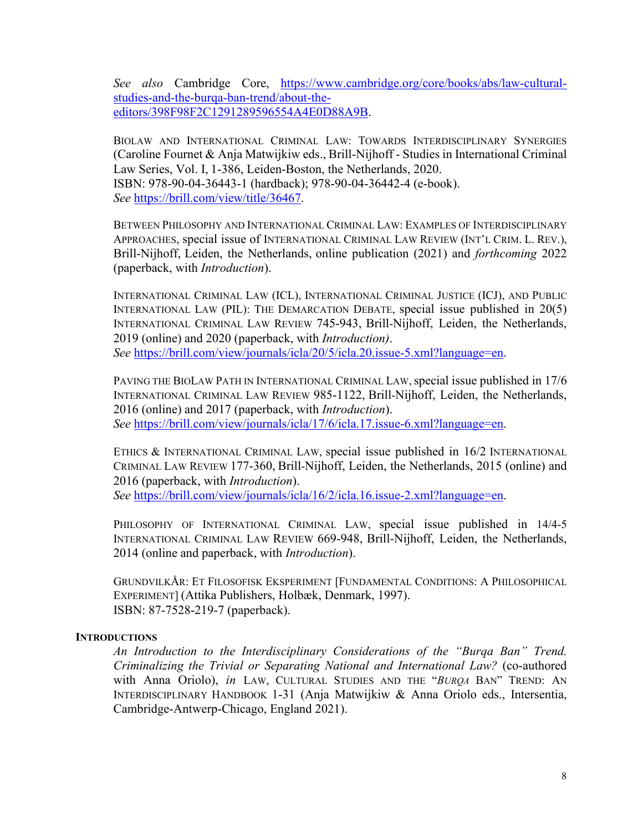*See also* Cambridge Core, [https://www.cambridge.org/core/books/abs/law-cultural](https://www.cambridge.org/core/books/abs/law-cultural-studies-and-the-burqa-ban-trend/about-the-editors/398F98F2C1291289596554A4E0D88A9B)[studies-and-the-burqa-ban-trend/about-the](https://www.cambridge.org/core/books/abs/law-cultural-studies-and-the-burqa-ban-trend/about-the-editors/398F98F2C1291289596554A4E0D88A9B)[editors/398F98F2C1291289596554A4E0D88A9B.](https://www.cambridge.org/core/books/abs/law-cultural-studies-and-the-burqa-ban-trend/about-the-editors/398F98F2C1291289596554A4E0D88A9B)

BIOLAW AND INTERNATIONAL CRIMINAL LAW: TOWARDS INTERDISCIPLINARY SYNERGIES (Caroline Fournet & Anja Matwijkiw eds., Brill-Nijhoff - Studies in International Criminal Law Series, Vol. I, 1-386, Leiden-Boston, the Netherlands, 2020. ISBN: 978-90-04-36443-1 (hardback); 978-90-04-36442-4 (e-book). *See* [https://brill.com/view/title/36467.](https://brill.com/view/title/36467)

BETWEEN PHILOSOPHY AND INTERNATIONAL CRIMINAL LAW: EXAMPLES OF INTERDISCIPLINARY APPROACHES, special issue of INTERNATIONAL CRIMINAL LAW REVIEW (INT'L CRIM. L. REV.), Brill-Nijhoff, Leiden, the Netherlands, online publication (2021) and *forthcoming* 2022 (paperback, with *Introduction*).

INTERNATIONAL CRIMINAL LAW (ICL), INTERNATIONAL CRIMINAL JUSTICE (ICJ), AND PUBLIC INTERNATIONAL LAW (PIL): THE DEMARCATION DEBATE, special issue published in 20(5) INTERNATIONAL CRIMINAL LAW REVIEW 745-943, Brill-Nijhoff, Leiden, the Netherlands, 2019 (online) and 2020 (paperback, with *Introduction)*. *See* [https://brill.com/view/journals/icla/20/5/icla.20.issue-5.xml?language=en.](https://brill.com/view/journals/icla/20/5/icla.20.issue-5.xml?language=en)

PAVING THE BIOLAW PATH IN INTERNATIONAL CRIMINAL LAW, special issue published in 17/6 INTERNATIONAL CRIMINAL LAW REVIEW 985-1122, Brill-Nijhoff, Leiden, the Netherlands, 2016 (online) and 2017 (paperback, with *Introduction*). *See* [https://brill.com/view/journals/icla/17/6/icla.17.issue-6.xml?language=en.](https://brill.com/view/journals/icla/17/6/icla.17.issue-6.xml?language=en)

ETHICS & INTERNATIONAL CRIMINAL LAW, special issue published in 16/2 INTERNATIONAL CRIMINAL LAW REVIEW 177-360, Brill-Nijhoff, Leiden, the Netherlands, 2015 (online) and 2016 (paperback, with *Introduction*). *See* [https://brill.com/view/journals/icla/16/2/icla.16.issue-2.xml?language=en.](https://brill.com/view/journals/icla/16/2/icla.16.issue-2.xml?language=en)

PHILOSOPHY OF INTERNATIONAL CRIMINAL LAW, special issue published in 14/4-5 INTERNATIONAL CRIMINAL LAW REVIEW 669-948, Brill-Nijhoff, Leiden, the Netherlands, 2014 (online and paperback, with *Introduction*).

GRUNDVILKÅR: ET FILOSOFISK EKSPERIMENT [FUNDAMENTAL CONDITIONS: A PHILOSOPHICAL EXPERIMENT] (Attika Publishers, Holbæk, Denmark, 1997). ISBN: 87-7528-219-7 (paperback).

#### **INTRODUCTIONS**

*An Introduction to the Interdisciplinary Considerations of the "Burqa Ban" Trend. Criminalizing the Trivial or Separating National and International Law?* (co-authored with Anna Oriolo), *in* LAW, CULTURAL STUDIES AND THE "*BURQA* BAN" TREND: AN INTERDISCIPLINARY HANDBOOK 1-31 (Anja Matwijkiw & Anna Oriolo eds., Intersentia, Cambridge-Antwerp-Chicago, England 2021).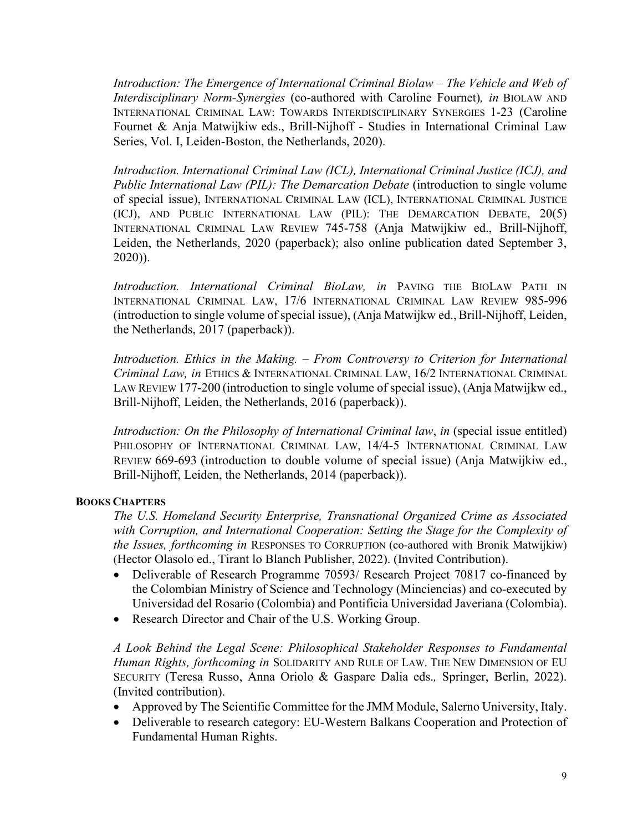*Introduction: The Emergence of International Criminal Biolaw – The Vehicle and Web of Interdisciplinary Norm-Synergies* (co-authored with Caroline Fournet)*, in* BIOLAW AND INTERNATIONAL CRIMINAL LAW: TOWARDS INTERDISCIPLINARY SYNERGIES 1-23 (Caroline Fournet & Anja Matwijkiw eds., Brill-Nijhoff - Studies in International Criminal Law Series, Vol. I, Leiden-Boston, the Netherlands, 2020).

*Introduction. International Criminal Law (ICL), International Criminal Justice (ICJ), and Public International Law (PIL): The Demarcation Debate* (introduction to single volume of special issue), INTERNATIONAL CRIMINAL LAW (ICL), INTERNATIONAL CRIMINAL JUSTICE (ICJ), AND PUBLIC INTERNATIONAL LAW (PIL): THE DEMARCATION DEBATE, 20(5) INTERNATIONAL CRIMINAL LAW REVIEW 745-758 (Anja Matwijkiw ed., Brill-Nijhoff, Leiden, the Netherlands, 2020 (paperback); also online publication dated September 3, 2020)).

*Introduction. International Criminal BioLaw, in* PAVING THE BIOLAW PATH IN INTERNATIONAL CRIMINAL LAW, 17/6 INTERNATIONAL CRIMINAL LAW REVIEW 985-996 (introduction to single volume of special issue), (Anja Matwijkw ed., Brill-Nijhoff, Leiden, the Netherlands, 2017 (paperback)).

*Introduction. Ethics in the Making. – From Controversy to Criterion for International Criminal Law, in* ETHICS & INTERNATIONAL CRIMINAL LAW, 16/2 INTERNATIONAL CRIMINAL LAW REVIEW 177-200 (introduction to single volume of special issue), (Anja Matwijkw ed., Brill-Nijhoff, Leiden, the Netherlands, 2016 (paperback)).

*Introduction: On the Philosophy of International Criminal law*, *in* (special issue entitled) PHILOSOPHY OF INTERNATIONAL CRIMINAL LAW, 14/4-5 INTERNATIONAL CRIMINAL LAW REVIEW 669-693 (introduction to double volume of special issue) (Anja Matwijkiw ed., Brill-Nijhoff, Leiden, the Netherlands, 2014 (paperback)).

## **BOOKS CHAPTERS**

*The U.S. Homeland Security Enterprise, Transnational Organized Crime as Associated with Corruption, and International Cooperation: Setting the Stage for the Complexity of the Issues, forthcoming in* RESPONSES TO CORRUPTION (co-authored with Bronik Matwijkiw) (Hector Olasolo ed., Tirant lo Blanch Publisher, 2022). (Invited Contribution).

- Deliverable of Research Programme 70593/ Research Project 70817 co-financed by the Colombian Ministry of Science and Technology (Minciencias) and co-executed by Universidad del Rosario (Colombia) and Pontificia Universidad Javeriana (Colombia).
- Research Director and Chair of the U.S. Working Group.

*A Look Behind the Legal Scene: Philosophical Stakeholder Responses to Fundamental Human Rights, forthcoming in* SOLIDARITY AND RULE OF LAW. THE NEW DIMENSION OF EU SECURITY (Teresa Russo, Anna Oriolo & Gaspare Dalia eds.*,* Springer, Berlin, 2022). (Invited contribution).

- Approved by The Scientific Committee for the JMM Module, Salerno University, Italy.
- Deliverable to research category: EU-Western Balkans Cooperation and Protection of Fundamental Human Rights.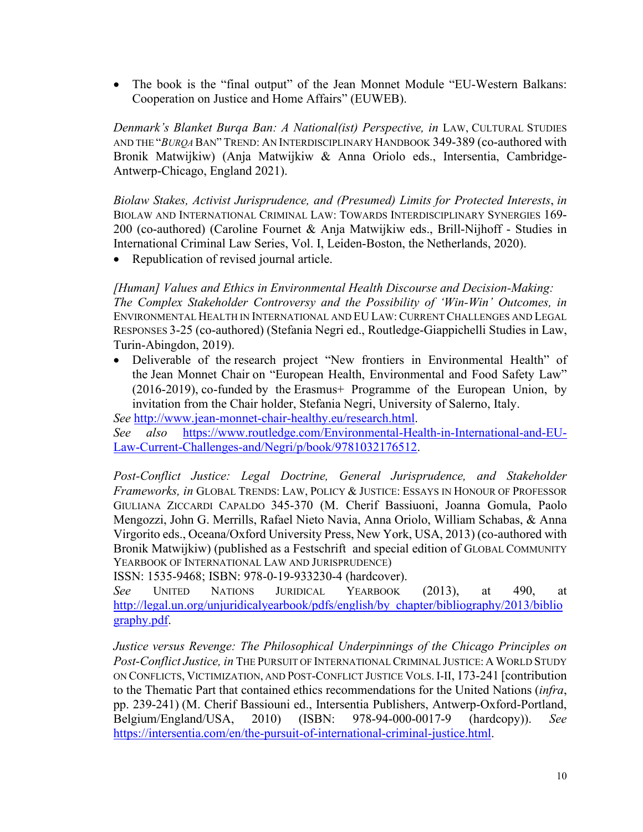• The book is the "final output" of the Jean Monnet Module "EU-Western Balkans: Cooperation on Justice and Home Affairs" (EUWEB).

*Denmark's Blanket Burqa Ban: A National(ist) Perspective, in LAW, CULTURAL STUDIES* AND THE "*BURQA*BAN" TREND: AN INTERDISCIPLINARY HANDBOOK 349-389 (co-authored with Bronik Matwijkiw) (Anja Matwijkiw & Anna Oriolo eds., Intersentia, Cambridge-Antwerp-Chicago, England 2021).

*Biolaw Stakes, Activist Jurisprudence, and (Presumed) Limits for Protected Interests*, *in*  BIOLAW AND INTERNATIONAL CRIMINAL LAW: TOWARDS INTERDISCIPLINARY SYNERGIES 169- 200 (co-authored) (Caroline Fournet & Anja Matwijkiw eds., Brill-Nijhoff - Studies in International Criminal Law Series, Vol. I, Leiden-Boston, the Netherlands, 2020).

• Republication of revised journal article.

*[Human] Values and Ethics in Environmental Health Discourse and Decision-Making: The Complex Stakeholder Controversy and the Possibility of 'Win-Win' Outcomes, in* ENVIRONMENTAL HEALTH IN INTERNATIONAL AND EU LAW: CURRENT CHALLENGES AND LEGAL RESPONSES 3-25 (co-authored) (Stefania Negri ed., Routledge-Giappichelli Studies in Law, Turin-Abingdon, 2019).

• Deliverable of the research project "New frontiers in Environmental Health" of the Jean Monnet Chair on "European Health, Environmental and Food Safety Law" (2016-2019), co-funded by the Erasmus+ Programme of the European Union, by invitation from the Chair holder, Stefania Negri, University of Salerno, Italy.

*See* [http://www.jean-monnet-chair-healthy.eu/research.html.](http://www.jean-monnet-chair-healthy.eu/research.html)

*See also* [https://www.routledge.com/Environmental-Health-in-International-and-EU-](https://www.routledge.com/Environmental-Health-in-International-and-EU-Law-Current-Challenges-and/Negri/p/book/9781032176512)[Law-Current-Challenges-and/Negri/p/book/9781032176512.](https://www.routledge.com/Environmental-Health-in-International-and-EU-Law-Current-Challenges-and/Negri/p/book/9781032176512)

Post-Conflict Justice: Legal Doctrine, General Jurisprudence, and Stakeholder *Frameworks, in* GLOBAL TRENDS: LAW, POLICY & JUSTICE: ESSAYS IN HONOUR OF PROFESSOR GIULIANA ZICCARDI CAPALDO 345-370 (M. Cherif Bassiuoni, Joanna Gomula, Paolo Mengozzi, John G. Merrills, Rafael Nieto Navia, Anna Oriolo, William Schabas, & Anna Virgorito eds., Oceana/Oxford University Press, New York, USA, 2013) (co-authored with Bronik Matwijkiw) (published as a Festschrift and special edition of GLOBAL COMMUNITY YEARBOOK OF INTERNATIONAL LAW AND JURISPRUDENCE)

ISSN: 1535-9468; ISBN: 978-0-19-933230-4 (hardcover).

*See* UNITED NATIONS JURIDICAL YEARBOOK (2013), at 490, at [http://legal.un.org/unjuridicalyearbook/pdfs/english/by\\_chapter/bibliography/2013/biblio](http://legal.un.org/unjuridicalyearbook/pdfs/english/by_chapter/bibliography/2013/bibliography.pdf) [graphy.pdf.](http://legal.un.org/unjuridicalyearbook/pdfs/english/by_chapter/bibliography/2013/bibliography.pdf)

*Justice versus Revenge: The Philosophical Underpinnings of the Chicago Principles on Post-Conflict Justice, in* THE PURSUIT OF INTERNATIONAL CRIMINAL JUSTICE: A WORLD STUDY ON CONFLICTS, VICTIMIZATION, AND POST-CONFLICT JUSTICE VOLS. I-II, 173-241 [contribution to the Thematic Part that contained ethics recommendations for the United Nations (*infra*, pp. 239-241) (M. Cherif Bassiouni ed., Intersentia Publishers, Antwerp-Oxford-Portland, Belgium/England/USA, 2010) (ISBN: 978-94-000-0017-9 (hardcopy)). *See* [https://intersentia.com/en/the-pursuit-of-international-criminal-justice.html.](https://intersentia.com/en/the-pursuit-of-international-criminal-justice.html)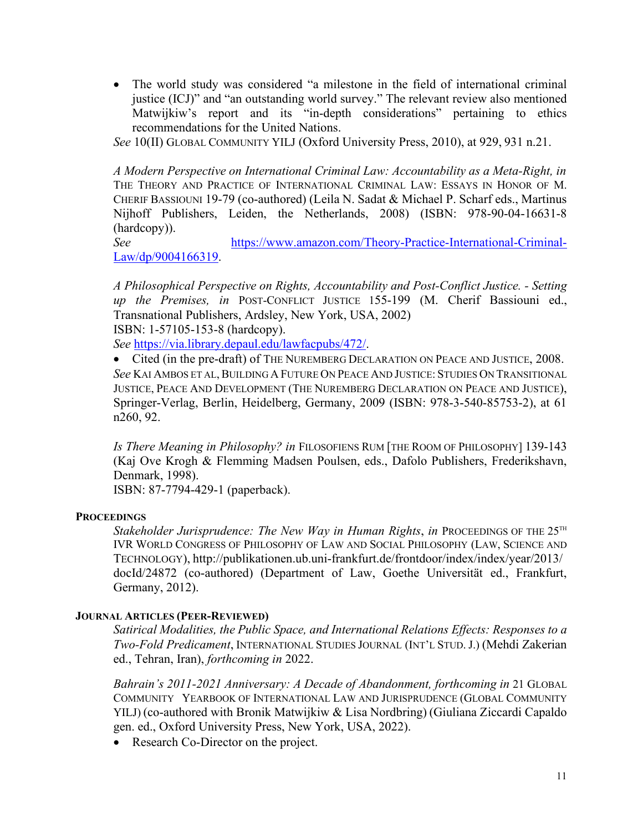• The world study was considered "a milestone in the field of international criminal justice (ICJ)" and "an outstanding world survey." The relevant review also mentioned Matwijkiw's report and its "in-depth considerations" pertaining to ethics recommendations for the United Nations.

*See* 10(II) GLOBAL COMMUNITY YILJ (Oxford University Press, 2010), at 929, 931 n.21.

*A Modern Perspective on International Criminal Law: Accountability as a Meta-Right, in*  THE THEORY AND PRACTICE OF INTERNATIONAL CRIMINAL LAW: ESSAYS IN HONOR OF M. CHERIF BASSIOUNI 19-79 (co-authored) (Leila N. Sadat & Michael P. Scharf eds., Martinus Nijhoff Publishers, Leiden, the Netherlands, 2008) (ISBN: 978-90-04-16631-8 (hardcopy)).

*See* [https://www.amazon.com/Theory-Practice-International-Criminal-](https://www.amazon.com/Theory-Practice-International-Criminal-Law/dp/9004166319)[Law/dp/9004166319.](https://www.amazon.com/Theory-Practice-International-Criminal-Law/dp/9004166319)

*A Philosophical Perspective on Rights, Accountability and Post-Conflict Justice. - Setting up the Premises, in* POST-CONFLICT JUSTICE 155-199 (M. Cherif Bassiouni ed., Transnational Publishers, Ardsley, New York, USA, 2002) ISBN: 1-57105-153-8 (hardcopy).

*See* [https://via.library.depaul.edu/lawfacpubs/472/.](https://via.library.depaul.edu/lawfacpubs/472/)

• Cited (in the pre-draft) of THE NUREMBERG DECLARATION ON PEACE AND JUSTICE, 2008. *See* KAI AMBOS ET AL,BUILDING A FUTURE ON PEACE AND JUSTICE: STUDIES ON TRANSITIONAL JUSTICE, PEACE AND DEVELOPMENT (THE NUREMBERG DECLARATION ON PEACE AND JUSTICE), Springer-Verlag, Berlin, Heidelberg, Germany, 2009 (ISBN: 978-3-540-85753-2), at 61 n260, 92.

*Is There Meaning in Philosophy? in* FILOSOFIENS RUM [THE ROOM OF PHILOSOPHY] 139-143 (Kaj Ove Krogh & Flemming Madsen Poulsen, eds., Dafolo Publishers, Frederikshavn, Denmark, 1998).

ISBN: 87-7794-429-1 (paperback).

#### **PROCEEDINGS**

*Stakeholder Jurisprudence: The New Way in Human Rights, in PROCEEDINGS OF THE 25<sup>TH</sup>* IVR WORLD CONGRESS OF PHILOSOPHY OF LAW AND SOCIAL PHILOSOPHY (LAW, SCIENCE AND TECHNOLOGY), http://publikationen.ub.uni-frankfurt.de/frontdoor/index/index/year/2013/ docId/24872 (co-authored) (Department of Law, Goethe Universität ed., Frankfurt, Germany, 2012).

#### **JOURNAL ARTICLES (PEER-REVIEWED)**

*Satirical Modalities, the Public Space, and International Relations Effects: Responses to a Two-Fold Predicament*, INTERNATIONAL STUDIES JOURNAL (INT'L STUD. J.) (Mehdi Zakerian ed., Tehran, Iran), *forthcoming in* 2022.

*Bahrain's 2011-2021 Anniversary: A Decade of Abandonment, forthcoming in* 21 GLOBAL COMMUNITY YEARBOOK OF INTERNATIONAL LAW AND JURISPRUDENCE (GLOBAL COMMUNITY YILJ) (co-authored with Bronik Matwijkiw & Lisa Nordbring) (Giuliana Ziccardi Capaldo gen. ed., Oxford University Press, New York, USA, 2022).

• Research Co-Director on the project.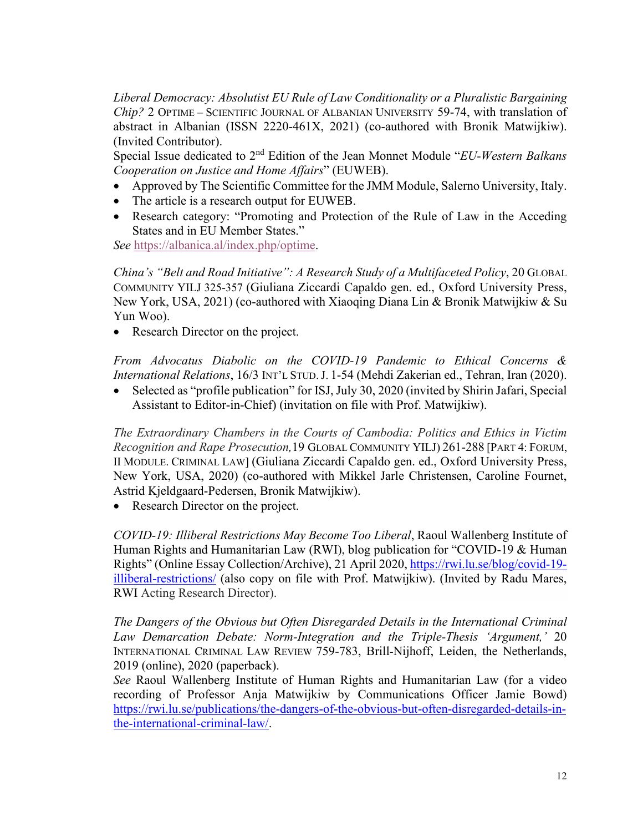*Liberal Democracy: Absolutist EU Rule of Law Conditionality or a Pluralistic Bargaining Chip?* 2 OPTIME – SCIENTIFIC JOURNAL OF ALBANIAN UNIVERSITY 59-74, with translation of abstract in Albanian (ISSN 2220-461X, 2021) (co-authored with Bronik Matwijkiw). (Invited Contributor).

Special Issue dedicated to 2nd Edition of the Jean Monnet Module "*EU-Western Balkans Cooperation on Justice and Home Affairs*" (EUWEB).

- Approved by The Scientific Committee for the JMM Module, Salerno University, Italy.
- The article is a research output for EUWEB.
- Research category: "Promoting and Protection of the Rule of Law in the Acceding States and in EU Member States."

*See* [https://albanica.al/index.php/optime.](https://albanica.al/index.php/optime)

*China's "Belt and Road Initiative": A Research Study of a Multifaceted Policy*, 20 GLOBAL COMMUNITY YILJ 325-357 (Giuliana Ziccardi Capaldo gen. ed., Oxford University Press, New York, USA, 2021) (co-authored with Xiaoqing Diana Lin & Bronik Matwijkiw & Su Yun Woo).

• Research Director on the project.

*From Advocatus Diabolic on the COVID-19 Pandemic to Ethical Concerns & International Relations*, 16/3 INT'L STUD.J. 1-54 (Mehdi Zakerian ed., Tehran, Iran (2020).

• Selected as "profile publication" for ISJ, July 30, 2020 (invited by Shirin Jafari, Special Assistant to Editor-in-Chief) (invitation on file with Prof. Matwijkiw).

*The Extraordinary Chambers in the Courts of Cambodia: Politics and Ethics in Victim Recognition and Rape Prosecution,*19 GLOBAL COMMUNITY YILJ) 261-288 [PART 4: FORUM, II MODULE. CRIMINAL LAW] (Giuliana Ziccardi Capaldo gen. ed., Oxford University Press, New York, USA, 2020) (co-authored with Mikkel Jarle Christensen, Caroline Fournet, Astrid Kjeldgaard-Pedersen, Bronik Matwijkiw).

• Research Director on the project.

*COVID-19: Illiberal Restrictions May Become Too Liberal*, Raoul Wallenberg Institute of Human Rights and Humanitarian Law (RWI), blog publication for "COVID-19 & Human Rights" (Online Essay Collection/Archive), 21 April 2020[, https://rwi.lu.se/blog/covid-19](https://rwi.lu.se/blog/covid-19-illiberal-restrictions/) [illiberal-restrictions/](https://rwi.lu.se/blog/covid-19-illiberal-restrictions/) (also copy on file with Prof. Matwijkiw). (Invited by Radu Mares, RWI Acting Research Director).

*The Dangers of the Obvious but Often Disregarded Details in the International Criminal Law Demarcation Debate: Norm-Integration and the Triple-Thesis 'Argument,'* 20 INTERNATIONAL CRIMINAL LAW REVIEW 759-783, Brill-Nijhoff, Leiden, the Netherlands, 2019 (online), 2020 (paperback).

*See* Raoul Wallenberg Institute of Human Rights and Humanitarian Law (for a video recording of Professor Anja Matwijkiw by Communications Officer Jamie Bowd) [https://rwi.lu.se/publications/the-dangers-of-the-obvious-but-often-disregarded-details-in](https://rwi.lu.se/publications/the-dangers-of-the-obvious-but-often-disregarded-details-in-the-international-criminal-law/)[the-international-criminal-law/.](https://rwi.lu.se/publications/the-dangers-of-the-obvious-but-often-disregarded-details-in-the-international-criminal-law/)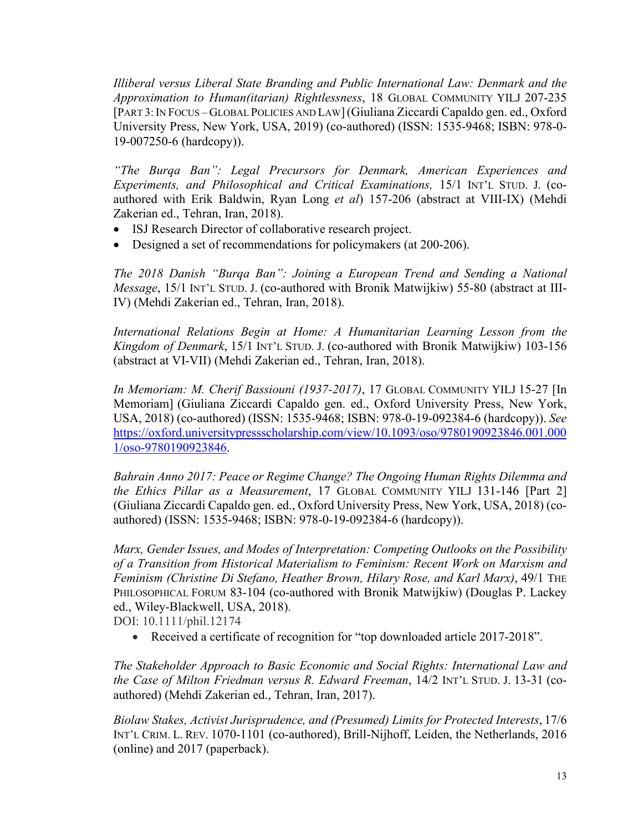*Illiberal versus Liberal State Branding and Public International Law: Denmark and the Approximation to Human(itarian) Rightlessness*, 18 GLOBAL COMMUNITY YILJ 207-235 [PART 3: IN FOCUS – GLOBAL POLICIES AND LAW](Giuliana Ziccardi Capaldo gen. ed., Oxford University Press, New York, USA, 2019) (co-authored) (ISSN: 1535-9468; ISBN: 978-0- 19-007250-6 (hardcopy)).

*"The Burqa Ban": Legal Precursors for Denmark, American Experiences and Experiments, and Philosophical and Critical Examinations,* 15/1 INT'L STUD. J. (coauthored with Erik Baldwin, Ryan Long *et al*) 157-206 (abstract at VIII-IX) (Mehdi Zakerian ed., Tehran, Iran, 2018).

- ISJ Research Director of collaborative research project.
- Designed a set of recommendations for policymakers (at 200-206).

*The 2018 Danish "Burqa Ban": Joining a European Trend and Sending a National Message*, 15/1 INT'L STUD. J. (co-authored with Bronik Matwijkiw) 55-80 (abstract at III-IV) (Mehdi Zakerian ed., Tehran, Iran, 2018).

*International Relations Begin at Home: A Humanitarian Learning Lesson from the Kingdom of Denmark*, 15/1 INT'L STUD. J. (co-authored with Bronik Matwijkiw) 103-156 (abstract at VI-VII) (Mehdi Zakerian ed., Tehran, Iran, 2018).

*In Memoriam: M. Cherif Bassiouni (1937-2017)*, 17 GLOBAL COMMUNITY YILJ 15-27 [In Memoriam] (Giuliana Ziccardi Capaldo gen. ed., Oxford University Press, New York, USA, 2018) (co-authored) (ISSN: 1535-9468; ISBN: 978-0-19-092384-6 (hardcopy)). *See* [https://oxford.universitypressscholarship.com/view/10.1093/oso/9780190923846.001.000](https://oxford.universitypressscholarship.com/view/10.1093/oso/9780190923846.001.0001/oso-9780190923846) [1/oso-9780190923846.](https://oxford.universitypressscholarship.com/view/10.1093/oso/9780190923846.001.0001/oso-9780190923846)

*Bahrain Anno 2017: Peace or Regime Change? The Ongoing Human Rights Dilemma and the Ethics Pillar as a Measurement*, 17 GLOBAL COMMUNITY YILJ 131-146 [Part 2] (Giuliana Ziccardi Capaldo gen. ed., Oxford University Press, New York, USA, 2018) (coauthored) (ISSN: 1535-9468; ISBN: 978-0-19-092384-6 (hardcopy)).

*Marx, Gender Issues, and Modes of Interpretation: Competing Outlooks on the Possibility of a Transition from Historical Materialism to Feminism: Recent Work on Marxism and Feminism (Christine Di Stefano, Heather Brown, Hilary Rose, and Karl Marx)*, 49/1 THE PHILOSOPHICAL FORUM 83-104 (co-authored with Bronik Matwijkiw) (Douglas P. Lackey ed., Wiley-Blackwell, USA, 2018).

DOI: 10.1111/phil.12174

• Received a certificate of recognition for "top downloaded article 2017-2018".

*The Stakeholder Approach to Basic Economic and Social Rights: International Law and the Case of Milton Friedman versus R. Edward Freeman*, 14/2 INT'L STUD. J. 13-31 (coauthored) (Mehdi Zakerian ed., Tehran, Iran, 2017).

*Biolaw Stakes, Activist Jurisprudence, and (Presumed) Limits for Protected Interests*, 17/6 INT'L CRIM. L. REV. 1070-1101 (co-authored), Brill-Nijhoff, Leiden, the Netherlands, 2016 (online) and 2017 (paperback).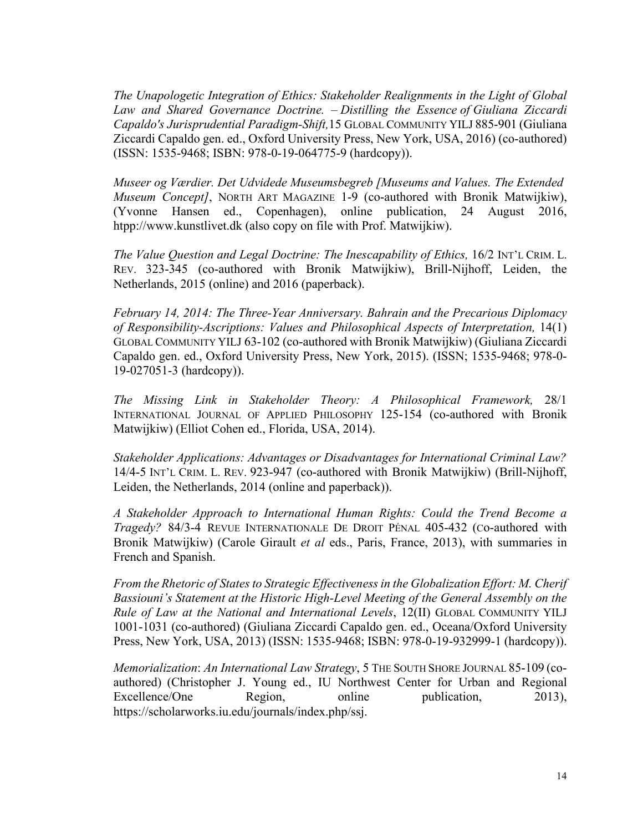*The Unapologetic Integration of Ethics: Stakeholder Realignments in the Light of Global Law and Shared Governance Doctrine. – Distilling the Essence of Giuliana Ziccardi Capaldo's Jurisprudential Paradigm-Shift,*15 GLOBAL COMMUNITY YILJ 885-901 (Giuliana Ziccardi Capaldo gen. ed., Oxford University Press, New York, USA, 2016) (co-authored) (ISSN: 1535-9468; ISBN: 978-0-19-064775-9 (hardcopy)).

*Museer og Værdier. Det Udvidede Museumsbegreb [Museums and Values. The Extended Museum Concept]*, NORTH ART MAGAZINE 1-9 (co-authored with Bronik Matwijkiw), (Yvonne Hansen ed., Copenhagen), online publication, 24 August 2016, htpp://www.kunstlivet.dk (also copy on file with Prof. Matwijkiw).

*The Value Question and Legal Doctrine: The Inescapability of Ethics,* 16/2 INT'L CRIM. L. REV. 323-345 (co-authored with Bronik Matwijkiw), Brill-Nijhoff, Leiden, the Netherlands, 2015 (online) and 2016 (paperback).

*February 14, 2014: The Three-Year Anniversary. Bahrain and the Precarious Diplomacy of Responsibility-Ascriptions: Values and Philosophical Aspects of Interpretation,* 14(1) GLOBAL COMMUNITY YILJ 63-102 (co-authored with Bronik Matwijkiw) (Giuliana Ziccardi Capaldo gen. ed., Oxford University Press, New York, 2015). (ISSN; 1535-9468; 978-0- 19-027051-3 (hardcopy)).

*The Missing Link in Stakeholder Theory: A Philosophical Framework,* 28/1 INTERNATIONAL JOURNAL OF APPLIED PHILOSOPHY 125-154 (co-authored with Bronik Matwijkiw) (Elliot Cohen ed., Florida, USA, 2014).

*Stakeholder Applications: Advantages or Disadvantages for International Criminal Law?*  14/4-5 INT'L CRIM. L. REV. 923-947 (co-authored with Bronik Matwijkiw) (Brill-Nijhoff, Leiden, the Netherlands, 2014 (online and paperback)).

*A Stakeholder Approach to International Human Rights: Could the Trend Become a Tragedy?* 84/3-4 REVUE INTERNATIONALE DE DROIT PÉNAL 405-432 (Co-authored with Bronik Matwijkiw) (Carole Girault *et al* eds., Paris, France, 2013), with summaries in French and Spanish.

*From the Rhetoric of States to Strategic Effectiveness in the Globalization Effort: M. Cherif Bassiouni's Statement at the Historic High-Level Meeting of the General Assembly on the Rule of Law at the National and International Levels*, 12(II) GLOBAL COMMUNITY YILJ 1001-1031 (co-authored) (Giuliana Ziccardi Capaldo gen. ed., Oceana/Oxford University Press, New York, USA, 2013) (ISSN: 1535-9468; ISBN: 978-0-19-932999-1 (hardcopy)).

*Memorialization*: *An International Law Strategy*, 5 THE SOUTH SHORE JOURNAL 85-109 (coauthored) (Christopher J. Young ed., IU Northwest Center for Urban and Regional Excellence/One Region, online publication, 2013), [https://scholarworks.iu.edu/journals/index.php/ssj.](https://scholarworks.iu.edu/journals/index.php/ssj)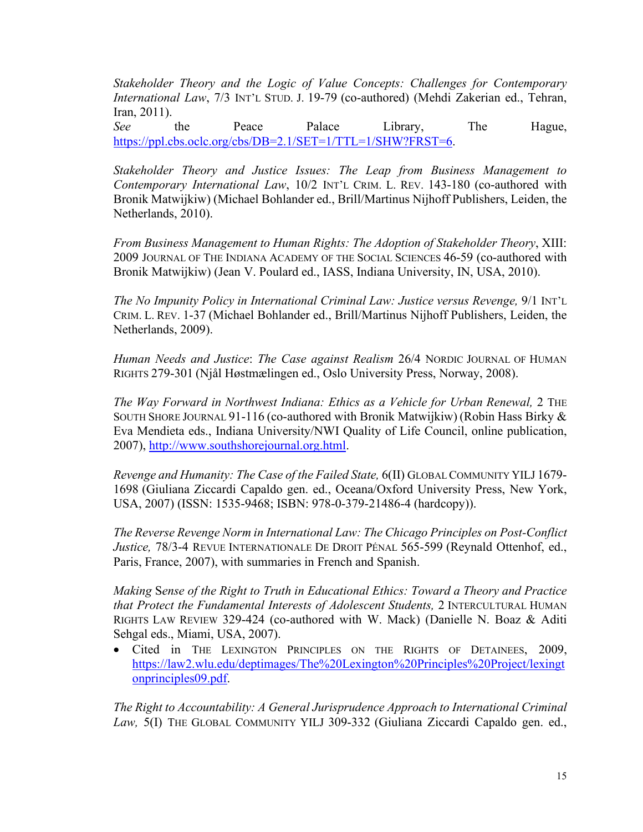*Stakeholder Theory and the Logic of Value Concepts: Challenges for Contemporary International Law*, 7/3 INT'L STUD. J. 19-79 (co-authored) (Mehdi Zakerian ed., Tehran, Iran, 2011).

*See* the Peace Palace Library, The Hague, [https://ppl.cbs.oclc.org/cbs/DB=2.1/SET=1/TTL=1/SHW?FRST=6.](https://ppl.cbs.oclc.org/cbs/DB=2.1/SET=1/TTL=1/SHW?FRST=6)

*Stakeholder Theory and Justice Issues: The Leap from Business Management to Contemporary International Law*, 10/2 INT'L CRIM. L. REV. 143-180 (co-authored with Bronik Matwijkiw) (Michael Bohlander ed., Brill/Martinus Nijhoff Publishers, Leiden, the Netherlands, 2010).

*From Business Management to Human Rights: The Adoption of Stakeholder Theory*, XIII: 2009 JOURNAL OF THE INDIANA ACADEMY OF THE SOCIAL SCIENCES 46-59 (co-authored with Bronik Matwijkiw) (Jean V. Poulard ed., IASS, Indiana University, IN, USA, 2010).

*The No Impunity Policy in International Criminal Law: Justice versus Revenge,* 9/1 INT'L CRIM. L. REV. 1-37 (Michael Bohlander ed., Brill/Martinus Nijhoff Publishers, Leiden, the Netherlands, 2009).

*Human Needs and Justice*: *The Case against Realism* 26/4 NORDIC JOURNAL OF HUMAN RIGHTS 279-301 (Njål Høstmælingen ed., Oslo University Press, Norway, 2008).

*The Way Forward in Northwest Indiana: Ethics as a Vehicle for Urban Renewal,* 2 THE SOUTH SHORE JOURNAL  $91-116$  (co-authored with Bronik Matwijkiw) (Robin Hass Birky  $\&$ Eva Mendieta eds., Indiana University/NWI Quality of Life Council, online publication, 2007), [http://www.southshorejournal.org.html.](http://www.southshorejournal.org.html/)

 *Revenge and Humanity: The Case of the Failed State,* 6(II) GLOBAL COMMUNITY YILJ 1679- 1698 (Giuliana Ziccardi Capaldo gen. ed., Oceana/Oxford University Press, New York, USA, 2007) (ISSN: 1535-9468; ISBN: 978-0-379-21486-4 (hardcopy)).

 *The Reverse Revenge Norm in International Law: The Chicago Principles on Post-Conflict Justice,* 78/3-4 REVUE INTERNATIONALE DE DROIT PÉNAL 565-599 (Reynald Ottenhof, ed., Paris, France, 2007), with summaries in French and Spanish.

*Making* S*ense of the Right to Truth in Educational Ethics: Toward a Theory and Practice that Protect the Fundamental Interests of Adolescent Students,* 2 INTERCULTURAL HUMAN RIGHTS LAW REVIEW 329-424 (co-authored with W. Mack) (Danielle N. Boaz & Aditi Sehgal eds., Miami, USA, 2007).

• Cited in THE LEXINGTON PRINCIPLES ON THE RIGHTS OF DETAINEES, 2009, [https://law2.wlu.edu/deptimages/The%20Lexington%20Principles%20Project/lexingt](https://law2.wlu.edu/deptimages/The%20Lexington%20Principles%20Project/lexingtonprinciples09.pdf) [onprinciples09.pdf.](https://law2.wlu.edu/deptimages/The%20Lexington%20Principles%20Project/lexingtonprinciples09.pdf)

 *The Right to Accountability: A General Jurisprudence Approach to International Criminal Law,* 5(I) THE GLOBAL COMMUNITY YILJ 309-332 (Giuliana Ziccardi Capaldo gen. ed.,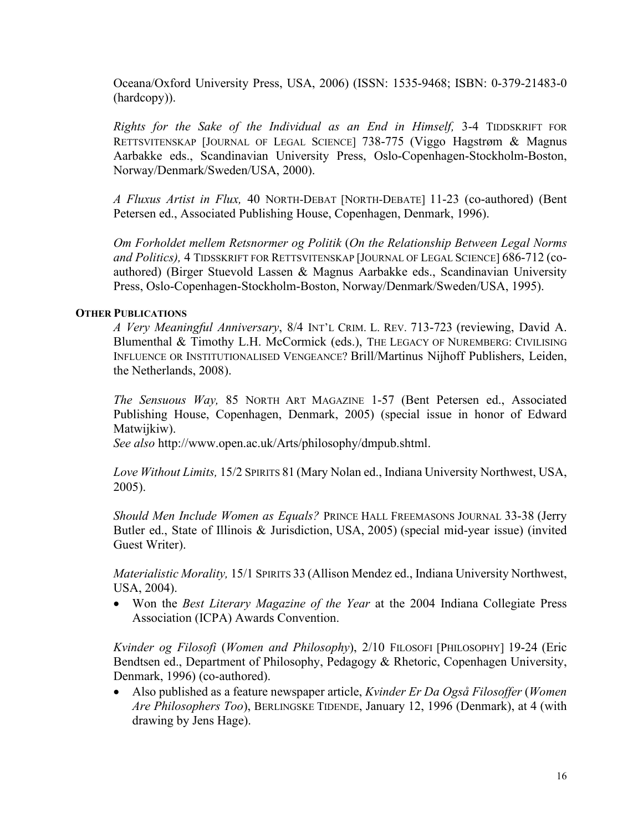Oceana/Oxford University Press, USA, 2006) (ISSN: 1535-9468; ISBN: 0-379-21483-0 (hardcopy)).

*Rights for the Sake of the Individual as an End in Himself,* 3-4 TIDDSKRIFT FOR RETTSVITENSKAP [JOURNAL OF LEGAL SCIENCE] 738-775 (Viggo Hagstrøm & Magnus Aarbakke eds., Scandinavian University Press, Oslo-Copenhagen-Stockholm-Boston, Norway/Denmark/Sweden/USA, 2000).

*A Fluxus Artist in Flux,* 40 NORTH-DEBAT [NORTH-DEBATE] 11-23 (co-authored) (Bent Petersen ed., Associated Publishing House, Copenhagen, Denmark, 1996).

*Om Forholdet mellem Retsnormer og Politik* (*On the Relationship Between Legal Norms and Politics),* 4 TIDSSKRIFT FOR RETTSVITENSKAP [JOURNAL OF LEGAL SCIENCE] 686-712 (coauthored) (Birger Stuevold Lassen & Magnus Aarbakke eds., Scandinavian University Press, Oslo-Copenhagen-Stockholm-Boston, Norway/Denmark/Sweden/USA, 1995).

#### **OTHER PUBLICATIONS**

*A Very Meaningful Anniversary*, 8/4 INT'L CRIM. L. REV. 713-723 (reviewing, David A. Blumenthal & Timothy L.H. McCormick (eds.), THE LEGACY OF NUREMBERG: CIVILISING INFLUENCE OR INSTITUTIONALISED VENGEANCE? Brill/Martinus Nijhoff Publishers, Leiden, the Netherlands, 2008).

*The Sensuous Way,* 85 NORTH ART MAGAZINE 1-57 (Bent Petersen ed., Associated Publishing House, Copenhagen, Denmark, 2005) (special issue in honor of Edward Matwijkiw).

*See also* http://www.open.ac.uk/Arts/philosophy/dmpub.shtml.

*Love Without Limits,* 15/2 SPIRITS 81 (Mary Nolan ed., Indiana University Northwest, USA, 2005).

*Should Men Include Women as Equals?* PRINCE HALL FREEMASONS JOURNAL 33-38 (Jerry Butler ed., State of Illinois & Jurisdiction, USA, 2005) (special mid-year issue) (invited Guest Writer).

*Materialistic Morality,* 15/1 SPIRITS 33 (Allison Mendez ed., Indiana University Northwest, USA, 2004).

• Won the *Best Literary Magazine of the Year* at the 2004 Indiana Collegiate Press Association (ICPA) Awards Convention.

*Kvinder og Filosofi* (*Women and Philosophy*), 2/10 FILOSOFI [PHILOSOPHY] 19-24 (Eric Bendtsen ed., Department of Philosophy, Pedagogy & Rhetoric, Copenhagen University, Denmark, 1996) (co-authored).

• Also published as a feature newspaper article, *Kvinder Er Da Også Filosoffer* (*Women Are Philosophers Too*), BERLINGSKE TIDENDE, January 12, 1996 (Denmark), at 4 (with drawing by Jens Hage).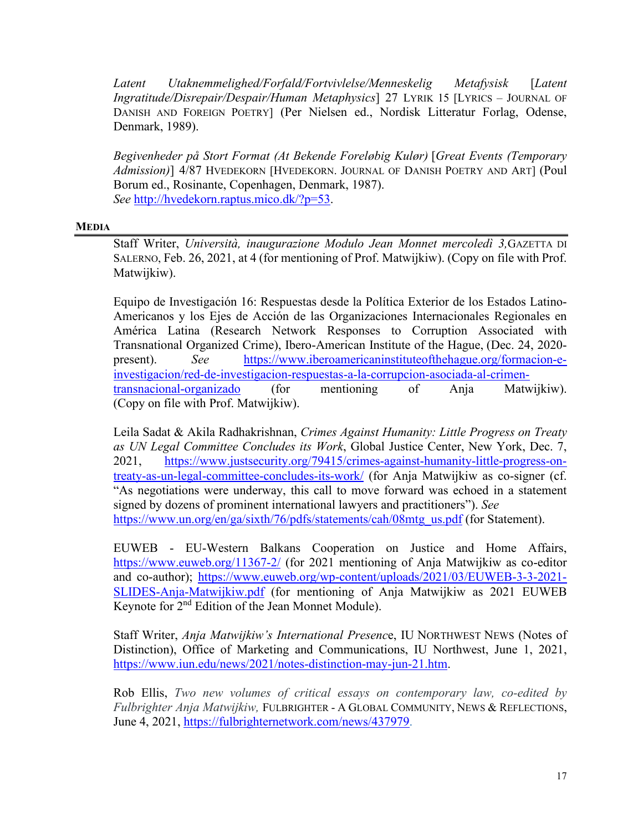*Latent Utaknemmelighed/Forfald/Fortvivlelse/Menneskelig Metafysisk* [*Latent Ingratitude/Disrepair/Despair/Human Metaphysics*] 27 LYRIK 15 [LYRICS – JOURNAL OF DANISH AND FOREIGN POETRY] (Per Nielsen ed., Nordisk Litteratur Forlag, Odense, Denmark, 1989).

*Begivenheder på Stort Format (At Bekende Foreløbig Kulør)* [*Great Events (Temporary Admission)*] 4/87 HVEDEKORN [HVEDEKORN. JOURNAL OF DANISH POETRY AND ART] (Poul Borum ed., Rosinante, Copenhagen, Denmark, 1987). *See* [http://hvedekorn.raptus.mico.dk/?p=53.](http://hvedekorn.raptus.mico.dk/?p=53)

#### **MEDIA**

Staff Writer, *Università, inaugurazione Modulo Jean Monnet mercoledì 3,*GAZETTA DI SALERNO, Feb. 26, 2021, at 4 (for mentioning of Prof. Matwijkiw). (Copy on file with Prof. Matwijkiw).

Equipo de Investigación 16: Respuestas desde la Política Exterior de los Estados Latino-Americanos y los Ejes de Acción de las Organizaciones Internacionales Regionales en América Latina (Research Network Responses to Corruption Associated with Transnational Organized Crime), Ibero-American Institute of the Hague, (Dec. 24, 2020 present). *See* [https://www.iberoamericaninstituteofthehague.org/formacion-e](https://www.iberoamericaninstituteofthehague.org/formacion-e-investigacion/red-de-investigacion-respuestas-a-la-corrupcion-asociada-al-crimen-transnacional-organizado)[investigacion/red-de-investigacion-respuestas-a-la-corrupcion-asociada-al-crimen](https://www.iberoamericaninstituteofthehague.org/formacion-e-investigacion/red-de-investigacion-respuestas-a-la-corrupcion-asociada-al-crimen-transnacional-organizado)[transnacional-organizado](https://www.iberoamericaninstituteofthehague.org/formacion-e-investigacion/red-de-investigacion-respuestas-a-la-corrupcion-asociada-al-crimen-transnacional-organizado) (for mentioning of Anja Matwijkiw). (Copy on file with Prof. Matwijkiw).

Leila Sadat & Akila Radhakrishnan, *Crimes Against Humanity: Little Progress on Treaty as UN Legal Committee Concludes its Work*, Global Justice Center, New York, Dec. 7, 2021, [https://www.justsecurity.org/79415/crimes-against-humanity-little-progress-on](https://www.justsecurity.org/79415/crimes-against-humanity-little-progress-on-treaty-as-un-legal-committee-concludes-its-work/)[treaty-as-un-legal-committee-concludes-its-work/](https://www.justsecurity.org/79415/crimes-against-humanity-little-progress-on-treaty-as-un-legal-committee-concludes-its-work/) (for Anja Matwijkiw as co-signer (cf. "As negotiations were underway, this call to move forward was echoed in a statement signed by dozens of prominent international lawyers and practitioners"). *See* [https://www.un.org/en/ga/sixth/76/pdfs/statements/cah/08mtg\\_us.pdf](https://www.un.org/en/ga/sixth/76/pdfs/statements/cah/08mtg_us.pdf) (for Statement).

EUWEB - EU-Western Balkans Cooperation on Justice and Home Affairs, <https://www.euweb.org/11367-2/> (for 2021 mentioning of Anja Matwijkiw as co-editor and co-author); [https://www.euweb.org/wp-content/uploads/2021/03/EUWEB-3-3-2021-](https://www.euweb.org/wp-content/uploads/2021/03/EUWEB-3-3-2021-SLIDES-Anja-Matwijkiw.pdf) [SLIDES-Anja-Matwijkiw.pdf](https://www.euweb.org/wp-content/uploads/2021/03/EUWEB-3-3-2021-SLIDES-Anja-Matwijkiw.pdf) (for mentioning of Anja Matwijkiw as 2021 EUWEB Keynote for 2<sup>nd</sup> Edition of the Jean Monnet Module).

Staff Writer, *Anja Matwijkiw's International Presenc*e, IU NORTHWEST NEWS (Notes of Distinction), Office of Marketing and Communications, IU Northwest, June 1, 2021, [https://www.iun.edu/news/2021/notes-distinction-may-jun-21.htm.](https://www.iun.edu/news/2021/notes-distinction-may-jun-21.htm)

Rob Ellis, *Two new volumes of critical essays on contemporary law, co-edited by Fulbrighter Anja Matwijkiw,* FULBRIGHTER - A GLOBAL COMMUNITY, NEWS & REFLECTIONS, June 4, 2021, [https://fulbrighternetwork.com/news/437979.](https://fulbrighternetwork.com/news/437979)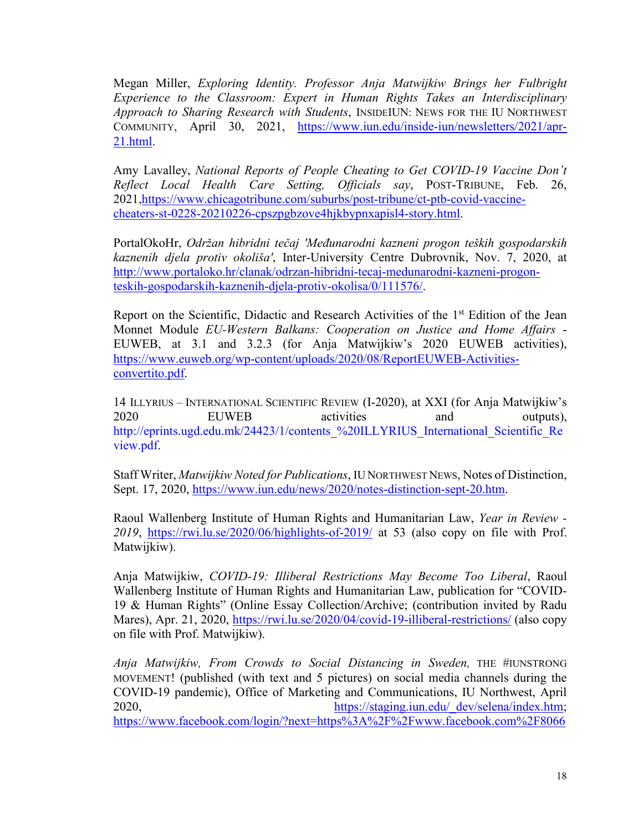Megan Miller, *Exploring Identity. Professor Anja Matwijkiw Brings her Fulbright Experience to the Classroom: Expert in Human Rights Takes an Interdisciplinary Approach to Sharing Research with Students*, INSIDEIUN: NEWS FOR THE IU NORTHWEST COMMUNITY, April 30, 2021, [https://www.iun.edu/inside-iun/newsletters/2021/apr-](https://www.iun.edu/inside-iun/newsletters/2021/apr-21.html)[21.html.](https://www.iun.edu/inside-iun/newsletters/2021/apr-21.html)

Amy Lavalley, *National Reports of People Cheating to Get COVID-19 Vaccine Don't Reflect Local Health Care Setting, Officials say*, POST-TRIBUNE, Feb. 26, 2021[,https://www.chicagotribune.com/suburbs/post-tribune/ct-ptb-covid-vaccine](https://www.chicagotribune.com/suburbs/post-tribune/ct-ptb-covid-vaccine-cheaters-st-0228-20210226-cpszpgbzove4hjkbypnxapisl4-story.html)[cheaters-st-0228-20210226-cpszpgbzove4hjkbypnxapisl4-story.html.](https://www.chicagotribune.com/suburbs/post-tribune/ct-ptb-covid-vaccine-cheaters-st-0228-20210226-cpszpgbzove4hjkbypnxapisl4-story.html)

PortalOkoHr, *Održan hibridni tečaj 'Međunarodni kazneni progon teških gospodarskih kaznenih djela protiv okoliša'*, Inter-University Centre Dubrovnik, Nov. 7, 2020, at [http://www.portaloko.hr/clanak/odrzan-hibridni-tecaj-medunarodni-kazneni-progon](http://www.portaloko.hr/clanak/odrzan-hibridni-tecaj-medunarodni-kazneni-progon-teskih-gospodarskih-kaznenih-djela-protiv-okolisa/0/111576/)[teskih-gospodarskih-kaznenih-djela-protiv-okolisa/0/111576/.](http://www.portaloko.hr/clanak/odrzan-hibridni-tecaj-medunarodni-kazneni-progon-teskih-gospodarskih-kaznenih-djela-protiv-okolisa/0/111576/)

Report on the Scientific, Didactic and Research Activities of the  $1<sup>st</sup>$  Edition of the Jean Monnet Module *EU-Western Balkans: Cooperation on Justice and Home Affairs* - EUWEB, at 3.1 and 3.2.3 (for Anja Matwijkiw's 2020 EUWEB activities), [https://www.euweb.org/wp-content/uploads/2020/08/ReportEUWEB-Activities](https://www.euweb.org/wp-content/uploads/2020/08/ReportEUWEB-Activities-convertito.pdf)[convertito.pdf.](https://www.euweb.org/wp-content/uploads/2020/08/ReportEUWEB-Activities-convertito.pdf)

14 ILLYRIUS – INTERNATIONAL SCIENTIFIC REVIEW (I-2020), at XXI (for Anja Matwijkiw's 2020 EUWEB activities and outputs), http://eprints.ugd.edu.mk/24423/1/contents %20ILLYRIUS International Scientific Re [view.pdf.](http://eprints.ugd.edu.mk/24423/1/contents_%20ILLYRIUS_International_Scientific_Review.pdf)

Staff Writer, *Matwijkiw Noted for Publications*, IU NORTHWEST NEWS, Notes of Distinction, Sept. 17, 2020, [https://www.iun.edu/news/2020/notes-distinction-sept-20.htm.](https://www.iun.edu/news/2020/notes-distinction-sept-20.htm)

Raoul Wallenberg Institute of Human Rights and Humanitarian Law, *Year in Review - 2019*, <https://rwi.lu.se/2020/06/highlights-of-2019/> at 53 (also copy on file with Prof. Matwijkiw).

Anja Matwijkiw, *COVID-19: Illiberal Restrictions May Become Too Liberal*, Raoul Wallenberg Institute of Human Rights and Humanitarian Law, publication for "COVID-19 & Human Rights" (Online Essay Collection/Archive; (contribution invited by Radu Mares), Apr. 21, 2020,<https://rwi.lu.se/2020/04/covid-19-illiberal-restrictions/> (also copy on file with Prof. Matwijkiw).

*Anja Matwijkiw, From Crowds to Social Distancing in Sweden,* THE #IUNSTRONG MOVEMENT! (published (with text and 5 pictures) on social media channels during the COVID-19 pandemic), Office of Marketing and Communications, IU Northwest, April 2020, [https://staging.iun.edu/\\_dev/selena/index.htm;](https://staging.iun.edu/_dev/selena/index.htm) [https://www.facebook.com/login/?next=https%3A%2F%2Fwww.facebook.com%2F8066](https://www.facebook.com/login/?next=https%3A%2F%2Fwww.facebook.com%2F8066828755%2Fposts%2Fsocial-distancing-in-sweden-prof-anja-matwijkiw-is-currently-serving-as-a-fulbri%2F10158539571193756%2F)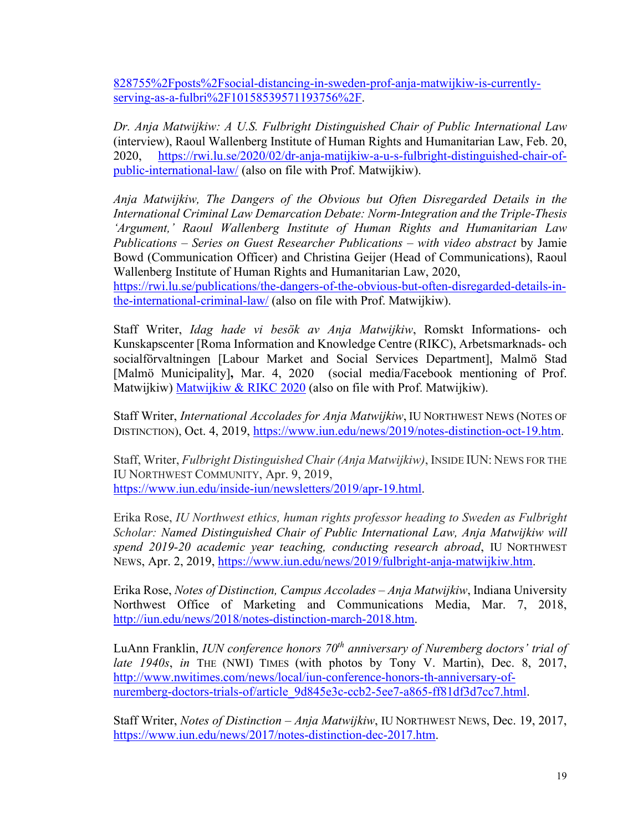[828755%2Fposts%2Fsocial-distancing-in-sweden-prof-anja-matwijkiw-is-currently](https://www.facebook.com/login/?next=https%3A%2F%2Fwww.facebook.com%2F8066828755%2Fposts%2Fsocial-distancing-in-sweden-prof-anja-matwijkiw-is-currently-serving-as-a-fulbri%2F10158539571193756%2F)[serving-as-a-fulbri%2F10158539571193756%2F.](https://www.facebook.com/login/?next=https%3A%2F%2Fwww.facebook.com%2F8066828755%2Fposts%2Fsocial-distancing-in-sweden-prof-anja-matwijkiw-is-currently-serving-as-a-fulbri%2F10158539571193756%2F)

*Dr. Anja Matwijkiw: A U.S. Fulbright Distinguished Chair of Public International Law*  (interview), Raoul Wallenberg Institute of Human Rights and Humanitarian Law, Feb. 20, 2020, [https://rwi.lu.se/2020/02/dr-anja-matijkiw-a-u-s-fulbright-distinguished-chair-of](https://rwi.lu.se/2020/02/dr-anja-matijkiw-a-u-s-fulbright-distinguished-chair-of-public-international-law/)[public-international-law/](https://rwi.lu.se/2020/02/dr-anja-matijkiw-a-u-s-fulbright-distinguished-chair-of-public-international-law/) (also on file with Prof. Matwijkiw).

*Anja Matwijkiw, The Dangers of the Obvious but Often Disregarded Details in the International Criminal Law Demarcation Debate: Norm-Integration and the Triple-Thesis 'Argument,' Raoul Wallenberg Institute of Human Rights and Humanitarian Law Publications – Series on Guest Researcher Publications – with video abstract* by Jamie Bowd (Communication Officer) and Christina Geijer (Head of Communications), Raoul Wallenberg Institute of Human Rights and Humanitarian Law, 2020,

[https://rwi.lu.se/publications/the-dangers-of-the-obvious-but-often-disregarded-details-in](https://rwi.lu.se/publications/the-dangers-of-the-obvious-but-often-disregarded-details-in-the-international-criminal-law/)[the-international-criminal-law/](https://rwi.lu.se/publications/the-dangers-of-the-obvious-but-often-disregarded-details-in-the-international-criminal-law/) (also on file with Prof. Matwijkiw).

Staff Writer, *Idag hade vi besök av Anja Matwijkiw*, Romskt Informations- och Kunskapscenter [Roma Information and Knowledge Centre (RIKC), Arbetsmarknads- och socialförvaltningen [Labour Market and Social Services Department], Malmö Stad [Malmö Municipality]**,** Mar. 4, 2020 (social media/Facebook mentioning of Prof. Matwijkiw) [Matwijkiw & RIKC 2020](https://www.facebook.com/RIKC-Romskt-informations-och-kunskapscenter-282939498535540/?ref=aymt_homepage_panel&eid=ARANfqeMYKKX8tHoTOkkZcH3qx8aRuVx0OvV75YvyHAx2w6hxu6uNaOQ6geXyzuWEYmtR1jCR92SeMt0) (also on file with Prof. Matwijkiw).

Staff Writer, *International Accolades for Anja Matwijkiw*, IU NORTHWEST NEWS (NOTES OF DISTINCTION), Oct. 4, 2019, [https://www.iun.edu/news/2019/notes-distinction-oct-19.htm.](https://www.iun.edu/news/2019/notes-distinction-oct-19.htm)

Staff, Writer, *Fulbright Distinguished Chair (Anja Matwijkiw)*, INSIDE IUN: NEWS FOR THE IU NORTHWEST COMMUNITY, Apr. 9, 2019, [https://www.iun.edu/inside-iun/newsletters/2019/apr-19.html.](https://www.iun.edu/inside-iun/newsletters/2019/apr-19.html)

Erika Rose, *IU Northwest ethics, human rights professor heading to Sweden as Fulbright Scholar: Named Distinguished Chair of Public International Law, Anja Matwijkiw will spend 2019-20 academic year teaching, conducting research abroad*, IU NORTHWEST NEWS, Apr. 2, 2019, [https://www.iun.edu/news/2019/fulbright-anja-matwijkiw.htm.](https://www.iun.edu/news/2019/fulbright-anja-matwijkiw.htm)

Erika Rose, *Notes of Distinction, Campus Accolades – Anja Matwijkiw*, Indiana University Northwest Office of Marketing and Communications Media, Mar. 7, 2018, [http://iun.edu/news/2018/notes-distinction-march-2018.htm.](http://iun.edu/news/2018/notes-distinction-march-2018.htm)

LuAnn Franklin, *IUN conference honors 70th anniversary of Nuremberg doctors' trial of late 1940s*, *in* THE (NWI) TIMES (with photos by Tony V. Martin), Dec. 8, 2017, [http://www.nwitimes.com/news/local/iun-conference-honors-th-anniversary-of](http://www.nwitimes.com/news/local/iun-conference-honors-th-anniversary-of-nuremberg-doctors-trials-of/article_9d845e3c-ccb2-5ee7-a865-ff81df3d7cc7.html)[nuremberg-doctors-trials-of/article\\_9d845e3c-ccb2-5ee7-a865-ff81df3d7cc7.html.](http://www.nwitimes.com/news/local/iun-conference-honors-th-anniversary-of-nuremberg-doctors-trials-of/article_9d845e3c-ccb2-5ee7-a865-ff81df3d7cc7.html)

Staff Writer, *Notes of Distinction – Anja Matwijkiw*, IU NORTHWEST NEWS, Dec. 19, 2017, [https://www.iun.edu/news/2017/notes-distinction-dec-2017.htm.](https://www.iun.edu/news/2017/notes-distinction-dec-2017.htm)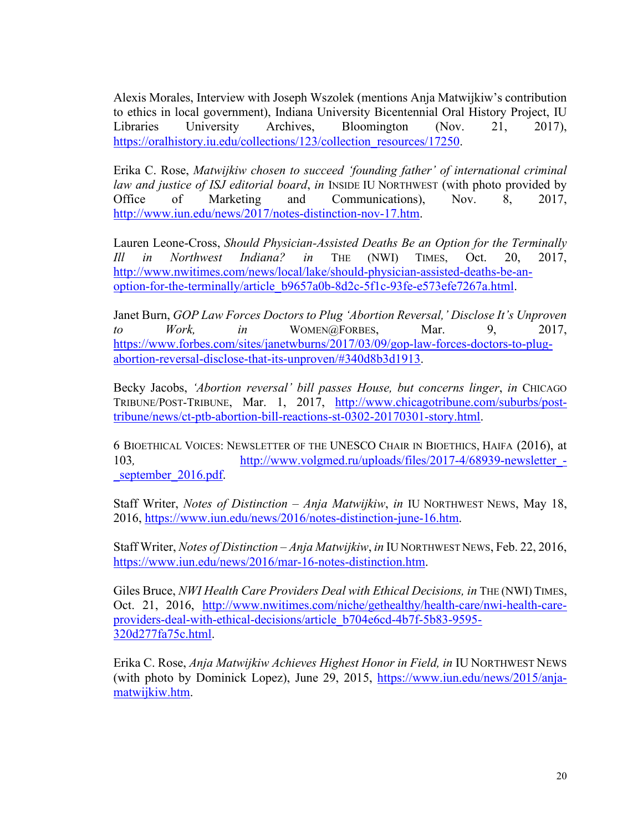Alexis Morales, Interview with Joseph Wszolek (mentions Anja Matwijkiw's contribution to ethics in local government), Indiana University Bicentennial Oral History Project, IU Libraries University Archives, Bloomington (Nov. 21, 2017), [https://oralhistory.iu.edu/collections/123/collection\\_resources/17250.](https://oralhistory.iu.edu/collections/123/collection_resources/17250)

Erika C. Rose, *Matwijkiw chosen to succeed 'founding father' of international criminal law and justice of ISJ editorial board*, *in* INSIDE IU NORTHWEST (with photo provided by Office of Marketing and Communications), Nov. 8, 2017, [http://www.iun.edu/news/2017/notes-distinction-nov-17.htm.](http://www.iun.edu/news/2017/notes-distinction-nov-17.htm)

Lauren Leone-Cross, *Should Physician-Assisted Deaths Be an Option for the Terminally Ill in Northwest Indiana? in* THE (NWI) TIMES, Oct. 20, 2017, [http://www.nwitimes.com/news/local/lake/should-physician-assisted-deaths-be-an](http://www.nwitimes.com/news/local/lake/should-physician-assisted-deaths-be-an-option-for-the-terminally/article_b9657a0b-8d2c-5f1c-93fe-e573efe7267a.html)[option-for-the-terminally/article\\_b9657a0b-8d2c-5f1c-93fe-e573efe7267a.html.](http://www.nwitimes.com/news/local/lake/should-physician-assisted-deaths-be-an-option-for-the-terminally/article_b9657a0b-8d2c-5f1c-93fe-e573efe7267a.html)

Janet Burn, *GOP Law Forces Doctors to Plug 'Abortion Reversal,' Disclose It's Unproven to Work*, *in* WOMEN@FORBES, Mar. 9, 2017, [https://www.forbes.com/sites/janetwburns/2017/03/09/gop-law-forces-doctors-to-plug](https://www.forbes.com/sites/janetwburns/2017/03/09/gop-law-forces-doctors-to-plug-abortion-reversal-disclose-that-its-unproven/#340d8b3d1913)[abortion-reversal-disclose-that-its-unproven/#340d8b3d1913.](https://www.forbes.com/sites/janetwburns/2017/03/09/gop-law-forces-doctors-to-plug-abortion-reversal-disclose-that-its-unproven/#340d8b3d1913)

Becky Jacobs, *'Abortion reversal' bill passes House, but concerns linger*, *in* CHICAGO TRIBUNE/POST-TRIBUNE, Mar. 1, 2017, [http://www.chicagotribune.com/suburbs/post](http://www.chicagotribune.com/suburbs/post-tribune/news/ct-ptb-abortion-bill-reactions-st-0302-20170301-story.html)[tribune/news/ct-ptb-abortion-bill-reactions-st-0302-20170301-story.html.](http://www.chicagotribune.com/suburbs/post-tribune/news/ct-ptb-abortion-bill-reactions-st-0302-20170301-story.html)

6 BIOETHICAL VOICES: NEWSLETTER OF THE UNESCO CHAIR IN BIOETHICS, HAIFA (2016), at 103*,* [http://www.volgmed.ru/uploads/files/2017-4/68939-newsletter\\_](http://www.volgmed.ru/uploads/files/2017-4/68939-newsletter_-_september_2016.pdf) september 2016.pdf.

Staff Writer, *Notes of Distinction – Anja Matwijkiw*, *in* IU NORTHWEST NEWS, May 18, 2016, [https://www.iun.edu/news/2016/notes-distinction-june-16.htm.](https://www.iun.edu/news/2016/notes-distinction-june-16.htm)

Staff Writer, *Notes of Distinction – Anja Matwijkiw*, *in* IU NORTHWEST NEWS, Feb. 22, 2016, [https://www.iun.edu/news/2016/mar-16-notes-distinction.htm.](https://www.iun.edu/news/2016/mar-16-notes-distinction.htm)

Giles Bruce, *NWI Health Care Providers Deal with Ethical Decisions, in* THE (NWI) TIMES, Oct. 21, 2016, [http://www.nwitimes.com/niche/gethealthy/health-care/nwi-health-care](http://www.nwitimes.com/niche/gethealthy/health-care/nwi-health-care-providers-deal-with-ethical-decisions/article_b704e6cd-4b7f-5b83-9595-320d277fa75c.html)[providers-deal-with-ethical-decisions/article\\_b704e6cd-4b7f-5b83-9595-](http://www.nwitimes.com/niche/gethealthy/health-care/nwi-health-care-providers-deal-with-ethical-decisions/article_b704e6cd-4b7f-5b83-9595-320d277fa75c.html) [320d277fa75c.html.](http://www.nwitimes.com/niche/gethealthy/health-care/nwi-health-care-providers-deal-with-ethical-decisions/article_b704e6cd-4b7f-5b83-9595-320d277fa75c.html)

Erika C. Rose, *Anja Matwijkiw Achieves Highest Honor in Field, in* IU NORTHWEST NEWS (with photo by Dominick Lopez), June 29, 2015, [https://www.iun.edu/news/2015/anja](https://www.iun.edu/news/2015/anja-matwijkiw.htm)[matwijkiw.htm.](https://www.iun.edu/news/2015/anja-matwijkiw.htm)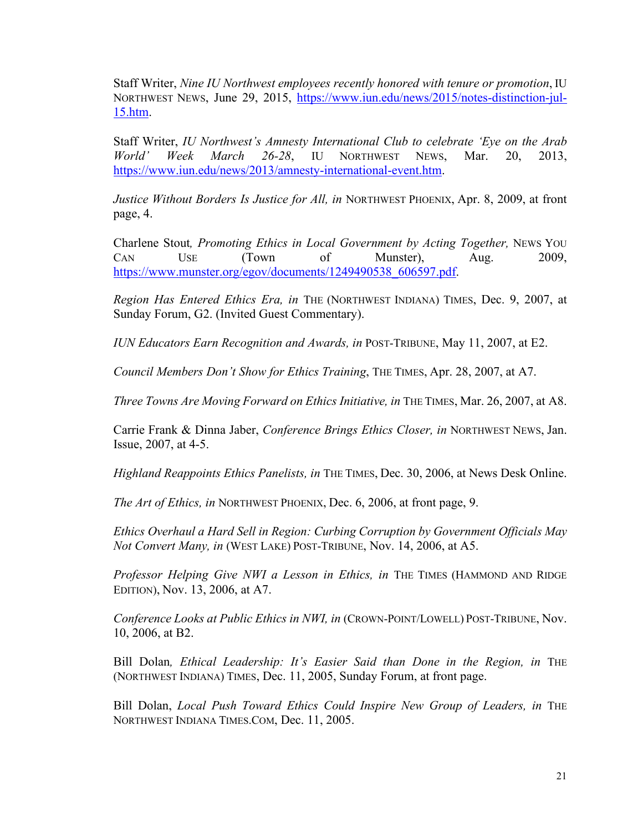Staff Writer, *Nine IU Northwest employees recently honored with tenure or promotion*, IU NORTHWEST NEWS, June 29, 2015, [https://www.iun.edu/news/2015/notes-distinction-jul-](https://www.iun.edu/news/2015/notes-distinction-jul-15.htm)[15.htm.](https://www.iun.edu/news/2015/notes-distinction-jul-15.htm)

Staff Writer, *IU Northwest's Amnesty International Club to celebrate 'Eye on the Arab World' Week March 26-28*, IU NORTHWEST NEWS, Mar. 20, 2013, [https://www.iun.edu/news/2013/amnesty-international-event.htm.](https://www.iun.edu/news/2013/amnesty-international-event.htm)

*Justice Without Borders Is Justice for All, in* NORTHWEST PHOENIX, Apr. 8, 2009, at front page, 4.

Charlene Stout*, Promoting Ethics in Local Government by Acting Together,* NEWS YOU CAN USE (Town of Munster), Aug. 2009, [https://www.munster.org/egov/documents/1249490538\\_606597.pdf.](https://www.munster.org/egov/documents/1249490538_606597.pdf)

*Region Has Entered Ethics Era, in* THE (NORTHWEST INDIANA) TIMES, Dec. 9, 2007, at Sunday Forum, G2. (Invited Guest Commentary).

*IUN Educators Earn Recognition and Awards, in* POST-TRIBUNE, May 11, 2007, at E2.

*Council Members Don't Show for Ethics Training*, THE TIMES, Apr. 28, 2007, at A7.

*Three Towns Are Moving Forward on Ethics Initiative, in* THE TIMES, Mar. 26, 2007, at A8.

Carrie Frank & Dinna Jaber, *Conference Brings Ethics Closer, in* NORTHWEST NEWS, Jan. Issue, 2007, at 4-5.

*Highland Reappoints Ethics Panelists, in THE TIMES, Dec. 30, 2006, at News Desk Online.* 

*The Art of Ethics, in* NORTHWEST PHOENIX, Dec. 6, 2006, at front page, 9.

*Ethics Overhaul a Hard Sell in Region: Curbing Corruption by Government Officials May Not Convert Many, in* (WEST LAKE) POST-TRIBUNE, Nov. 14, 2006, at A5.

*Professor Helping Give NWI a Lesson in Ethics, in THE TIMES (HAMMOND AND RIDGE* EDITION), Nov. 13, 2006, at A7.

*Conference Looks at Public Ethics in NWI, in* (CROWN-POINT/LOWELL) POST-TRIBUNE, Nov. 10, 2006, at B2.

Bill Dolan, *Ethical Leadership: It's Easier Said than Done in the Region, in* THE (NORTHWEST INDIANA) TIMES, Dec. 11, 2005, Sunday Forum, at front page.

Bill Dolan, *Local Push Toward Ethics Could Inspire New Group of Leaders, in* THE NORTHWEST INDIANA TIMES.COM, Dec. 11, 2005.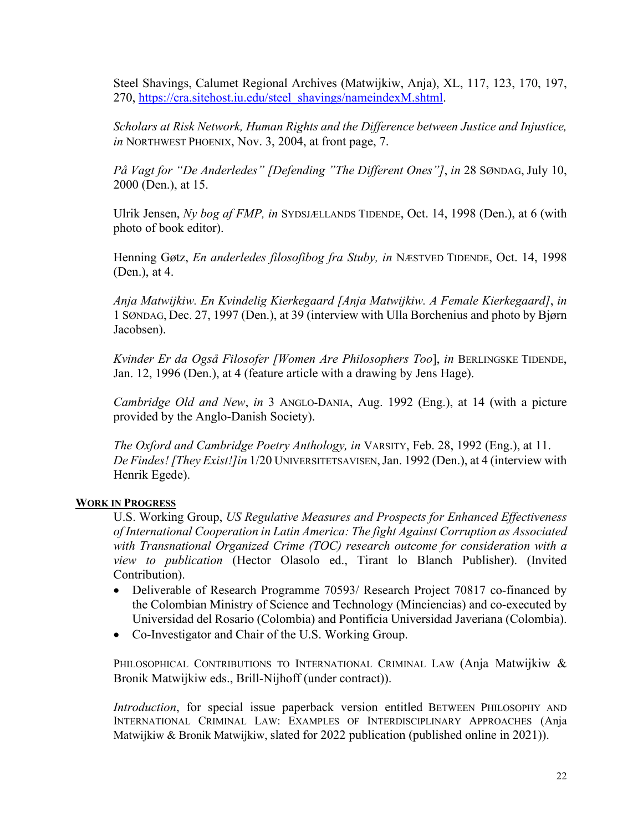Steel Shavings, Calumet Regional Archives (Matwijkiw, Anja), XL, 117, 123, 170, 197, 270, [https://cra.sitehost.iu.edu/steel\\_shavings/nameindexM.shtml.](https://cra.sitehost.iu.edu/steel_shavings/nameindexM.shtml)

*Scholars at Risk Network, Human Rights and the Difference between Justice and Injustice, in* NORTHWEST PHOENIX, Nov. 3, 2004, at front page, 7.

*På Vagt for "De Anderledes" [Defending "The Different Ones"]*, *in* 28 SØNDAG, July 10, 2000 (Den.), at 15.

Ulrik Jensen, *Ny bog af FMP, in* SYDSJÆLLANDS TIDENDE, Oct. 14, 1998 (Den.), at 6 (with photo of book editor).

Henning Gøtz, *En anderledes filosofibog fra Stuby, in* NÆSTVED TIDENDE, Oct. 14, 1998 (Den.), at 4.

*Anja Matwijkiw. En Kvindelig Kierkegaard [Anja Matwijkiw. A Female Kierkegaard]*, *in* 1 SØNDAG, Dec. 27, 1997 (Den.), at 39 (interview with Ulla Borchenius and photo by Bjørn Jacobsen).

*Kvinder Er da Også Filosofer [Women Are Philosophers Too*], *in* BERLINGSKE TIDENDE, Jan. 12, 1996 (Den.), at 4 (feature article with a drawing by Jens Hage).

*Cambridge Old and New*, *in* 3 ANGLO-DANIA, Aug. 1992 (Eng.), at 14 (with a picture provided by the Anglo-Danish Society).

*The Oxford and Cambridge Poetry Anthology, in* VARSITY, Feb. 28, 1992 (Eng.), at 11. *De Findes! [They Exist!]in* 1/20 UNIVERSITETSAVISEN,Jan. 1992 (Den.), at 4 (interview with Henrik Egede).

## **WORK IN PROGRESS**

U.S. Working Group, *US Regulative Measures and Prospects for Enhanced Effectiveness of International Cooperation in Latin America: The fight Against Corruption as Associated with Transnational Organized Crime (TOC) research outcome for consideration with a view to publication* (Hector Olasolo ed., Tirant lo Blanch Publisher). (Invited Contribution).

- Deliverable of Research Programme 70593/ Research Project 70817 co-financed by the Colombian Ministry of Science and Technology (Minciencias) and co-executed by Universidad del Rosario (Colombia) and Pontificia Universidad Javeriana (Colombia).
- Co-Investigator and Chair of the U.S. Working Group.

PHILOSOPHICAL CONTRIBUTIONS TO INTERNATIONAL CRIMINAL LAW (Anja Matwijkiw & Bronik Matwijkiw eds., Brill-Nijhoff (under contract)).

*Introduction*, for special issue paperback version entitled BETWEEN PHILOSOPHY AND INTERNATIONAL CRIMINAL LAW: EXAMPLES OF INTERDISCIPLINARY APPROACHES (Anja Matwijkiw & Bronik Matwijkiw, slated for 2022 publication (published online in 2021)).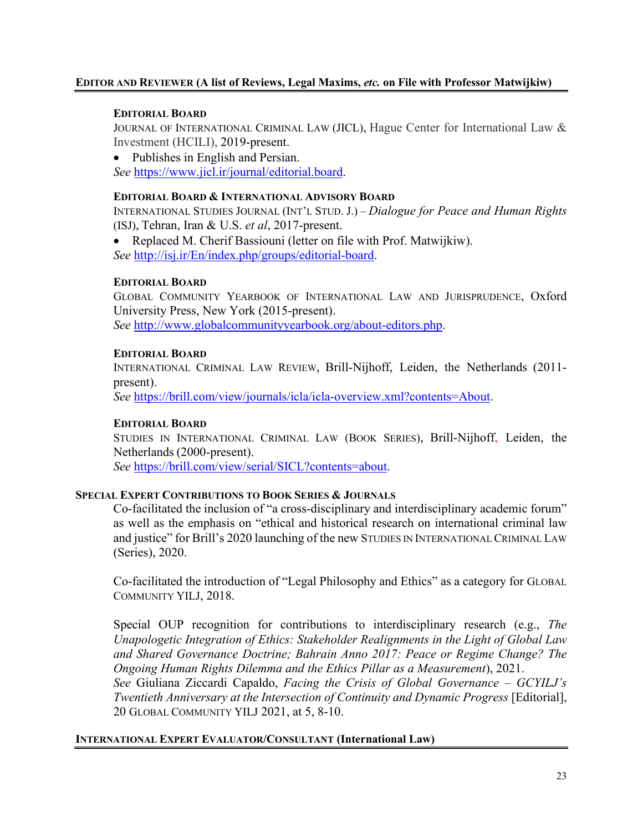### **EDITOR AND REVIEWER (A list of Reviews, Legal Maxims,** *etc.* **on File with Professor Matwijkiw)**

#### **EDITORIAL BOARD**

JOURNAL OF INTERNATIONAL CRIMINAL LAW (JICL), Hague Center for International Law & Investment (HCILI), 2019-present.

• Publishes in English and Persian. *See* [https://www.jicl.ir/journal/editorial.board.](https://www.jicl.ir/journal/editorial.board)

#### **EDITORIAL BOARD & INTERNATIONAL ADVISORY BOARD**

INTERNATIONAL STUDIES JOURNAL (INT'L STUD. J.) – *Dialogue for Peace and Human Rights* (ISJ), Tehran, Iran & U.S. *et al*, 2017-present.

• Replaced M. Cherif Bassiouni (letter on file with Prof. Matwijkiw). *See* [http://isj.ir/En/index.php/groups/editorial-board.](http://isj.ir/En/index.php/groups/editorial-board)

#### **EDITORIAL BOARD**

GLOBAL COMMUNITY YEARBOOK OF INTERNATIONAL LAW AND JURISPRUDENCE, Oxford University Press, New York (2015-present). *See* [http://www.globalcommunityyearbook.org/about-editors.php.](http://www.globalcommunityyearbook.org/about-editors.php)

#### **EDITORIAL BOARD**

INTERNATIONAL CRIMINAL LAW REVIEW, Brill-Nijhoff, Leiden, the Netherlands (2011 present).

*See* [https://brill.com/view/journals/icla/icla-overview.xml?contents=About.](https://brill.com/view/journals/icla/icla-overview.xml?contents=About)

## **EDITORIAL BOARD**

STUDIES IN INTERNATIONAL CRIMINAL LAW (BOOK SERIES), Brill-Nijhoff, Leiden, the Netherlands (2000-present).

*See* [https://brill.com/view/serial/SICL?contents=about.](https://brill.com/view/serial/SICL?contents=about)

## **SPECIAL EXPERT CONTRIBUTIONS TO BOOK SERIES & JOURNALS**

Co-facilitated the inclusion of "a cross-disciplinary and interdisciplinary academic forum" as well as the emphasis on "ethical and historical research on international criminal law and justice" for Brill's 2020 launching of the new STUDIES IN INTERNATIONAL CRIMINAL LAW (Series), 2020.

Co-facilitated the introduction of "Legal Philosophy and Ethics" as a category for GLOBAL COMMUNITY YILJ, 2018.

Special OUP recognition for contributions to interdisciplinary research (e.g., *The Unapologetic Integration of Ethics: Stakeholder Realignments in the Light of Global Law and Shared Governance Doctrine; Bahrain Anno 2017: Peace or Regime Change? The Ongoing Human Rights Dilemma and the Ethics Pillar as a Measurement*), 2021.

*See* Giuliana Ziccardi Capaldo, *Facing the Crisis of Global Governance – GCYILJ's Twentieth Anniversary at the Intersection of Continuity and Dynamic Progress* [Editorial], 20 GLOBAL COMMUNITY YILJ 2021, at 5, 8-10.

## **INTERNATIONAL EXPERT EVALUATOR/CONSULTANT (International Law)**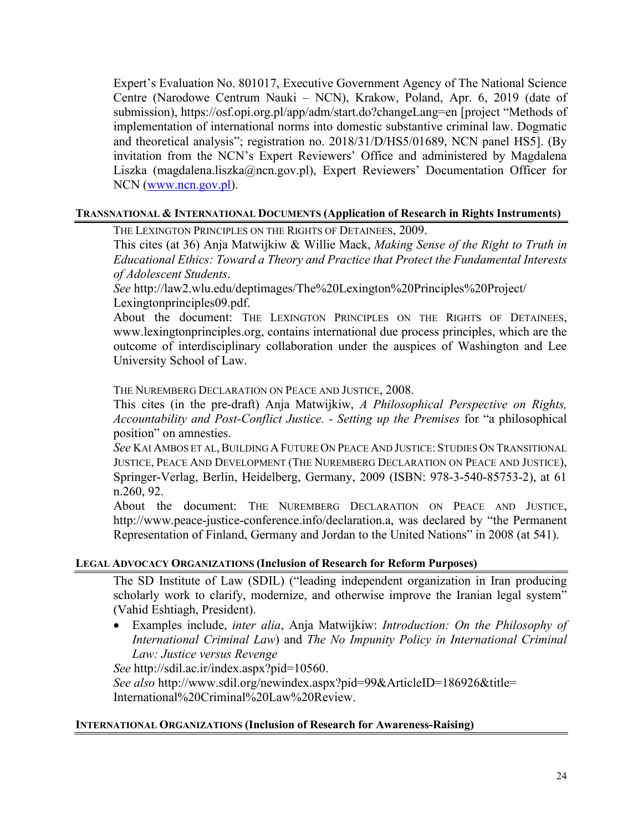Expert's Evaluation No. 801017, Executive Government Agency of The National Science Centre (Narodowe Centrum Nauki – NCN), Krakow, Poland, Apr. 6, 2019 (date of submission), https://osf.opi.org.pl/app/adm/start.do?changeLang=en [project "Methods of implementation of international norms into domestic substantive criminal law. Dogmatic and theoretical analysis"; registration no. 2018/31/D/HS5/01689, NCN panel HS5]. (By invitation from the NCN's Expert Reviewers' Office and administered by Magdalena Liszka [\(magdalena.liszka@ncn.gov.pl\)](mailto:magdalena.liszka@ncn.gov.pl), Expert Reviewers' Documentation Officer for NCN [\(www.ncn.gov.pl\)](http://www.ncn.gov.pl/).

#### **TRANSNATIONAL & INTERNATIONAL DOCUMENTS (Application of Research in Rights Instruments)**

THE LEXINGTON PRINCIPLES ON THE RIGHTS OF DETAINEES, 2009.

This cites (at 36) Anja Matwijkiw & Willie Mack, *Making Sense of the Right to Truth in Educational Ethics: Toward a Theory and Practice that Protect the Fundamental Interests of Adolescent Students*.

*See* http://law2.wlu.edu/deptimages/The%20Lexington%20Principles%20Project/ Lexingtonprinciples09.pdf.

About the document: THE LEXINGTON PRINCIPLES ON THE RIGHTS OF DETAINEES, www.lexingtonprinciples.org, contains international due process principles, which are the outcome of interdisciplinary collaboration under the auspices of Washington and Lee University School of Law.

THE NUREMBERG DECLARATION ON PEACE AND JUSTICE, 2008.

This cites (in the pre-draft) Anja Matwijkiw, *A Philosophical Perspective on Rights, Accountability and Post-Conflict Justice. - Setting up the Premises* for "a philosophical position" on amnesties.

*See* KAI AMBOS ET AL,BUILDING A FUTURE ON PEACE AND JUSTICE: STUDIES ON TRANSITIONAL JUSTICE, PEACE AND DEVELOPMENT (THE NUREMBERG DECLARATION ON PEACE AND JUSTICE), Springer-Verlag, Berlin, Heidelberg, Germany, 2009 (ISBN: 978-3-540-85753-2), at 61 n.260, 92.

About the document: THE NUREMBERG DECLARATION ON PEACE AND JUSTICE, http://www.peace-justice-conference.info/declaration.a, was declared by "the Permanent Representation of Finland, Germany and Jordan to the United Nations" in 2008 (at 541).

## **LEGAL ADVOCACY ORGANIZATIONS (Inclusion of Research for Reform Purposes)**

The SD Institute of Law (SDIL) ("leading independent organization in Iran producing scholarly work to clarify, modernize, and otherwise improve the Iranian legal system" (Vahid Eshtiagh, President).

• Examples include, *inter alia*, Anja Matwijkiw: *Introduction: On the Philosophy of International Criminal Law*) and *The No Impunity Policy in International Criminal Law: Justice versus Revenge*

*See* http://sdil.ac.ir/index.aspx?pid=10560.

*See also* http://www.sdil.org/newindex.aspx?pid=99&ArticleID=186926&title= International%20Criminal%20Law%20Review.

#### **INTERNATIONAL ORGANIZATIONS (Inclusion of Research for Awareness-Raising)**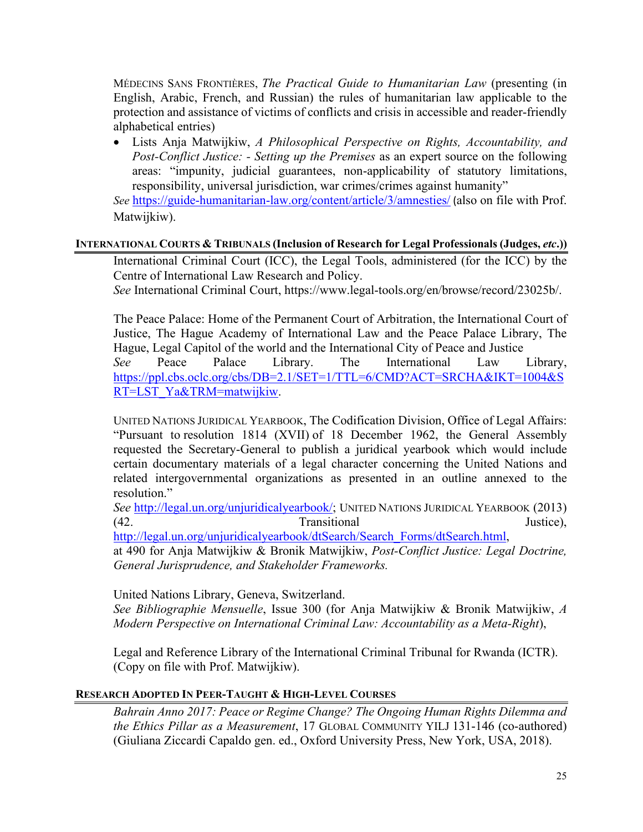MÉDECINS SANS FRONTIÈRES, *The Practical Guide to Humanitarian Law* (presenting (in English, Arabic, French, and Russian) the rules of humanitarian law applicable to the protection and assistance of victims of conflicts and crisis in accessible and reader-friendly alphabetical entries)

• Lists Anja Matwijkiw, *A Philosophical Perspective on Rights, Accountability, and Post-Conflict Justice: - Setting up the Premises* as an expert source on the following areas: "impunity, judicial guarantees, non-applicability of statutory limitations, responsibility, universal jurisdiction, war crimes/crimes against humanity"

*See* <https://guide-humanitarian-law.org/content/article/3/amnesties/> (also on file with Prof. Matwijkiw).

## **INTERNATIONAL COURTS & TRIBUNALS (Inclusion of Research for Legal Professionals (Judges,** *etc***.))**

International Criminal Court (ICC), the Legal Tools, administered (for the ICC) by the Centre of International Law Research and Policy.

*See* International Criminal Court, https://www.legal-tools.org/en/browse/record/23025b/.

The Peace Palace: Home of the Permanent Court of Arbitration, the International Court of Justice, The Hague Academy of International Law and the Peace Palace Library, The Hague, Legal Capitol of the world and the International City of Peace and Justice

*See* Peace Palace Library. The International Law Library, [https://ppl.cbs.oclc.org/cbs/DB=2.1/SET=1/TTL=6/CMD?ACT=SRCHA&IKT=1004&S](https://ppl.cbs.oclc.org/cbs/DB=2.1/SET=1/TTL=6/CMD?ACT=SRCHA&IKT=1004&SRT=LST_Ya&TRM=matwijkiw) [RT=LST\\_Ya&TRM=matwijkiw.](https://ppl.cbs.oclc.org/cbs/DB=2.1/SET=1/TTL=6/CMD?ACT=SRCHA&IKT=1004&SRT=LST_Ya&TRM=matwijkiw)

UNITED NATIONS JURIDICAL YEARBOOK, The Codification Division, Office of Legal Affairs: "Pursuant to [resolution 1814 \(XVII\)](http://legal.un.org/docs/?symbol=A/RES/1814(XVII)) of 18 December 1962, the General Assembly requested the Secretary-General to publish a juridical yearbook which would include certain documentary materials of a legal character concerning the United Nations and related intergovernmental organizations as presented in an outline annexed to the resolution."

*See* [http://legal.un.org/unjuridicalyearbook/;](http://legal.un.org/unjuridicalyearbook/) UNITED NATIONS JURIDICAL YEARBOOK (2013) (42. Chambridge of the Transitional Transitional Justice),  $\frac{1}{2}$  Justice),  $\frac{1}{2}$ 

[http://legal.un.org/unjuridicalyearbook/dtSearch/Search\\_Forms/dtSearch.html,](http://legal.un.org/unjuridicalyearbook/dtSearch/Search_Forms/dtSearch.html)

at 490 for Anja Matwijkiw & Bronik Matwijkiw, *Post-Conflict Justice: Legal Doctrine, General Jurisprudence, and Stakeholder Frameworks.*

United Nations Library, Geneva, Switzerland.

*See Bibliographie Mensuelle*, Issue 300 (for Anja Matwijkiw & Bronik Matwijkiw, *A Modern Perspective on International Criminal Law: Accountability as a Meta-Right*),

Legal and Reference Library of the International Criminal Tribunal for Rwanda (ICTR). (Copy on file with Prof. Matwijkiw).

## **RESEARCH ADOPTED IN PEER-TAUGHT & HIGH-LEVEL COURSES**

*Bahrain Anno 2017: Peace or Regime Change? The Ongoing Human Rights Dilemma and the Ethics Pillar as a Measurement*, 17 GLOBAL COMMUNITY YILJ 131-146 (co-authored) (Giuliana Ziccardi Capaldo gen. ed., Oxford University Press, New York, USA, 2018).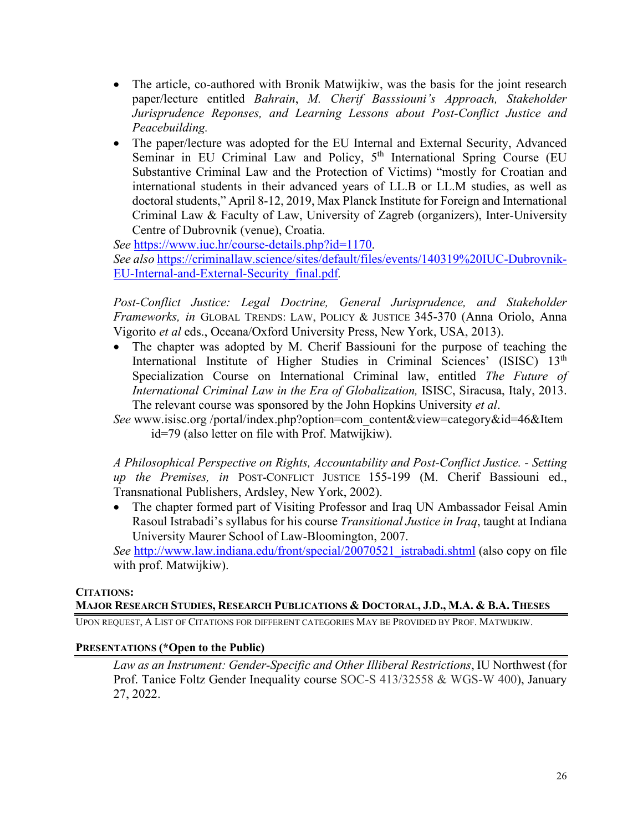- The article, co-authored with Bronik Matwijkiw, was the basis for the joint research paper/lecture entitled *Bahrain*, *M. Cherif Basssiouni's Approach, Stakeholder Jurisprudence Reponses, and Learning Lessons about Post-Conflict Justice and Peacebuilding.*
- The paper/lecture was adopted for the EU Internal and External Security, Advanced Seminar in EU Criminal Law and Policy, 5<sup>th</sup> International Spring Course (EU Substantive Criminal Law and the Protection of Victims) "mostly for Croatian and international students in their advanced years of LL.B or LL.M studies, as well as doctoral students," April 8-12, 2019, Max Planck Institute for Foreign and International Criminal Law & Faculty of Law, University of Zagreb (organizers), Inter-University Centre of Dubrovnik (venue), Croatia.

*See* [https://www.iuc.hr/course-details.php?id=1170.](https://www.iuc.hr/course-details.php?id=1170) *See also* [https://criminallaw.science/sites/default/files/events/140319%20IUC-Dubrovnik-](https://criminallaw.science/sites/default/files/events/140319%20IUC-Dubrovnik-EU-Internal-and-External-Security_final.pdf)[EU-Internal-and-External-Security\\_final.pdf](https://criminallaw.science/sites/default/files/events/140319%20IUC-Dubrovnik-EU-Internal-and-External-Security_final.pdf)*.*

Post-Conflict Justice: Legal Doctrine, General Jurisprudence, and Stakeholder *Frameworks, in* GLOBAL TRENDS: LAW, POLICY & JUSTICE 345-370 (Anna Oriolo, Anna Vigorito *et al* eds., Oceana/Oxford University Press, New York, USA, 2013).

- The chapter was adopted by M. Cherif Bassiouni for the purpose of teaching the International Institute of Higher Studies in Criminal Sciences' (ISISC) 13<sup>th</sup> Specialization Course on International Criminal law, entitled *The Future of International Criminal Law in the Era of Globalization,* ISISC, Siracusa, Italy, 2013. The relevant course was sponsored by the John Hopkins University *et al*.
- *See* www.isisc.org /portal/index.php?option=com\_content&view=category&id=46&Item id=79 (also letter on file with Prof. Matwijkiw).

*A Philosophical Perspective on Rights, Accountability and Post-Conflict Justice. - Setting up the Premises, in* POST-CONFLICT JUSTICE 155-199 (M. Cherif Bassiouni ed., Transnational Publishers, Ardsley, New York, 2002).

• The chapter formed part of Visiting Professor and Iraq UN Ambassador Feisal Amin Rasoul Istrabadi's syllabus for his course *Transitional Justice in Iraq*, taught at Indiana University Maurer School of Law-Bloomington, 2007.

*See* [http://www.law.indiana.edu/front/special/20070521\\_istrabadi.shtml](http://www.law.indiana.edu/front/special/20070521_istrabadi.shtml) (also copy on file with prof. Matwijkiw).

## **CITATIONS:**

## **MAJOR RESEARCH STUDIES, RESEARCH PUBLICATIONS & DOCTORAL, J.D., M.A. & B.A. THESES**

UPON REQUEST, A LIST OF CITATIONS FOR DIFFERENT CATEGORIES MAY BE PROVIDED BY PROF. MATWIJKIW.

## **PRESENTATIONS (\*Open to the Public)**

*Law as an Instrument: Gender-Specific and Other Illiberal Restrictions*, IU Northwest (for Prof. Tanice Foltz Gender Inequality course SOC-S 413/32558 & WGS-W 400), January 27, 2022.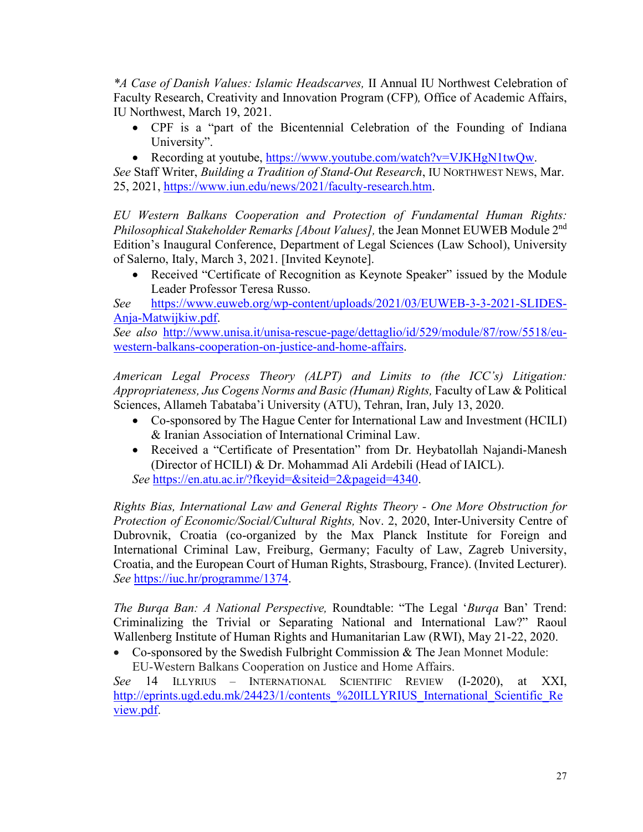*\*A Case of Danish Values: Islamic Headscarves,* II Annual IU Northwest Celebration of Faculty Research, Creativity and Innovation Program (CFP)*,* Office of Academic Affairs, IU Northwest, March 19, 2021.

- CPF is a "part of the Bicentennial Celebration of the Founding of Indiana University".
- Recording at youtube, [https://www.youtube.com/watch?v=VJKHgN1twQw.](https://www.youtube.com/watch?v=VJKHgN1twQw)

*See* Staff Writer, *Building a Tradition of Stand-Out Research*, IU NORTHWEST NEWS, Mar. 25, 2021, [https://www.iun.edu/news/2021/faculty-research.htm.](https://www.iun.edu/news/2021/faculty-research.htm)

*EU Western Balkans Cooperation and Protection of Fundamental Human Rights: Philosophical Stakeholder Remarks [About Values],* the Jean Monnet EUWEB Module 2nd Edition's Inaugural Conference, Department of Legal Sciences (Law School), University of Salerno, Italy, March 3, 2021. [Invited Keynote].

• Received "Certificate of Recognition as Keynote Speaker" issued by the Module Leader Professor Teresa Russo.

*See* [https://www.euweb.org/wp-content/uploads/2021/03/EUWEB-3-3-2021-SLIDES-](https://www.euweb.org/wp-content/uploads/2021/03/EUWEB-3-3-2021-SLIDES-Anja-Matwijkiw.pdf)[Anja-Matwijkiw.pdf.](https://www.euweb.org/wp-content/uploads/2021/03/EUWEB-3-3-2021-SLIDES-Anja-Matwijkiw.pdf)

*See also* [http://www.unisa.it/unisa-rescue-page/dettaglio/id/529/module/87/row/5518/eu](http://www.unisa.it/unisa-rescue-page/dettaglio/id/529/module/87/row/5518/eu-western-balkans-cooperation-on-justice-and-home-affairs)[western-balkans-cooperation-on-justice-and-home-affairs.](http://www.unisa.it/unisa-rescue-page/dettaglio/id/529/module/87/row/5518/eu-western-balkans-cooperation-on-justice-and-home-affairs)

*American Legal Process Theory (ALPT) and Limits to (the ICC's) Litigation: Appropriateness, Jus Cogens Norms and Basic (Human) Rights,* Faculty of Law & Political Sciences, Allameh Tabataba'i University (ATU), Tehran, Iran, July 13, 2020.

- Co-sponsored by The Hague Center for International Law and Investment (HCILI) & Iranian Association of International Criminal Law.
- Received a "Certificate of Presentation" from Dr. Heybatollah Najandi-Manesh (Director of HCILI) & Dr. Mohammad Ali Ardebili (Head of IAICL). *See* [https://en.atu.ac.ir/?fkeyid=&siteid=2&pageid=4340.](https://en.atu.ac.ir/?fkeyid=&siteid=2&pageid=4340)

*Rights Bias, International Law and General Rights Theory - One More Obstruction for Protection of Economic/Social/Cultural Rights,* Nov. 2, 2020, Inter-University Centre of Dubrovnik, Croatia (co-organized by the Max Planck Institute for Foreign and International Criminal Law, Freiburg, Germany; Faculty of Law, Zagreb University, Croatia, and the European Court of Human Rights, Strasbourg, France). (Invited Lecturer). *See* [https://iuc.hr/programme/1374.](https://iuc.hr/programme/1374)

*The Burqa Ban: A National Perspective,* Roundtable: "The Legal '*Burqa* Ban' Trend: Criminalizing the Trivial or Separating National and International Law?" Raoul Wallenberg Institute of Human Rights and Humanitarian Law (RWI), May 21-22, 2020.

• Co-sponsored by the Swedish Fulbright Commission & The Jean Monnet Module: EU-Western Balkans Cooperation on Justice and Home Affairs.

*See* 14 ILLYRIUS – INTERNATIONAL SCIENTIFIC REVIEW (I-2020), at XXI, http://eprints.ugd.edu.mk/24423/1/contents %20ILLYRIUS International Scientific Re [view.pdf.](http://eprints.ugd.edu.mk/24423/1/contents_%20ILLYRIUS_International_Scientific_Review.pdf)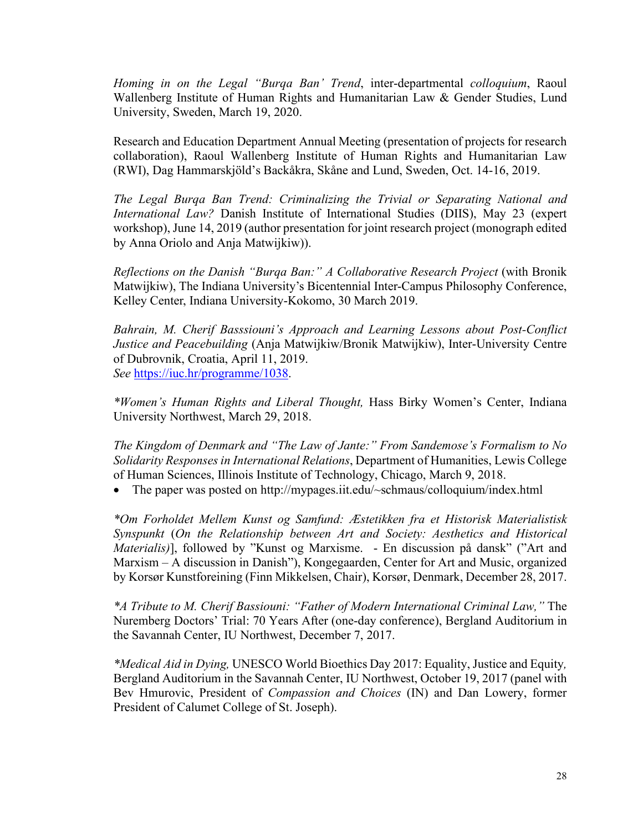*Homing in on the Legal "Burqa Ban' Trend*, inter-departmental *colloquium*, Raoul Wallenberg Institute of Human Rights and Humanitarian Law & Gender Studies, Lund University, Sweden, March 19, 2020.

Research and Education Department Annual Meeting (presentation of projects for research collaboration), Raoul Wallenberg Institute of Human Rights and Humanitarian Law (RWI), Dag Hammarskjöld's Backåkra, Skåne and Lund, Sweden, Oct. 14-16, 2019.

*The Legal Burqa Ban Trend: Criminalizing the Trivial or Separating National and International Law?* Danish Institute of International Studies (DIIS), May 23 (expert workshop), June 14, 2019 (author presentation for joint research project (monograph edited by Anna Oriolo and Anja Matwijkiw)).

*Reflections on the Danish "Burqa Ban:" A Collaborative Research Project* (with Bronik Matwijkiw), The Indiana University's Bicentennial Inter-Campus Philosophy Conference, Kelley Center, Indiana University-Kokomo, 30 March 2019.

*Bahrain, M. Cherif Basssiouni's Approach and Learning Lessons about Post-Conflict Justice and Peacebuilding* (Anja Matwijkiw/Bronik Matwijkiw), Inter-University Centre of Dubrovnik, Croatia, April 11, 2019. *See* [https://iuc.hr/programme/1038.](https://iuc.hr/programme/1038)

*\*Women's Human Rights and Liberal Thought,* Hass Birky Women's Center, Indiana University Northwest, March 29, 2018.

*The Kingdom of Denmark and "The Law of Jante:" From Sandemose's Formalism to No Solidarity Responses in International Relations*, Department of Humanities, Lewis College of Human Sciences, Illinois Institute of Technology, Chicago, March 9, 2018.

• The paper was posted on http://mypages.iit.edu/~schmaus/colloquium/index.html

*\*Om Forholdet Mellem Kunst og Samfund: Æstetikken fra et Historisk Materialistisk Synspunkt* (*On the Relationship between Art and Society: Aesthetics and Historical Materialis)*], followed by "Kunst og Marxisme. - En discussion på dansk" ("Art and Marxism – A discussion in Danish"), Kongegaarden, Center for Art and Music, organized by Korsør Kunstforeining (Finn Mikkelsen, Chair), Korsør, Denmark, December 28, 2017.

*\*A Tribute to M. Cherif Bassiouni: "Father of Modern International Criminal Law,"* The Nuremberg Doctors' Trial: 70 Years After (one-day conference), Bergland Auditorium in the Savannah Center, IU Northwest, December 7, 2017.

*\*Medical Aid in Dying,* UNESCO World Bioethics Day 2017: Equality, Justice and Equity*,* Bergland Auditorium in the Savannah Center, IU Northwest, October 19, 2017 (panel with Bev Hmurovic, President of *Compassion and Choices* (IN) and Dan Lowery, former President of Calumet College of St. Joseph).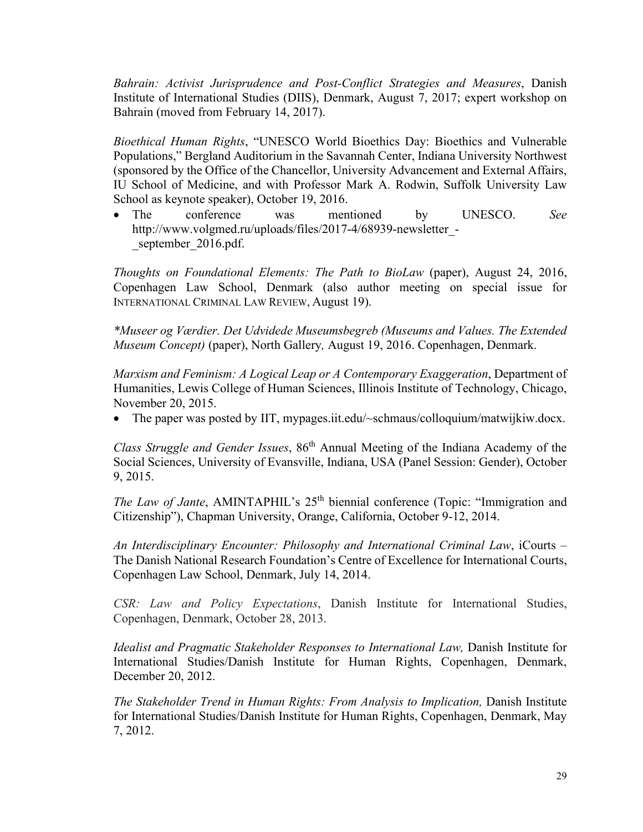*Bahrain: Activist Jurisprudence and Post-Conflict Strategies and Measures*, Danish Institute of International Studies (DIIS), Denmark, August 7, 2017; expert workshop on Bahrain (moved from February 14, 2017).

*Bioethical Human Rights*, "UNESCO World Bioethics Day: Bioethics and Vulnerable Populations," Bergland Auditorium in the Savannah Center, Indiana University Northwest (sponsored by the Office of the Chancellor, University Advancement and External Affairs, IU School of Medicine, and with Professor Mark A. Rodwin, Suffolk University Law School as keynote speaker), October 19, 2016.

• The conference was mentioned by UNESCO. *See*  http://www.volgmed.ru/uploads/files/2017-4/68939-newsletter\_ september 2016.pdf.

*Thoughts on Foundational Elements: The Path to BioLaw* (paper), August 24, 2016, Copenhagen Law School, Denmark (also author meeting on special issue for INTERNATIONAL CRIMINAL LAW REVIEW, August 19).

*\*Museer og Værdier. Det Udvidede Museumsbegreb (Museums and Values. The Extended Museum Concept)* (paper), North Gallery*,* August 19, 2016. Copenhagen, Denmark.

*Marxism and Feminism: A Logical Leap or A Contemporary Exaggeration*, Department of Humanities, Lewis College of Human Sciences, Illinois Institute of Technology, Chicago, November 20, 2015.

• The paper was posted by IIT, mypages.iit.edu/~schmaus/colloquium/matwijkiw.docx.

*Class Struggle and Gender Issues*, 86th Annual Meeting of the Indiana Academy of the Social Sciences, University of Evansville, Indiana, USA (Panel Session: Gender), October 9, 2015.

*The Law of Jante*, AMINTAPHIL's 25<sup>th</sup> biennial conference (Topic: "Immigration and Citizenship"), Chapman University, Orange, California, October 9-12, 2014.

*An Interdisciplinary Encounter: Philosophy and International Criminal Law*, iCourts – The Danish National Research Foundation's Centre of Excellence for International Courts, Copenhagen Law School, Denmark, July 14, 2014.

*CSR: Law and Policy Expectations*, Danish Institute for International Studies, Copenhagen, Denmark, October 28, 2013.

*Idealist and Pragmatic Stakeholder Responses to International Law,* Danish Institute for International Studies/Danish Institute for Human Rights, Copenhagen, Denmark, December 20, 2012.

*The Stakeholder Trend in Human Rights: From Analysis to Implication, Danish Institute* for International Studies/Danish Institute for Human Rights, Copenhagen, Denmark, May 7, 2012.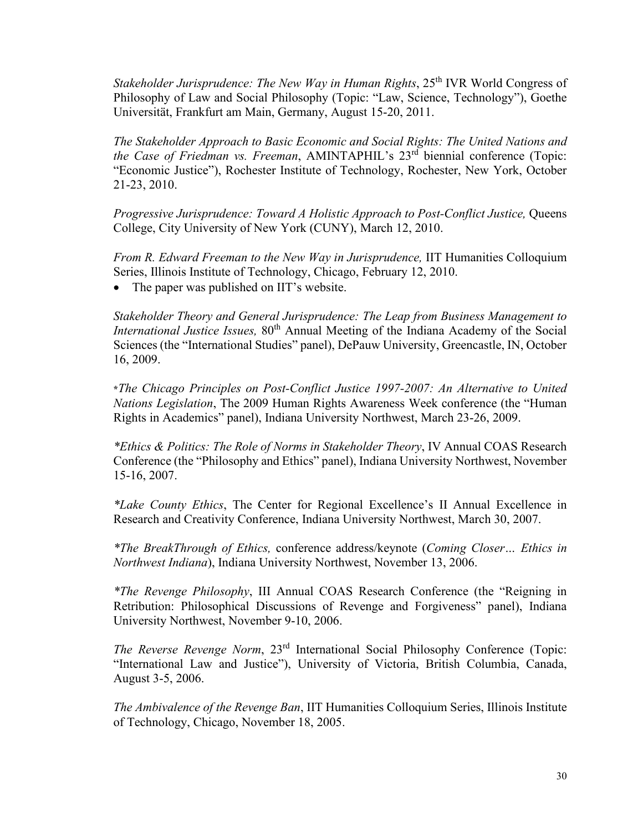*Stakeholder Jurisprudence: The New Way in Human Rights*, 25<sup>th</sup> IVR World Congress of Philosophy of Law and Social Philosophy (Topic: "Law, Science, Technology"), Goethe Universität, Frankfurt am Main, Germany, August 15-20, 2011.

*The Stakeholder Approach to Basic Economic and Social Rights: The United Nations and the Case of Friedman vs. Freeman, AMINTAPHIL's 23<sup>rd</sup> biennial conference (Topic:* "Economic Justice"), Rochester Institute of Technology, Rochester, New York, October 21-23, 2010.

*Progressive Jurisprudence: Toward A Holistic Approach to Post-Conflict Justice,* Queens College, City University of New York (CUNY), March 12, 2010.

*From R. Edward Freeman to the New Way in Jurisprudence,* IIT Humanities Colloquium Series, Illinois Institute of Technology, Chicago, February 12, 2010.

• The paper was published on IIT's website.

*Stakeholder Theory and General Jurisprudence: The Leap from Business Management to International Justice Issues,* 80<sup>th</sup> Annual Meeting of the Indiana Academy of the Social Sciences (the "International Studies" panel), DePauw University, Greencastle, IN, October 16, 2009.

**\****The Chicago Principles on Post-Conflict Justice 1997-2007: An Alternative to United Nations Legislation*, The 2009 Human Rights Awareness Week conference (the "Human Rights in Academics" panel), Indiana University Northwest, March 23-26, 2009.

*\*Ethics & Politics: The Role of Norms in Stakeholder Theory*, IV Annual COAS Research Conference (the "Philosophy and Ethics" panel), Indiana University Northwest, November 15-16, 2007.

*\*Lake County Ethics*, The Center for Regional Excellence's II Annual Excellence in Research and Creativity Conference, Indiana University Northwest, March 30, 2007.

*\*The BreakThrough of Ethics,* conference address/keynote (*Coming Closer… Ethics in Northwest Indiana*), Indiana University Northwest, November 13, 2006.

*\*The Revenge Philosophy*, III Annual COAS Research Conference (the "Reigning in Retribution: Philosophical Discussions of Revenge and Forgiveness" panel), Indiana University Northwest, November 9-10, 2006.

*The Reverse Revenge Norm*, 23<sup>rd</sup> International Social Philosophy Conference (Topic: "International Law and Justice"), University of Victoria, British Columbia, Canada, August 3-5, 2006.

*The Ambivalence of the Revenge Ban*, IIT Humanities Colloquium Series, Illinois Institute of Technology, Chicago, November 18, 2005.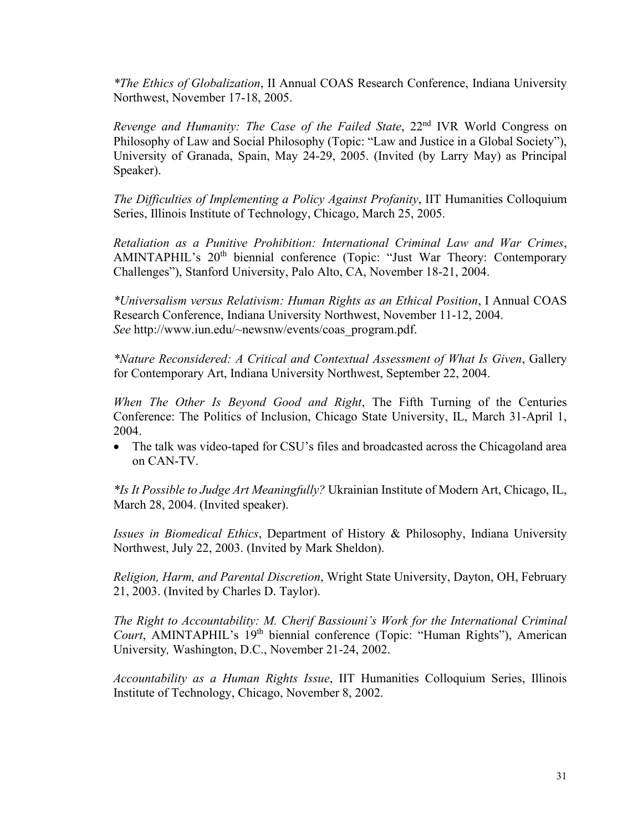*\*The Ethics of Globalization*, II Annual COAS Research Conference, Indiana University Northwest, November 17-18, 2005.

*Revenge and Humanity: The Case of the Failed State,* 22<sup>nd</sup> IVR World Congress on Philosophy of Law and Social Philosophy (Topic: "Law and Justice in a Global Society"), University of Granada, Spain, May 24-29, 2005. (Invited (by Larry May) as Principal Speaker).

*The Difficulties of Implementing a Policy Against Profanity*, IIT Humanities Colloquium Series, Illinois Institute of Technology, Chicago, March 25, 2005.

*Retaliation as a Punitive Prohibition: International Criminal Law and War Crimes*, AMINTAPHIL's 20<sup>th</sup> biennial conference (Topic: "Just War Theory: Contemporary Challenges"), Stanford University, Palo Alto, CA, November 18-21, 2004.

*\*Universalism versus Relativism: Human Rights as an Ethical Position*, I Annual COAS Research Conference, Indiana University Northwest, November 11-12, 2004. *See* http://www.iun.edu/~newsnw/events/coas\_program.pdf.

*\*Nature Reconsidered: A Critical and Contextual Assessment of What Is Given*, Gallery for Contemporary Art, Indiana University Northwest, September 22, 2004.

*When The Other Is Beyond Good and Right*, The Fifth Turning of the Centuries Conference: The Politics of Inclusion, Chicago State University, IL, March 31-April 1, 2004.

• The talk was video-taped for CSU's files and broadcasted across the Chicagoland area on CAN-TV.

*\*Is It Possible to Judge Art Meaningfully?* Ukrainian Institute of Modern Art, Chicago, IL, March 28, 2004. (Invited speaker).

*Issues in Biomedical Ethics*, Department of History & Philosophy, Indiana University Northwest, July 22, 2003. (Invited by Mark Sheldon).

*Religion, Harm, and Parental Discretion*, Wright State University, Dayton, OH, February 21, 2003. (Invited by Charles D. Taylor).

*The Right to Accountability: M. Cherif Bassiouni's Work for the International Criminal Court*, AMINTAPHIL's 19<sup>th</sup> biennial conference (Topic: "Human Rights"), American University*,* Washington, D.C., November 21-24, 2002.

*Accountability as a Human Rights Issue*, IIT Humanities Colloquium Series, Illinois Institute of Technology, Chicago, November 8, 2002.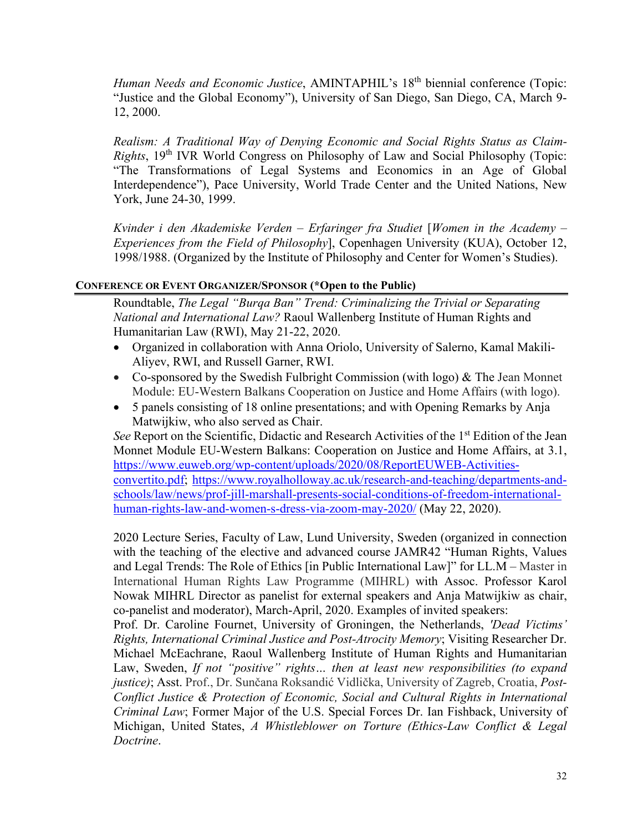*Human Needs and Economic Justice*, AMINTAPHIL's 18<sup>th</sup> biennial conference (Topic: "Justice and the Global Economy"), University of San Diego, San Diego, CA, March 9- 12, 2000.

*Realism: A Traditional Way of Denying Economic and Social Rights Status as Claim-Rights*, 19th IVR World Congress on Philosophy of Law and Social Philosophy (Topic: "The Transformations of Legal Systems and Economics in an Age of Global Interdependence"), Pace University, World Trade Center and the United Nations, New York, June 24-30, 1999.

*Kvinder i den Akademiske Verden – Erfaringer fra Studiet* [*Women in the Academy – Experiences from the Field of Philosophy*], Copenhagen University (KUA), October 12, 1998/1988. (Organized by the Institute of Philosophy and Center for Women's Studies).

## **CONFERENCE OR EVENT ORGANIZER/SPONSOR (\*Open to the Public)**

Roundtable, *The Legal "Burqa Ban" Trend: Criminalizing the Trivial or Separating National and International Law?* Raoul Wallenberg Institute of Human Rights and Humanitarian Law (RWI), May 21-22, 2020.

- Organized in collaboration with Anna Oriolo, University of Salerno, Kamal Makili-Aliyev, RWI, and Russell Garner, RWI.
- Co-sponsored by the Swedish Fulbright Commission (with logo) & The Jean Monnet Module: EU-Western Balkans Cooperation on Justice and Home Affairs (with logo).
- 5 panels consisting of 18 online presentations; and with Opening Remarks by Anja Matwijkiw, who also served as Chair.

*See* Report on the Scientific, Didactic and Research Activities of the 1<sup>st</sup> Edition of the Jean Monnet Module EU-Western Balkans: Cooperation on Justice and Home Affairs, at 3.1, [https://www.euweb.org/wp-content/uploads/2020/08/ReportEUWEB-Activities](https://www.euweb.org/wp-content/uploads/2020/08/ReportEUWEB-Activities-convertito.pdf)[convertito.pdf;](https://www.euweb.org/wp-content/uploads/2020/08/ReportEUWEB-Activities-convertito.pdf) [https://www.royalholloway.ac.uk/research-and-teaching/departments-and](https://www.royalholloway.ac.uk/research-and-teaching/departments-and-schools/law/news/prof-jill-marshall-presents-social-conditions-of-freedom-international-human-rights-law-and-women-s-dress-via-zoom-may-2020/)[schools/law/news/prof-jill-marshall-presents-social-conditions-of-freedom-international](https://www.royalholloway.ac.uk/research-and-teaching/departments-and-schools/law/news/prof-jill-marshall-presents-social-conditions-of-freedom-international-human-rights-law-and-women-s-dress-via-zoom-may-2020/)[human-rights-law-and-women-s-dress-via-zoom-may-2020/](https://www.royalholloway.ac.uk/research-and-teaching/departments-and-schools/law/news/prof-jill-marshall-presents-social-conditions-of-freedom-international-human-rights-law-and-women-s-dress-via-zoom-may-2020/) (May 22, 2020).

2020 Lecture Series, Faculty of Law, Lund University, Sweden (organized in connection with the teaching of the elective and advanced course JAMR42 "Human Rights, Values and Legal Trends: The Role of Ethics [in Public International Law]" for LL.M – Master in International Human Rights Law Programme (MIHRL) with Assoc. Professor Karol Nowak MIHRL Director as panelist for external speakers and Anja Matwijkiw as chair, co-panelist and moderator), March-April, 2020. Examples of invited speakers:

Prof. Dr. Caroline Fournet, University of Groningen, the Netherlands, *'Dead Victims' Rights, International Criminal Justice and Post-Atrocity Memory*; Visiting Researcher Dr. Michael McEachrane, Raoul Wallenberg Institute of Human Rights and Humanitarian Law, Sweden, *If not "positive" rights… then at least new responsibilities (to expand justice)*; Asst. Prof., Dr. Sunčana Roksandić Vidlička, University of Zagreb, Croatia, *Post-Conflict Justice & Protection of Economic, Social and Cultural Rights in International Criminal Law*; Former Major of the U.S. Special Forces Dr. Ian Fishback, University of Michigan, United States, *A Whistleblower on Torture (Ethics-Law Conflict & Legal Doctrine*.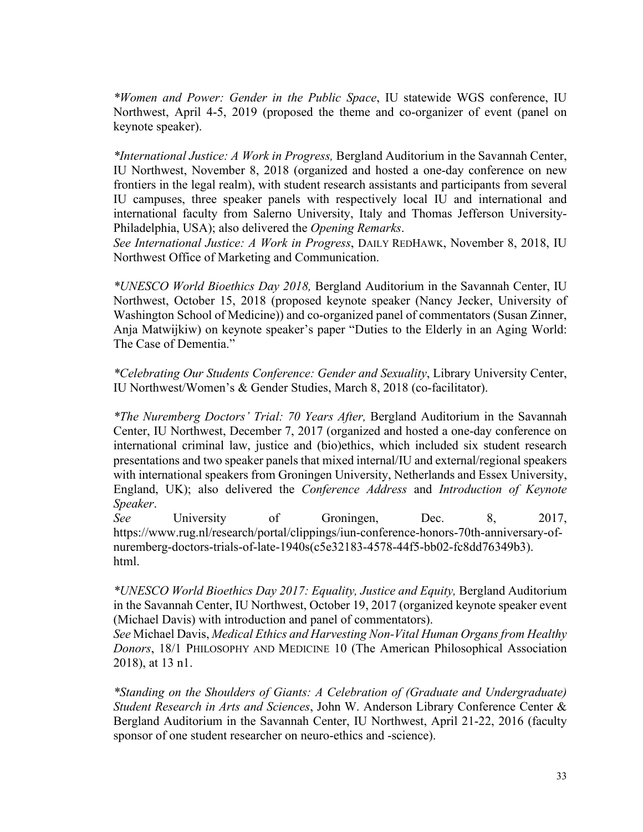*\*Women and Power: Gender in the Public Space*, IU statewide WGS conference, IU Northwest, April 4-5, 2019 (proposed the theme and co-organizer of event (panel on keynote speaker).

*\*International Justice: A Work in Progress,* Bergland Auditorium in the Savannah Center, IU Northwest, November 8, 2018 (organized and hosted a one-day conference on new frontiers in the legal realm), with student research assistants and participants from several IU campuses, three speaker panels with respectively local IU and international and international faculty from Salerno University, Italy and Thomas Jefferson University-Philadelphia, USA); also delivered the *Opening Remarks*.

*See International Justice: A Work in Progress*, DAILY REDHAWK, November 8, 2018, IU Northwest Office of Marketing and Communication.

*\*UNESCO World Bioethics Day 2018,* Bergland Auditorium in the Savannah Center, IU Northwest, October 15, 2018 (proposed keynote speaker (Nancy Jecker, University of Washington School of Medicine)) and co-organized panel of commentators (Susan Zinner, Anja Matwijkiw) on keynote speaker's paper "Duties to the Elderly in an Aging World: The Case of Dementia."

*\*Celebrating Our Students Conference: Gender and Sexuality*, Library University Center, IU Northwest/Women's & Gender Studies, March 8, 2018 (co-facilitator).

*\*The Nuremberg Doctors' Trial: 70 Years After,* Bergland Auditorium in the Savannah Center, IU Northwest, December 7, 2017 (organized and hosted a one-day conference on international criminal law, justice and (bio)ethics, which included six student research presentations and two speaker panels that mixed internal/IU and external/regional speakers with international speakers from Groningen University, Netherlands and Essex University, England, UK); also delivered the *Conference Address* and *Introduction of Keynote Speaker*.

*See* University of Groningen, Dec. 8, 2017, https://www.rug.nl/research/portal/clippings/iun-conference-honors-70th-anniversary-ofnuremberg-doctors-trials-of-late-1940s(c5e32183-4578-44f5-bb02-fc8dd76349b3). html.

*\*UNESCO World Bioethics Day 2017: Equality, Justice and Equity,* Bergland Auditorium in the Savannah Center, IU Northwest, October 19, 2017 (organized keynote speaker event (Michael Davis) with introduction and panel of commentators).

*See* Michael Davis, *Medical Ethics and Harvesting Non-Vital Human Organs from Healthy Donors*, 18/1 PHILOSOPHY AND MEDICINE 10 (The American Philosophical Association 2018), at 13 n1.

*\*Standing on the Shoulders of Giants: A Celebration of (Graduate and Undergraduate) Student Research in Arts and Sciences*, John W. Anderson Library Conference Center & Bergland Auditorium in the Savannah Center, IU Northwest, April 21-22, 2016 (faculty sponsor of one student researcher on neuro-ethics and -science).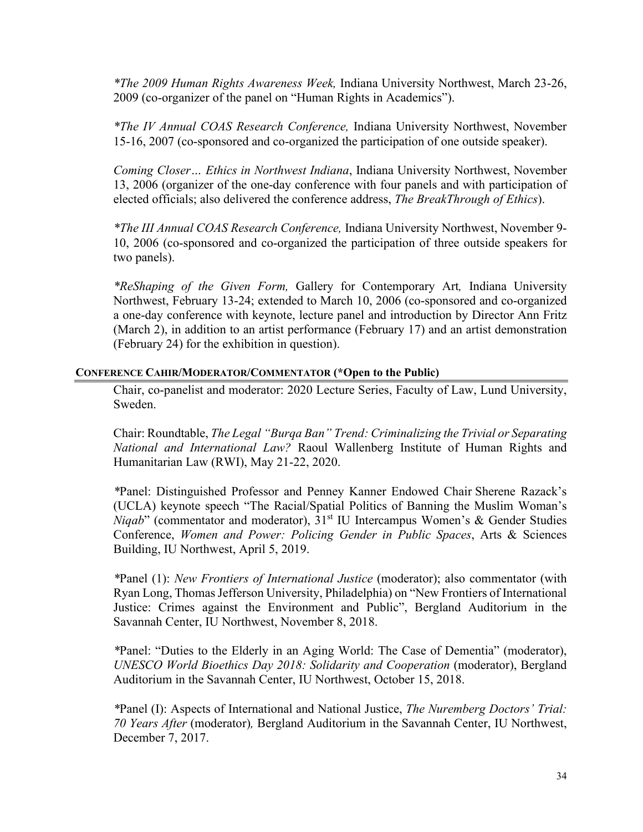*\*The 2009 Human Rights Awareness Week,* Indiana University Northwest, March 23-26, 2009 (co-organizer of the panel on "Human Rights in Academics").

*\*The IV Annual COAS Research Conference,* Indiana University Northwest, November 15-16, 2007 (co-sponsored and co-organized the participation of one outside speaker).

*Coming Closer… Ethics in Northwest Indiana*, Indiana University Northwest, November 13, 2006 (organizer of the one-day conference with four panels and with participation of elected officials; also delivered the conference address, *The BreakThrough of Ethics*).

*\*The III Annual COAS Research Conference,* Indiana University Northwest, November 9- 10, 2006 (co-sponsored and co-organized the participation of three outside speakers for two panels).

*\*ReShaping of the Given Form,* Gallery for Contemporary Art*,* Indiana University Northwest, February 13-24; extended to March 10, 2006 (co-sponsored and co-organized a one-day conference with keynote, lecture panel and introduction by Director Ann Fritz (March 2), in addition to an artist performance (February 17) and an artist demonstration (February 24) for the exhibition in question).

#### **CONFERENCE CAHIR/MODERATOR/COMMENTATOR (\*Open to the Public)**

Chair, co-panelist and moderator: 2020 Lecture Series, Faculty of Law, Lund University, Sweden.

Chair: Roundtable, *The Legal "Burqa Ban" Trend: Criminalizing the Trivial or Separating National and International Law?* Raoul Wallenberg Institute of Human Rights and Humanitarian Law (RWI), May 21-22, 2020.

*\**Panel: Distinguished Professor and Penney Kanner Endowed Chair Sherene Razack's (UCLA) keynote speech "The Racial/Spatial Politics of Banning the Muslim Woman's *Niqab*" (commentator and moderator),  $31<sup>st</sup>$  IU Intercampus Women's & Gender Studies Conference, *Women and Power: Policing Gender in Public Spaces*, Arts & Sciences Building, IU Northwest, April 5, 2019.

*\**Panel (1): *New Frontiers of International Justice* (moderator); also commentator (with Ryan Long, Thomas Jefferson University, Philadelphia) on "New Frontiers of International Justice: Crimes against the Environment and Public", Bergland Auditorium in the Savannah Center, IU Northwest, November 8, 2018.

*\**Panel: "Duties to the Elderly in an Aging World: The Case of Dementia" (moderator), *UNESCO World Bioethics Day 2018: Solidarity and Cooperation* (moderator), Bergland Auditorium in the Savannah Center, IU Northwest, October 15, 2018.

*\**Panel (I): Aspects of International and National Justice, *The Nuremberg Doctors' Trial: 70 Years After* (moderator)*,* Bergland Auditorium in the Savannah Center, IU Northwest, December 7, 2017.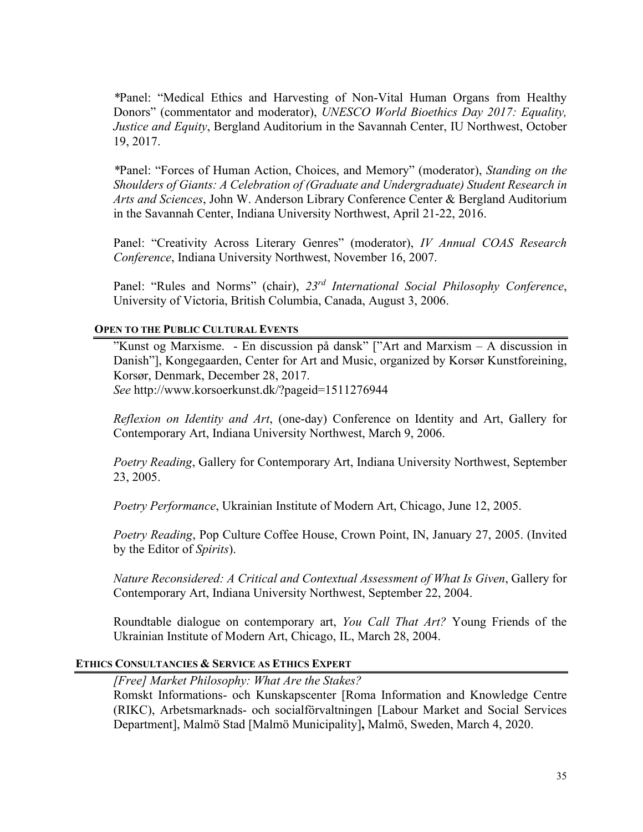*\**Panel: "Medical Ethics and Harvesting of Non-Vital Human Organs from Healthy Donors" (commentator and moderator), *UNESCO World Bioethics Day 2017: Equality, Justice and Equity*, Bergland Auditorium in the Savannah Center, IU Northwest, October 19, 2017.

*\**Panel: "Forces of Human Action, Choices, and Memory" (moderator), *Standing on the Shoulders of Giants: A Celebration of (Graduate and Undergraduate) Student Research in Arts and Sciences*, John W. Anderson Library Conference Center & Bergland Auditorium in the Savannah Center, Indiana University Northwest, April 21-22, 2016.

Panel: "Creativity Across Literary Genres" (moderator), *IV Annual COAS Research Conference*, Indiana University Northwest, November 16, 2007.

Panel: "Rules and Norms" (chair), *23rd International Social Philosophy Conference*, University of Victoria, British Columbia, Canada, August 3, 2006.

#### **OPEN TO THE PUBLIC CULTURAL EVENTS**

"Kunst og Marxisme. - En discussion på dansk" ["Art and Marxism – A discussion in Danish"], Kongegaarden, Center for Art and Music, organized by Korsør Kunstforeining, Korsør, Denmark, December 28, 2017. *See* http://www.korsoerkunst.dk/?pageid=1511276944

*Reflexion on Identity and Art*, (one-day) Conference on Identity and Art, Gallery for Contemporary Art, Indiana University Northwest, March 9, 2006.

*Poetry Reading*, Gallery for Contemporary Art, Indiana University Northwest, September 23, 2005.

*Poetry Performance*, Ukrainian Institute of Modern Art, Chicago, June 12, 2005.

*Poetry Reading*, Pop Culture Coffee House, Crown Point, IN, January 27, 2005. (Invited by the Editor of *Spirits*).

*Nature Reconsidered: A Critical and Contextual Assessment of What Is Given*, Gallery for Contemporary Art, Indiana University Northwest, September 22, 2004.

Roundtable dialogue on contemporary art, *You Call That Art?* Young Friends of the Ukrainian Institute of Modern Art, Chicago, IL, March 28, 2004.

### **ETHICS CONSULTANCIES & SERVICE AS ETHICS EXPERT**

*[Free] Market Philosophy: What Are the Stakes?*

Romskt Informations- och Kunskapscenter [Roma Information and Knowledge Centre (RIKC), Arbetsmarknads- och socialförvaltningen [Labour Market and Social Services Department], Malmö Stad [Malmö Municipality]**,** Malmö, Sweden, March 4, 2020.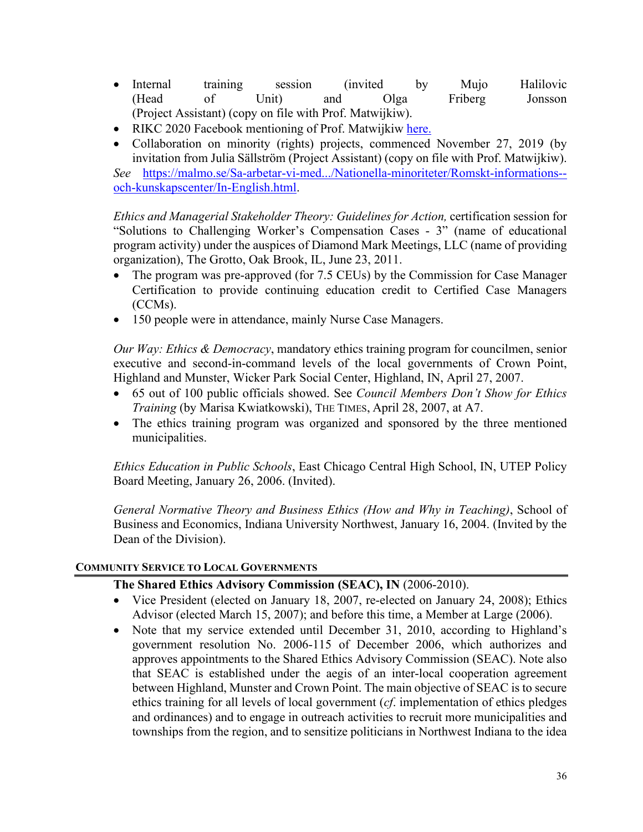- Internal training session (invited by Mujo Halilovic (Head of Unit) and Olga Friberg Jonsson (Project Assistant) (copy on file with Prof. Matwijkiw).
- RIKC 2020 Facebook mentioning of Prof. Matwijkiw [here.](https://www.facebook.com/RIKC-Romskt-informations-och-kunskapscenter-282939498535540/?ref=aymt_homepage_panel&eid=ARANfqeMYKKX8tHoTOkkZcH3qx8aRuVx0OvV75YvyHAx2w6hxu6uNaOQ6geXyzuWEYmtR1jCR92SeMt0)
- Collaboration on minority (rights) projects, commenced November 27, 2019 (by invitation from Julia Sällström (Project Assistant) (copy on file with Prof. Matwijkiw).

*See* [https://malmo.se/Sa-arbetar-vi-med.../Nationella-minoriteter/Romskt-informations-](https://malmo.se/Sa-arbetar-vi-med.../Nationella-minoriteter/Romskt-informations--och-kunskapscenter/In-English.html) [och-kunskapscenter/In-English.html.](https://malmo.se/Sa-arbetar-vi-med.../Nationella-minoriteter/Romskt-informations--och-kunskapscenter/In-English.html)

*Ethics and Managerial Stakeholder Theory: Guidelines for Action,* certification session for "Solutions to Challenging Worker's Compensation Cases - 3" (name of educational program activity) under the auspices of Diamond Mark Meetings, LLC (name of providing organization), The Grotto, Oak Brook, IL, June 23, 2011.

- The program was pre-approved (for 7.5 CEUs) by the Commission for Case Manager Certification to provide continuing education credit to Certified Case Managers (CCMs).
- 150 people were in attendance, mainly Nurse Case Managers.

*Our Way: Ethics & Democracy*, mandatory ethics training program for councilmen, senior executive and second-in-command levels of the local governments of Crown Point, Highland and Munster, Wicker Park Social Center, Highland, IN, April 27, 2007.

- 65 out of 100 public officials showed. See *Council Members Don't Show for Ethics Training* (by Marisa Kwiatkowski), THE TIMES, April 28, 2007, at A7.
- The ethics training program was organized and sponsored by the three mentioned municipalities.

*Ethics Education in Public Schools*, East Chicago Central High School, IN, UTEP Policy Board Meeting, January 26, 2006. (Invited).

*General Normative Theory and Business Ethics (How and Why in Teaching)*, School of Business and Economics, Indiana University Northwest, January 16, 2004. (Invited by the Dean of the Division).

## **COMMUNITY SERVICE TO LOCAL GOVERNMENTS**

## **The Shared Ethics Advisory Commission (SEAC), IN** (2006-2010).

- Vice President (elected on January 18, 2007, re-elected on January 24, 2008); Ethics Advisor (elected March 15, 2007); and before this time, a Member at Large (2006).
- Note that my service extended until December 31, 2010, according to Highland's government resolution No. 2006-115 of December 2006, which authorizes and approves appointments to the Shared Ethics Advisory Commission (SEAC). Note also that SEAC is established under the aegis of an inter-local cooperation agreement between Highland, Munster and Crown Point. The main objective of SEAC is to secure ethics training for all levels of local government (*cf*. implementation of ethics pledges and ordinances) and to engage in outreach activities to recruit more municipalities and townships from the region, and to sensitize politicians in Northwest Indiana to the idea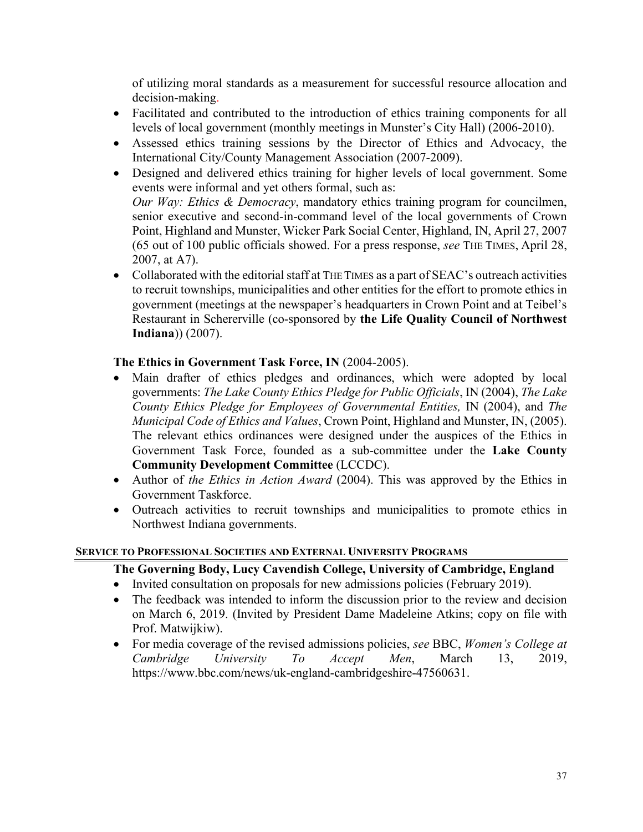of utilizing moral standards as a measurement for successful resource allocation and decision-making.

- Facilitated and contributed to the introduction of ethics training components for all levels of local government (monthly meetings in Munster's City Hall) (2006-2010).
- Assessed ethics training sessions by the Director of Ethics and Advocacy, the International City/County Management Association (2007-2009).
- Designed and delivered ethics training for higher levels of local government. Some events were informal and yet others formal, such as: *Our Way: Ethics & Democracy*, mandatory ethics training program for councilmen, senior executive and second-in-command level of the local governments of Crown Point, Highland and Munster, Wicker Park Social Center, Highland, IN, April 27, 2007 (65 out of 100 public officials showed. For a press response, *see* THE TIMES, April 28, 2007, at A7).
- Collaborated with the editorial staff at THE TIMES as a part of SEAC's outreach activities to recruit townships, municipalities and other entities for the effort to promote ethics in government (meetings at the newspaper's headquarters in Crown Point and at Teibel's Restaurant in Schererville (co-sponsored by **the Life Quality Council of Northwest Indiana**)) (2007).

## **The Ethics in Government Task Force, IN** (2004-2005).

- Main drafter of ethics pledges and ordinances, which were adopted by local governments: *The Lake County Ethics Pledge for Public Officials*, IN (2004), *The Lake County Ethics Pledge for Employees of Governmental Entities,* IN (2004), and *The Municipal Code of Ethics and Values*, Crown Point, Highland and Munster, IN, (2005). The relevant ethics ordinances were designed under the auspices of the Ethics in Government Task Force, founded as a sub-committee under the **Lake County Community Development Committee** (LCCDC).
- Author of *the Ethics in Action Award* (2004). This was approved by the Ethics in Government Taskforce.
- Outreach activities to recruit townships and municipalities to promote ethics in Northwest Indiana governments.

## **SERVICE TO PROFESSIONAL SOCIETIES AND EXTERNAL UNIVERSITY PROGRAMS**

## **The Governing Body, Lucy Cavendish College, University of Cambridge, England**

- Invited consultation on proposals for new admissions policies (February 2019).
- The feedback was intended to inform the discussion prior to the review and decision on March 6, 2019. (Invited by President Dame Madeleine Atkins; copy on file with Prof. Matwijkiw).
- For media coverage of the revised admissions policies, *see* BBC, *Women's College at Cambridge University To Accept Men*, March 13, 2019, https://www.bbc.com/news/uk-england-cambridgeshire-47560631.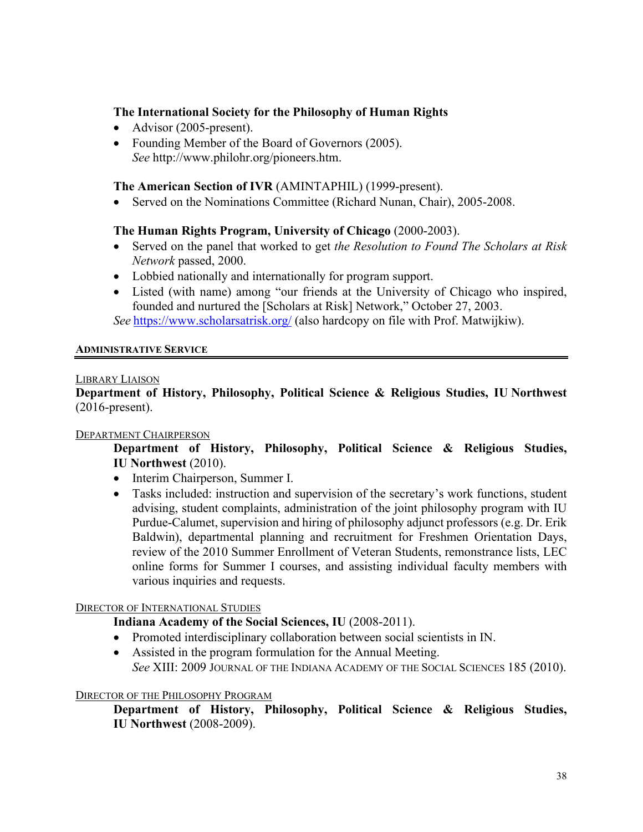## **The International Society for the Philosophy of Human Rights**

- Advisor (2005-present).
- Founding Member of the Board of Governors (2005). *See* http://www.philohr.org/pioneers.htm.

## **The American Section of IVR** (AMINTAPHIL) (1999-present).

• Served on the Nominations Committee (Richard Nunan, Chair), 2005-2008.

## **The Human Rights Program, University of Chicago** (2000-2003).

- Served on the panel that worked to get *the Resolution to Found The Scholars at Risk Network* passed, 2000.
- Lobbied nationally and internationally for program support.
- Listed (with name) among "our friends at the University of Chicago who inspired, founded and nurtured the [Scholars at Risk] Network," October 27, 2003. *See* <https://www.scholarsatrisk.org/>(also hardcopy on file with Prof. Matwijkiw).

#### **ADMINISTRATIVE SERVICE**

#### LIBRARY LIAISON

**Department of History, Philosophy, Political Science & Religious Studies, IU Northwest**  (2016-present).

#### DEPARTMENT CHAIRPERSON

**Department of History, Philosophy, Political Science & Religious Studies, IU Northwest** (2010).

- Interim Chairperson, Summer I.
- Tasks included: instruction and supervision of the secretary's work functions, student advising, student complaints, administration of the joint philosophy program with IU Purdue-Calumet, supervision and hiring of philosophy adjunct professors (e.g. Dr. Erik Baldwin), departmental planning and recruitment for Freshmen Orientation Days, review of the 2010 Summer Enrollment of Veteran Students, remonstrance lists, LEC online forms for Summer I courses, and assisting individual faculty members with various inquiries and requests.

## DIRECTOR OF INTERNATIONAL STUDIES

- **Indiana Academy of the Social Sciences, IU** (2008-2011).
- Promoted interdisciplinary collaboration between social scientists in IN.
- Assisted in the program formulation for the Annual Meeting. *See* XIII: 2009 JOURNAL OF THE INDIANA ACADEMY OF THE SOCIAL SCIENCES 185 (2010).

#### DIRECTOR OF THE PHILOSOPHY PROGRAM

**Department of History, Philosophy, Political Science & Religious Studies, IU Northwest** (2008-2009).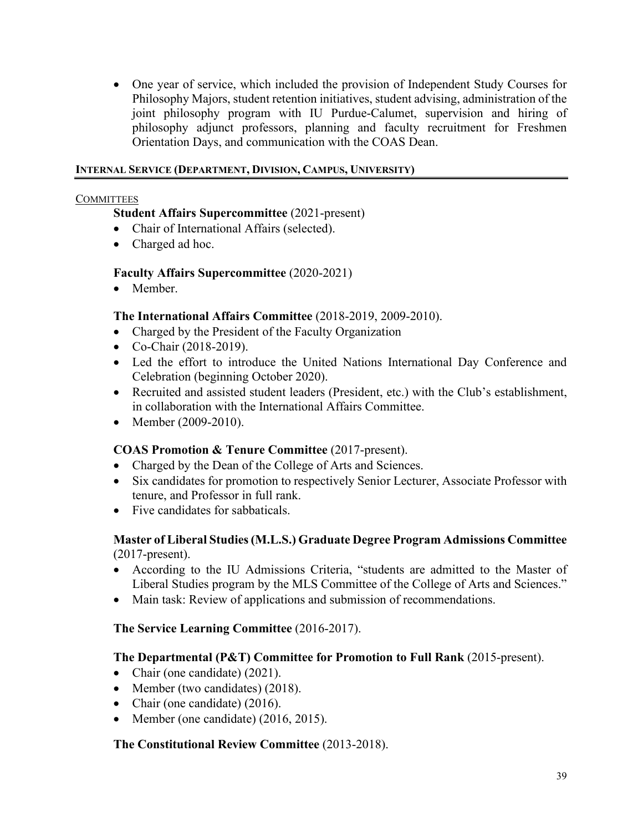• One year of service, which included the provision of Independent Study Courses for Philosophy Majors, student retention initiatives, student advising, administration of the joint philosophy program with IU Purdue-Calumet, supervision and hiring of philosophy adjunct professors, planning and faculty recruitment for Freshmen Orientation Days, and communication with the COAS Dean.

## **INTERNAL SERVICE (DEPARTMENT, DIVISION, CAMPUS, UNIVERSITY)**

#### **COMMITTEES**

## **Student Affairs Supercommittee** (2021-present)

- Chair of International Affairs (selected).
- Charged ad hoc.

## **Faculty Affairs Supercommittee** (2020-2021)

• Member.

## **The International Affairs Committee** (2018-2019, 2009-2010).

- Charged by the President of the Faculty Organization
- Co-Chair (2018-2019).
- Led the effort to introduce the United Nations International Day Conference and Celebration (beginning October 2020).
- Recruited and assisted student leaders (President, etc.) with the Club's establishment, in collaboration with the International Affairs Committee.
- Member (2009-2010).

## **COAS Promotion & Tenure Committee** (2017-present).

- Charged by the Dean of the College of Arts and Sciences.
- Six candidates for promotion to respectively Senior Lecturer, Associate Professor with tenure, and Professor in full rank.
- Five candidates for sabbaticals.

## **Master of Liberal Studies(M.L.S.) Graduate Degree Program Admissions Committee** (2017-present).

- According to the IU Admissions Criteria, "students are admitted to the Master of Liberal Studies program by the MLS Committee of the College of Arts and Sciences."
- Main task: Review of applications and submission of recommendations.

## **The Service Learning Committee** (2016-2017).

## **The Departmental (P&T) Committee for Promotion to Full Rank** (2015-present).

- Chair (one candidate) (2021).
- Member (two candidates) (2018).
- Chair (one candidate) (2016).
- Member (one candidate) (2016, 2015).

## **The Constitutional Review Committee** (2013-2018).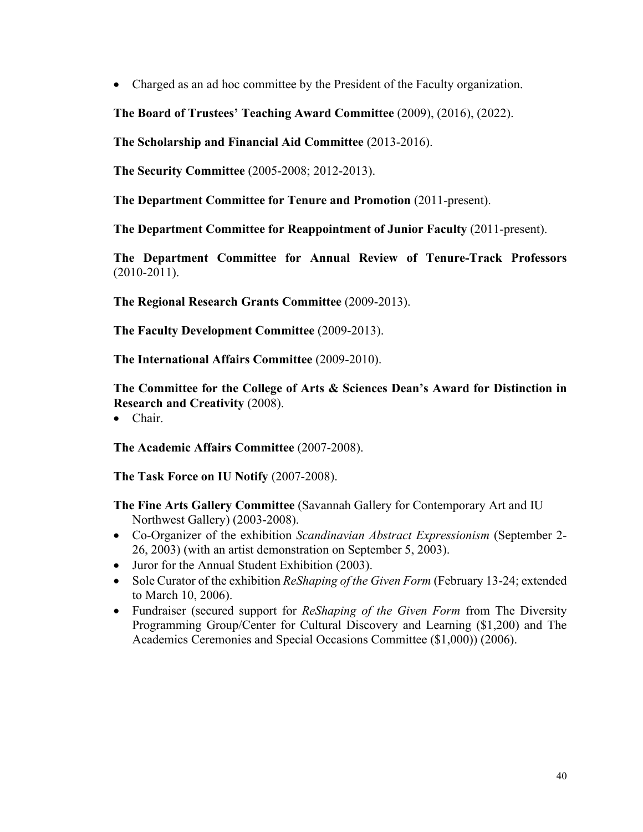• Charged as an ad hoc committee by the President of the Faculty organization.

**The Board of Trustees' Teaching Award Committee** (2009), (2016), (2022).

**The Scholarship and Financial Aid Committee** (2013-2016).

**The Security Committee** (2005-2008; 2012-2013).

**The Department Committee for Tenure and Promotion** (2011-present).

**The Department Committee for Reappointment of Junior Faculty** (2011-present).

**The Department Committee for Annual Review of Tenure-Track Professors** (2010-2011).

**The Regional Research Grants Committee** (2009-2013).

**The Faculty Development Committee** (2009-2013).

**The International Affairs Committee** (2009-2010).

**The Committee for the College of Arts & Sciences Dean's Award for Distinction in Research and Creativity** (2008).

• Chair.

**The Academic Affairs Committee** (2007-2008).

**The Task Force on IU Notify** (2007-2008).

**The Fine Arts Gallery Committee** (Savannah Gallery for Contemporary Art and IU Northwest Gallery) (2003-2008).

- Co-Organizer of the exhibition *Scandinavian Abstract Expressionism* (September 2- 26, 2003) (with an artist demonstration on September 5, 2003).
- Juror for the Annual Student Exhibition (2003).
- Sole Curator of the exhibition *ReShaping of the Given Form* (February 13-24; extended to March 10, 2006).
- Fundraiser (secured support for *ReShaping of the Given Form* from The Diversity Programming Group/Center for Cultural Discovery and Learning (\$1,200) and The Academics Ceremonies and Special Occasions Committee (\$1,000)) (2006).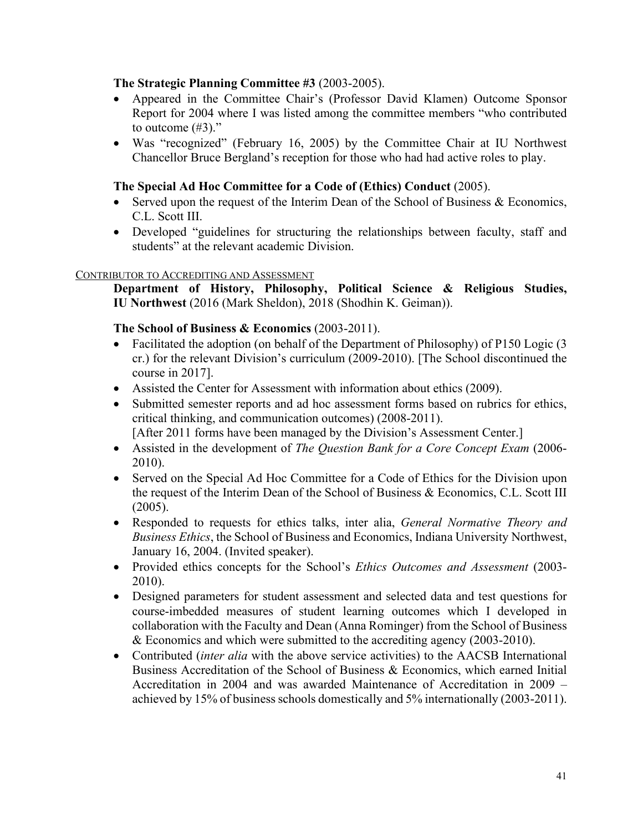## **The Strategic Planning Committee #3** (2003-2005).

- Appeared in the Committee Chair's (Professor David Klamen) Outcome Sponsor Report for 2004 where I was listed among the committee members "who contributed to outcome  $(\#3)$ ."
- Was "recognized" (February 16, 2005) by the Committee Chair at IU Northwest Chancellor Bruce Bergland's reception for those who had had active roles to play.

## **The Special Ad Hoc Committee for a Code of (Ethics) Conduct** (2005).

- Served upon the request of the Interim Dean of the School of Business & Economics, C.L. Scott III.
- Developed "guidelines for structuring the relationships between faculty, staff and students" at the relevant academic Division.

## CONTRIBUTOR TO ACCREDITING AND ASSESSMENT

**Department of History, Philosophy, Political Science & Religious Studies, IU Northwest** (2016 (Mark Sheldon), 2018 (Shodhin K. Geiman)).

## **The School of Business & Economics** (2003-2011).

- Facilitated the adoption (on behalf of the Department of Philosophy) of P150 Logic (3 cr.) for the relevant Division's curriculum (2009-2010). [The School discontinued the course in 2017].
- Assisted the Center for Assessment with information about ethics (2009).
- Submitted semester reports and ad hoc assessment forms based on rubrics for ethics, critical thinking, and communication outcomes) (2008-2011).

[After 2011 forms have been managed by the Division's Assessment Center.]

- Assisted in the development of *The Question Bank for a Core Concept Exam* (2006- 2010).
- Served on the Special Ad Hoc Committee for a Code of Ethics for the Division upon the request of the Interim Dean of the School of Business & Economics, C.L. Scott III (2005).
- Responded to requests for ethics talks, inter alia, *General Normative Theory and Business Ethics*, the School of Business and Economics, Indiana University Northwest, January 16, 2004. (Invited speaker).
- Provided ethics concepts for the School's *Ethics Outcomes and Assessment* (2003- 2010).
- Designed parameters for student assessment and selected data and test questions for course-imbedded measures of student learning outcomes which I developed in collaboration with the Faculty and Dean (Anna Rominger) from the School of Business & Economics and which were submitted to the accrediting agency (2003-2010).
- Contributed *(inter alia* with the above service activities) to the AACSB International Business Accreditation of the School of Business & Economics, which earned Initial Accreditation in 2004 and was awarded Maintenance of Accreditation in 2009 – achieved by 15% of business schools domestically and 5% internationally (2003-2011).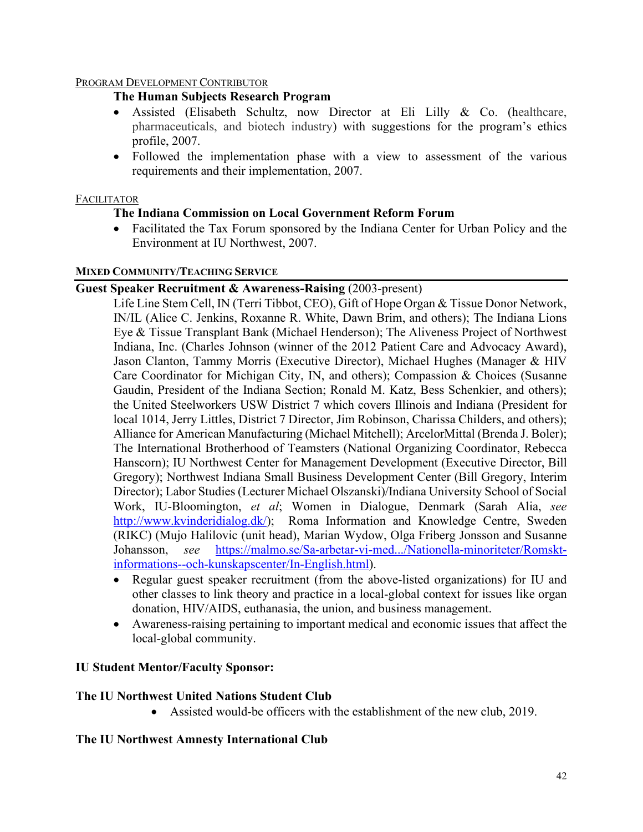## PROGRAM DEVELOPMENT CONTRIBUTOR

## **The Human Subjects Research Program**

- Assisted (Elisabeth Schultz, now Director at Eli Lilly & Co. (healthcare, pharmaceuticals, and biotech industry) with suggestions for the program's ethics profile, 2007.
- Followed the implementation phase with a view to assessment of the various requirements and their implementation, 2007.

## FACILITATOR

## **The Indiana Commission on Local Government Reform Forum**

• Facilitated the Tax Forum sponsored by the Indiana Center for Urban Policy and the Environment at IU Northwest, 2007.

## **MIXED COMMUNITY/TEACHING SERVICE**

## **Guest Speaker Recruitment & Awareness-Raising** (2003-present)

Life Line Stem Cell, IN (Terri Tibbot, CEO), Gift of Hope Organ & Tissue Donor Network, IN/IL (Alice C. Jenkins, Roxanne R. White, Dawn Brim, and others); The Indiana Lions Eye & Tissue Transplant Bank (Michael Henderson); The Aliveness Project of Northwest Indiana, Inc. (Charles Johnson (winner of the 2012 Patient Care and Advocacy Award), Jason Clanton, Tammy Morris (Executive Director), Michael Hughes (Manager & HIV Care Coordinator for Michigan City, IN, and others); Compassion & Choices (Susanne Gaudin, President of the Indiana Section; Ronald M. Katz, Bess Schenkier, and others); the United Steelworkers USW District 7 which covers Illinois and Indiana (President for local 1014, Jerry Littles, District 7 Director, Jim Robinson, Charissa Childers, and others); Alliance for American Manufacturing (Michael Mitchell); ArcelorMittal (Brenda J. Boler); The International Brotherhood of Teamsters (National Organizing Coordinator, Rebecca Hanscorn); IU Northwest Center for Management Development (Executive Director, Bill Gregory); Northwest Indiana Small Business Development Center (Bill Gregory, Interim Director); Labor Studies (Lecturer Michael Olszanski)/Indiana University School of Social Work, IU-Bloomington, *et al*; Women in Dialogue, Denmark (Sarah Alia, *see* [http://www.kvinderidialog.dk/\)](http://www.kvinderidialog.dk/); Roma Information and Knowledge Centre, Sweden (RIKC) (Mujo Halilovic (unit head), Marian Wydow, Olga Friberg Jonsson and Susanne Johansson, *see* [https://malmo.se/Sa-arbetar-vi-med.../Nationella-minoriteter/Romskt](https://malmo.se/Sa-arbetar-vi-med.../Nationella-minoriteter/Romskt-informations--och-kunskapscenter/In-English.html)[informations--och-kunskapscenter/In-English.html\)](https://malmo.se/Sa-arbetar-vi-med.../Nationella-minoriteter/Romskt-informations--och-kunskapscenter/In-English.html).

- Regular guest speaker recruitment (from the above-listed organizations) for IU and other classes to link theory and practice in a local-global context for issues like organ donation, HIV/AIDS, euthanasia, the union, and business management.
- Awareness-raising pertaining to important medical and economic issues that affect the local-global community.

## **IU Student Mentor/Faculty Sponsor:**

## **The IU Northwest United Nations Student Club**

• Assisted would-be officers with the establishment of the new club, 2019.

## **The IU Northwest Amnesty International Club**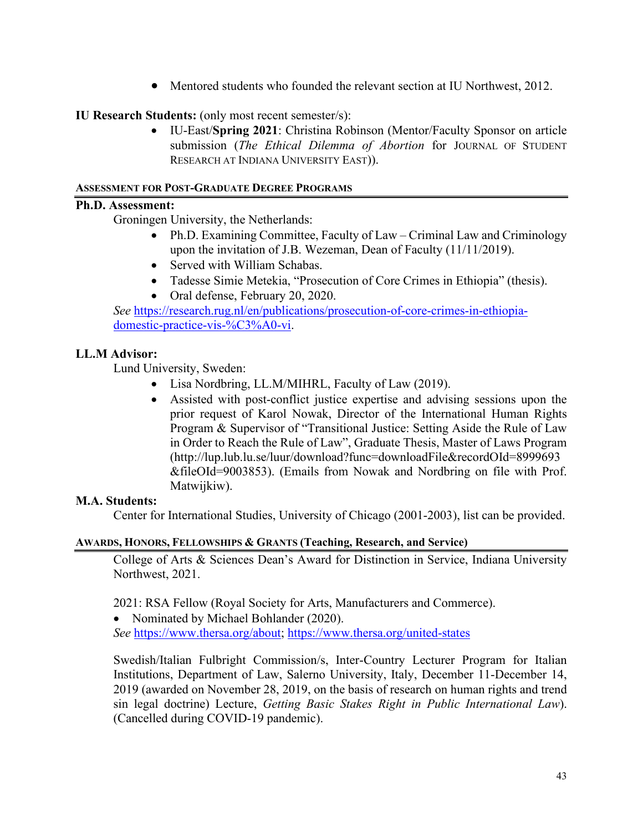• Mentored students who founded the relevant section at IU Northwest, 2012.

## **IU Research Students:** (only most recent semester/s):

• IU-East/**Spring 2021**: Christina Robinson (Mentor/Faculty Sponsor on article submission (*The Ethical Dilemma of Abortion* for JOURNAL OF STUDENT RESEARCH AT INDIANA UNIVERSITY EAST)).

### **ASSESSMENT FOR POST-GRADUATE DEGREE PROGRAMS**

## **Ph.D. Assessment:**

Groningen University, the Netherlands:

- Ph.D. Examining Committee, Faculty of Law Criminal Law and Criminology upon the invitation of J.B. Wezeman, Dean of Faculty (11/11/2019).
- Served with William Schabas.
- Tadesse Simie Metekia, "Prosecution of Core Crimes in Ethiopia" (thesis).
- Oral defense, February 20, 2020.

*See* [https://research.rug.nl/en/publications/prosecution-of-core-crimes-in-ethiopia](https://research.rug.nl/en/publications/prosecution-of-core-crimes-in-ethiopia-domestic-practice-vis-%C3%A0-vi)[domestic-practice-vis-%C3%A0-vi.](https://research.rug.nl/en/publications/prosecution-of-core-crimes-in-ethiopia-domestic-practice-vis-%C3%A0-vi)

## **LL.M Advisor:**

Lund University, Sweden:

- Lisa Nordbring, LL.M/MIHRL, Faculty of Law (2019).
- Assisted with post-conflict justice expertise and advising sessions upon the prior request of Karol Nowak, Director of the International Human Rights Program & Supervisor of "Transitional Justice: Setting Aside the Rule of Law in Order to Reach the Rule of Law", Graduate Thesis, Master of Laws Program [\(http://lup.lub.lu.se/luur/download?func=downloadFile&recordOId=8999693](http://lup.lub.lu.se/luur/download?func=downloadFile&recordOId=8999693&fileOId=9003853) [&fileOId=9003853\)](http://lup.lub.lu.se/luur/download?func=downloadFile&recordOId=8999693&fileOId=9003853). (Emails from Nowak and Nordbring on file with Prof. Matwijkiw).

## **M.A. Students:**

Center for International Studies, University of Chicago (2001-2003), list can be provided.

#### **AWARDS, HONORS, FELLOWSHIPS & GRANTS (Teaching, Research, and Service)**

College of Arts & Sciences Dean's Award for Distinction in Service, Indiana University Northwest, 2021.

2021: RSA Fellow (Royal Society for Arts, Manufacturers and Commerce).

• Nominated by Michael Bohlander (2020).

*See* [https://www.thersa.org/about;](https://www.thersa.org/about)<https://www.thersa.org/united-states>

Swedish/Italian Fulbright Commission/s, Inter-Country Lecturer Program for Italian Institutions, Department of Law, Salerno University, Italy, December 11-December 14, 2019 (awarded on November 28, 2019, on the basis of research on human rights and trend sin legal doctrine) Lecture, *Getting Basic Stakes Right in Public International Law*). (Cancelled during COVID-19 pandemic).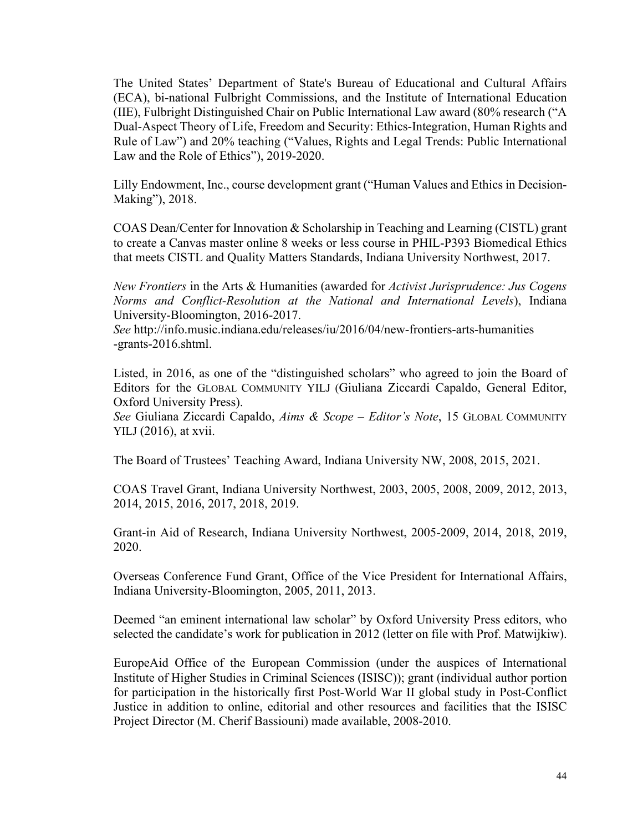The United States' Department of State's Bureau of Educational and Cultural Affairs (ECA), bi-national Fulbright Commissions, and the Institute of International Education (IIE), Fulbright Distinguished Chair on Public International Law award (80% research ("A Dual-Aspect Theory of Life, Freedom and Security: Ethics-Integration, Human Rights and Rule of Law") and 20% teaching ("Values, Rights and Legal Trends: Public International Law and the Role of Ethics"), 2019-2020.

Lilly Endowment, Inc., course development grant ("Human Values and Ethics in Decision-Making"), 2018.

COAS Dean/Center for Innovation & Scholarship in Teaching and Learning (CISTL) grant to create a Canvas master online 8 weeks or less course in PHIL-P393 Biomedical Ethics that meets CISTL and Quality Matters Standards, Indiana University Northwest, 2017.

*New Frontiers* in the Arts & Humanities (awarded for *Activist Jurisprudence: Jus Cogens Norms and Conflict-Resolution at the National and International Levels*), Indiana University-Bloomington, 2016-2017.

*See* http://info.music.indiana.edu/releases/iu/2016/04/new-frontiers-arts-humanities -grants-2016.shtml.

Listed, in 2016, as one of the "distinguished scholars" who agreed to join the Board of Editors for the GLOBAL COMMUNITY YILJ (Giuliana Ziccardi Capaldo, General Editor, Oxford University Press).

*See* Giuliana Ziccardi Capaldo, *Aims & Scope – Editor's Note*, 15 GLOBAL COMMUNITY YILJ (2016), at xvii.

The Board of Trustees' Teaching Award, Indiana University NW, 2008, 2015, 2021.

COAS Travel Grant, Indiana University Northwest, 2003, 2005, 2008, 2009, 2012, 2013, 2014, 2015, 2016, 2017, 2018, 2019.

Grant-in Aid of Research, Indiana University Northwest, 2005-2009, 2014, 2018, 2019, 2020.

Overseas Conference Fund Grant, Office of the Vice President for International Affairs, Indiana University-Bloomington, 2005, 2011, 2013.

Deemed "an eminent international law scholar" by Oxford University Press editors, who selected the candidate's work for publication in 2012 (letter on file with Prof. Matwijkiw).

EuropeAid Office of the European Commission (under the auspices of International Institute of Higher Studies in Criminal Sciences (ISISC)); grant (individual author portion for participation in the historically first Post-World War II global study in Post-Conflict Justice in addition to online, editorial and other resources and facilities that the ISISC Project Director (M. Cherif Bassiouni) made available, 2008-2010.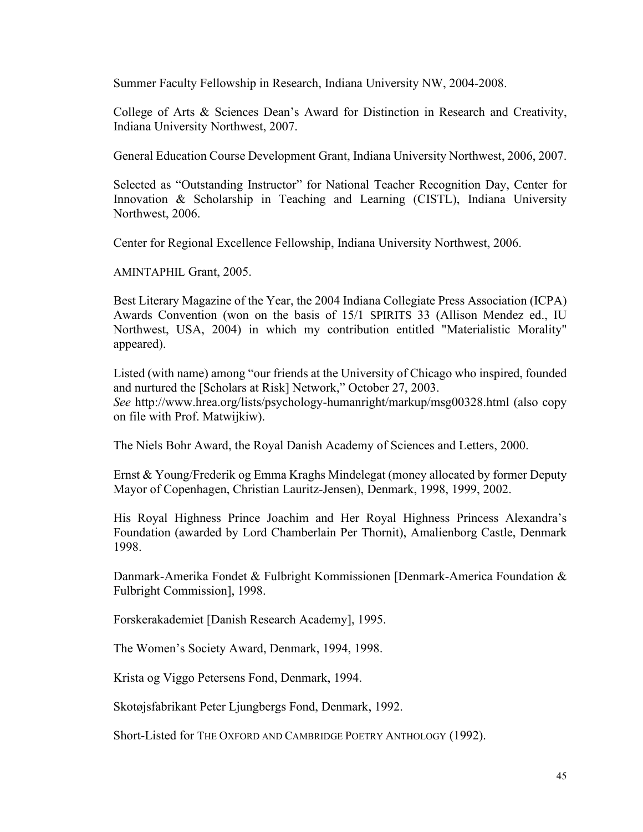Summer Faculty Fellowship in Research, Indiana University NW, 2004-2008.

College of Arts & Sciences Dean's Award for Distinction in Research and Creativity, Indiana University Northwest, 2007.

General Education Course Development Grant, Indiana University Northwest, 2006, 2007.

Selected as "Outstanding Instructor" for National Teacher Recognition Day, Center for Innovation & Scholarship in Teaching and Learning (CISTL), Indiana University Northwest, 2006.

Center for Regional Excellence Fellowship, Indiana University Northwest, 2006.

AMINTAPHIL Grant, 2005.

Best Literary Magazine of the Year, the 2004 Indiana Collegiate Press Association (ICPA) Awards Convention (won on the basis of 15/1 SPIRITS 33 (Allison Mendez ed., IU Northwest, USA, 2004) in which my contribution entitled "Materialistic Morality" appeared).

Listed (with name) among "our friends at the University of Chicago who inspired, founded and nurtured the [Scholars at Risk] Network," October 27, 2003. *See* http://www.hrea.org/lists/psychology-humanright/markup/msg00328.html (also copy on file with Prof. Matwijkiw).

The Niels Bohr Award, the Royal Danish Academy of Sciences and Letters, 2000.

Ernst & Young/Frederik og Emma Kraghs Mindelegat (money allocated by former Deputy Mayor of Copenhagen, Christian Lauritz-Jensen), Denmark, 1998, 1999, 2002.

His Royal Highness Prince Joachim and Her Royal Highness Princess Alexandra's Foundation (awarded by Lord Chamberlain Per Thornit), Amalienborg Castle, Denmark 1998.

Danmark-Amerika Fondet & Fulbright Kommissionen [Denmark-America Foundation & Fulbright Commission], 1998.

Forskerakademiet [Danish Research Academy], 1995.

The Women's Society Award, Denmark, 1994, 1998.

Krista og Viggo Petersens Fond, Denmark, 1994.

Skotøjsfabrikant Peter Ljungbergs Fond, Denmark, 1992.

Short-Listed for THE OXFORD AND CAMBRIDGE POETRY ANTHOLOGY (1992).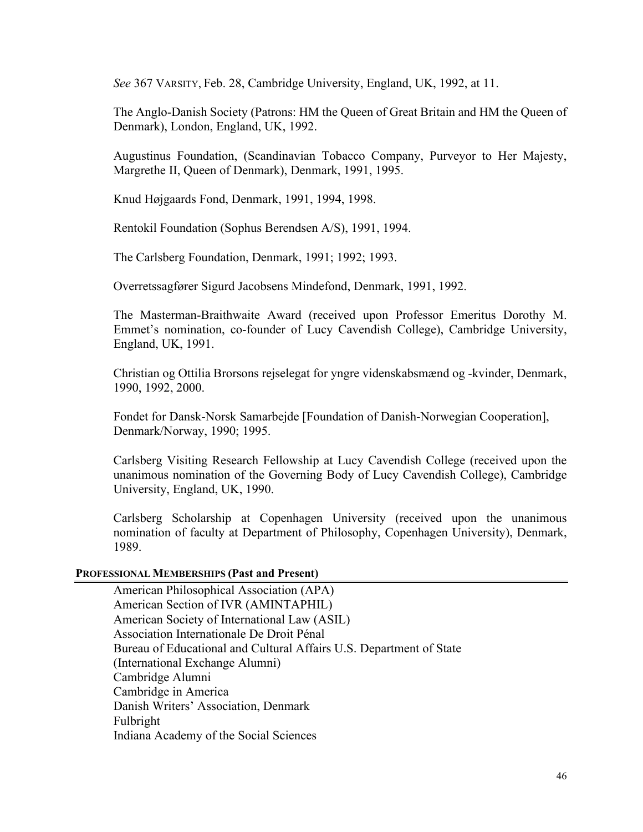*See* 367 VARSITY, Feb. 28, Cambridge University, England, UK, 1992, at 11.

The Anglo-Danish Society (Patrons: HM the Queen of Great Britain and HM the Queen of Denmark), London, England, UK, 1992.

Augustinus Foundation, (Scandinavian Tobacco Company, Purveyor to Her Majesty, Margrethe II, Queen of Denmark), Denmark, 1991, 1995.

Knud Højgaards Fond, Denmark, 1991, 1994, 1998.

Rentokil Foundation (Sophus Berendsen A/S), 1991, 1994.

The Carlsberg Foundation, Denmark, 1991; 1992; 1993.

Overretssagfører Sigurd Jacobsens Mindefond, Denmark, 1991, 1992.

The Masterman-Braithwaite Award (received upon Professor Emeritus Dorothy M. Emmet's nomination, co-founder of Lucy Cavendish College), Cambridge University, England, UK, 1991.

Christian og Ottilia Brorsons rejselegat for yngre videnskabsmænd og -kvinder, Denmark, 1990, 1992, 2000.

Fondet for Dansk-Norsk Samarbejde [Foundation of Danish-Norwegian Cooperation], Denmark/Norway, 1990; 1995.

Carlsberg Visiting Research Fellowship at Lucy Cavendish College (received upon the unanimous nomination of the Governing Body of Lucy Cavendish College), Cambridge University, England, UK, 1990.

Carlsberg Scholarship at Copenhagen University (received upon the unanimous nomination of faculty at Department of Philosophy, Copenhagen University), Denmark, 1989.

#### **PROFESSIONAL MEMBERSHIPS (Past and Present)**

American Philosophical Association (APA) American Section of IVR (AMINTAPHIL) American Society of International Law (ASIL) Association Internationale De Droit Pénal Bureau of Educational and Cultural Affairs U.S. Department of State (International Exchange Alumni) Cambridge Alumni Cambridge in America Danish Writers' Association, Denmark Fulbright Indiana Academy of the Social Sciences